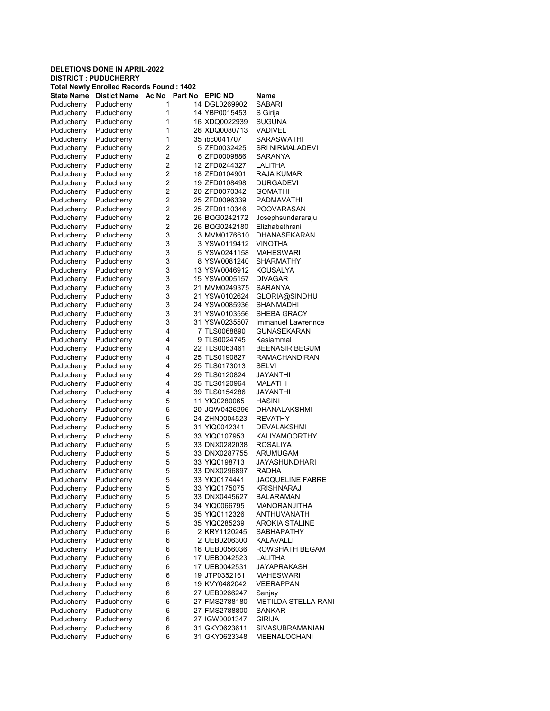|                                 | <b>DELETIONS DONE IN APRIL-2022</b>             |                |         |                                 |                               |
|---------------------------------|-------------------------------------------------|----------------|---------|---------------------------------|-------------------------------|
|                                 | <b>DISTRICT: PUDUCHERRY</b>                     |                |         |                                 |                               |
|                                 | <b>Total Newly Enrolled Records Found: 1402</b> |                |         |                                 |                               |
| <b>State Name</b><br>Puducherry | Distict Name Ac No<br>Puducherry                | 1              | Part No | <b>EPIC NO</b><br>14 DGL0269902 | <b>Name</b><br>SABARI         |
| Puducherry                      | Puducherry                                      | 1              |         | 14 YBP0015453                   | S Girija                      |
| Puducherry                      | Puducherry                                      | 1              |         | 16 XDQ0022939                   | SUGUNA                        |
| Puducherry                      | Puducherry                                      | 1              |         | 26 XDQ0080713                   | VADIVEL                       |
| Puducherry                      | Puducherry                                      | 1              |         | 35 ibc0041707                   | SARASWATHI                    |
| Puducherry                      | Puducherry                                      | 2              |         | 5 ZFD0032425                    | SRI NIRMALADEVI               |
| Puducherry                      | Puducherry                                      | $\overline{2}$ |         | 6 ZFD0009886                    | SARANYA                       |
| Puducherry                      | Puducherry                                      | 2              |         | 12 ZFD0244327                   | LALITHA                       |
| Puducherry                      | Puducherry                                      | $\overline{2}$ |         | 18 ZFD0104901                   | RAJA KUMARI                   |
| Puducherry                      | Puducherry                                      | 2              |         | 19 ZFD0108498                   | DURGADEVI                     |
| Puducherry                      | Puducherry                                      | $\overline{2}$ |         | 20 ZFD0070342                   | GOMATHI                       |
| Puducherry                      | Puducherry                                      | $\overline{2}$ |         | 25 ZFD0096339                   | PADMAVATHI                    |
| Puducherry                      | Puducherry                                      | 2              |         | 25 ZFD0110346                   | POOVARASAN                    |
| Puducherry                      | Puducherry                                      | 2              |         | 26 BQG0242172                   | Josephsundararaju             |
| Puducherry                      | Puducherry                                      | 2              |         | 26 BQG0242180                   | Elizhabethrani                |
| Puducherry                      | Puducherry                                      | 3              |         | 3 MVM0176610                    | DHANASEKARAN                  |
| Puducherry                      | Puducherry                                      | 3<br>3         |         | 3 YSW0119412                    | VINOTHA                       |
| Puducherry                      | Puducherry<br>Puducherry                        | 3              |         | 5 YSW0241158<br>8 YSW0081240    | <b>MAHESWARI</b><br>SHARMATHY |
| Puducherry<br>Puducherry        | Puducherry                                      | 3              |         | 13 YSW0046912                   | KOUSALYA                      |
| Puducherry                      | Puducherry                                      | 3              |         | 15 YSW0005157                   | DIVAGAR                       |
| Puducherry                      | Puducherry                                      | 3              |         | 21 MVM0249375                   | <b>SARANYA</b>                |
| Puducherry                      | Puducherry                                      | 3              |         | 21 YSW0102624                   | GLORIA@SINDHU                 |
| Puducherry                      | Puducherry                                      | 3              |         | 24 YSW0085936                   | SHANMADHI                     |
| Puducherry                      | Puducherry                                      | 3              |         | 31 YSW0103556                   | SHEBA GRACY                   |
| Puducherry                      | Puducherry                                      | 3              |         | 31 YSW0235507                   | Immanuel Lawrennce            |
| Puducherry                      | Puducherry                                      | 4              |         | 7 TLS0068890                    | <b>GUNASEKARAN</b>            |
| Puducherry                      | Puducherry                                      | 4              |         | 9 TLS0024745                    | Kasiammal                     |
| Puducherry                      | Puducherry                                      | 4              |         | 22 TLS0063461                   | <b>BEENASIR BEGUM</b>         |
| Puducherry                      | Puducherry                                      | 4              |         | 25 TLS0190827                   | RAMACHANDIRAN                 |
| Puducherry                      | Puducherry                                      | 4              |         | 25 TLS0173013                   | SELVI                         |
| Puducherry                      | Puducherry                                      | 4              |         | 29 TLS0120824                   | JAYANTHI                      |
| Puducherry                      | Puducherry                                      | 4              |         | 35 TLS0120964                   | MALATHI                       |
| Puducherry                      | Puducherry                                      | 4              |         | 39 TLS0154286                   | JAYANTHI                      |
| Puducherry                      | Puducherry                                      | 5              |         | 11 YIQ0280065                   | <b>HASINI</b>                 |
| Puducherry                      | Puducherry                                      | 5              |         | 20 JQW0426296                   | DHANALAKSHMI                  |
| Puducherry                      | Puducherry                                      | 5<br>5         |         | 24 ZHN0004523<br>31 YIQ0042341  | REVATHY<br>DEVALAKSHMI        |
| Puducherry<br>Puducherry        | Puducherry<br>Puducherry                        | 5              |         | 33 YIQ0107953                   | KALIYAMOORTHY                 |
| Puducherry                      | Puducherry                                      | 5              |         | 33 DNX0282038                   | ROSALIYA                      |
| Puducherry                      | Puducherry                                      | 5              |         | 33 DNX0287755                   | ARUMUGAM                      |
| Puducherry                      | Puducherry                                      | 5              |         | 33 YIQ0198713                   | JAYASHUNDHARI                 |
| Puducherry                      | Puducherry                                      | 5              |         | 33 DNX0296897                   | RADHA                         |
| Puducherry                      | Puducherry                                      | 5              |         | 33 YIQ0174441                   | JACQUELINE FABRE              |
| Puducherry                      | Puducherry                                      | 5              |         | 33 YIQ0175075                   | KRISHNARAJ                    |
| Puducherry                      | Puducherry                                      | 5              |         | 33 DNX0445627                   | BALARAMAN                     |
| Puducherry                      | Puducherry                                      | 5              |         | 34 YIQ0066795                   | MANORANJITHA                  |
| Puducherry                      | Puducherry                                      | 5              |         | 35 YIQ0112326                   | ANTHUVANATH                   |
| Puducherry                      | Puducherry                                      | 5              |         | 35 YIQ0285239                   | AROKIA STALINE                |
| Puducherry                      | Puducherry                                      | 6              |         | 2 KRY1120245                    | SABHAPATHY                    |
| Puducherry                      | Puducherry                                      | 6              |         | 2 UEB0206300                    | KALAVALLI                     |
| Puducherry                      | Puducherry                                      | 6              |         | 16 UEB0056036                   | ROWSHATH BEGAM                |
| Puducherry                      | Puducherry                                      | 6              |         | 17 UEB0042523                   | LALITHA                       |
| Puducherry                      | Puducherry                                      | 6              |         | 17 UEB0042531                   | <b>JAYAPRAKASH</b>            |
| Puducherry                      | Puducherry                                      | 6              |         | 19 JTP0352161                   | MAHESWARI                     |
| Puducherry                      | Puducherry                                      | 6              |         | 19 KVY0482042                   | VEERAPPAN                     |
| Puducherry                      | Puducherry                                      | 6              |         | 27 UEB0266247                   | Sanjay                        |
| Puducherry<br>Puducherry        | Puducherry<br>Puducherry                        | 6<br>6         |         | 27 FMS2788180<br>27 FMS2788800  | METILDA STELLA RANI<br>SANKAR |
| Puducherry                      | Puducherry                                      | 6              |         | 27 IGW0001347                   | <b>GIRIJA</b>                 |
| Puducherry                      | Puducherry                                      | 6              |         | 31 GKY0623611                   | SIVASUBRAMANIAN               |
| Puducherry                      | Puducherry                                      | 6              |         | 31 GKY0623348                   | MEENALOCHANI                  |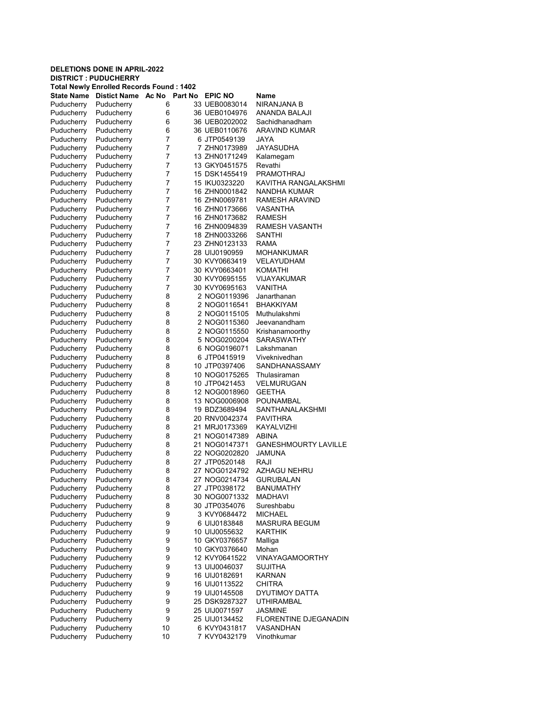|                          | <b>DELETIONS DONE IN APRIL-2022</b><br><b>DISTRICT : PUDUCHERRY</b> |                  |                                |                              |
|--------------------------|---------------------------------------------------------------------|------------------|--------------------------------|------------------------------|
|                          | <b>Total Newly Enrolled Records Found: 1402</b>                     |                  |                                |                              |
| State Name               | <b>Distict Name</b>                                                 | Ac No<br>Part No | <b>EPIC NO</b>                 | Name                         |
| Puducherry               | Puducherry                                                          | 6                | 33 UEB0083014                  | NIRANJANA B                  |
| Puducherry               | Puducherry                                                          | 6                | 36 UEB0104976                  | ANANDA BALAJI                |
| Puducherry               | Puducherry                                                          | 6                | 36 UEB0202002                  | Sachidhanadham               |
| Puducherry               | Puducherry                                                          | 6                | 36 UEB0110676                  | <b>ARAVIND KUMAR</b>         |
| Puducherry               | Puducherry                                                          | 7                | 6 JTP0549139                   | JAYA                         |
| Puducherry               | Puducherry                                                          | 7                | 7 ZHN0173989                   | JAYASUDHA                    |
| Puducherry               | Puducherry                                                          | 7                | 13 ZHN0171249                  | Kalamegam                    |
| Puducherry               | Puducherry                                                          | 7                | 13 GKY0451575                  | Revathi                      |
| Puducherry               | Puducherry                                                          | 7                | 15 DSK1455419                  | <b>PRAMOTHRAJ</b>            |
| Puducherry               | Puducherry                                                          | 7                | 15 IKU0323220                  | KAVITHA RANGALAKSHMI         |
| Puducherry               | Puducherry                                                          | 7                | 16 ZHN0001842                  | NANDHA KUMAR                 |
| Puducherry               | Puducherry                                                          | 7                | 16 ZHN0069781                  | RAMESH ARAVIND               |
| Puducherry               | Puducherry                                                          | 7                | 16 ZHN0173666                  | VASANTHA                     |
| Puducherry               | Puducherry                                                          | 7                | 16 ZHN0173682                  | RAMESH                       |
| Puducherry               | Puducherry                                                          | 7                | 16 ZHN0094839                  | <b>RAMESH VASANTH</b>        |
| Puducherry               | Puducherry                                                          | 7                | 18 ZHN0033266                  | SANTHI                       |
| Puducherry               | Puducherry                                                          | 7                | 23 ZHN0123133                  | <b>RAMA</b>                  |
| Puducherry               | Puducherry                                                          | 7                | 28 UIJ0190959                  | <b>MOHANKUMAR</b>            |
| Puducherry               | Puducherry                                                          | 7                | 30 KVY0663419                  | VELAYUDHAM                   |
| Puducherry               | Puducherry                                                          | 7                | 30 KVY0663401                  | KOMATHI                      |
| Puducherry               | Puducherry                                                          | 7                | 30 KVY0695155                  | <b>VIJAYAKUMAR</b>           |
| Puducherry               | Puducherry                                                          | 7                | 30 KVY0695163                  | <b>VANITHA</b>               |
| Puducherry               | Puducherry                                                          | 8                | 2 NOG0119396                   | Janarthanan                  |
| Puducherry               | Puducherry                                                          | 8                | 2 NOG0116541                   | <b>BHAKKIYAM</b>             |
| Puducherry               | Puducherry                                                          | 8                | 2 NOG0115105                   | Muthulakshmi                 |
| Puducherry               | Puducherry                                                          | 8                | 2 NOG0115360                   | Jeevanandham                 |
| Puducherry               | Puducherry                                                          | 8                | 2 NOG0115550                   | Krishanamoorthy              |
| Puducherry               | Puducherry                                                          | 8                | 5 NOG0200204                   | <b>SARASWATHY</b>            |
| Puducherry               | Puducherry                                                          | 8                | 6 NOG0196071                   | Lakshmanan                   |
| Puducherry               | Puducherry                                                          | 8                | 6 JTP0415919                   | Viveknivedhan                |
| Puducherry               | Puducherry                                                          | 8                | 10 JTP0397406                  | SANDHANASSAMY                |
| Puducherry               | Puducherry                                                          | 8<br>8           | 10 NOG0175265<br>10 JTP0421453 | Thulasiraman<br>VELMURUGAN   |
| Puducherry<br>Puducherry | Puducherry<br>Puducherry                                            | 8                | 12 NOG0018960                  | <b>GEETHA</b>                |
| Puducherry               | Puducherry                                                          | 8                | 13 NOG0006908                  | POUNAMBAL                    |
| Puducherry               | Puducherry                                                          | 8                | 19 BDZ3689494                  | SANTHANALAKSHMI              |
| Puducherry               | Puducherry                                                          | 8                | 20 RNV0042374                  | <b>PAVITHRA</b>              |
| Puducherry               | Puducherry                                                          | 8                | 21 MRJ0173369                  | KAYALVIZHI                   |
| Puducherry               | Puducherry                                                          | 8                | 21 NOG0147389                  | ABINA                        |
| Puducherry               | Puducherry                                                          | 8                | 21 NOG0147371                  | <b>GANESHMOURTY LAVILLE</b>  |
| Puducherry               | Puducherry                                                          | 8                | 22 NOG0202820                  | JAMUNA                       |
| Puducherry               | Puducherry                                                          | 8                | 27 JTP0520148                  | RAJI                         |
| Puducherry               | Puducherry                                                          | 8                | 27 NOG0124792                  | <b>AZHAGU NEHRU</b>          |
| Puducherry               | Puducherry                                                          | 8                | 27 NOG0214734                  | <b>GURUBALAN</b>             |
| Puducherry               | Puducherry                                                          | 8                | 27 JTP0398172                  | <b>BANUMATHY</b>             |
| Puducherry               | Puducherry                                                          | 8                | 30 NOG0071332                  | <b>MADHAVI</b>               |
| Puducherry               | Puducherry                                                          | 8                | 30 JTP0354076                  | Sureshbabu                   |
| Puducherry               | Puducherry                                                          | 9                | 3 KVY0684472                   | <b>MICHAEL</b>               |
| Puducherry               | Puducherry                                                          | 9                | 6 UIJ0183848                   | <b>MASRURA BEGUM</b>         |
| Puducherry               | Puducherry                                                          | 9                | 10 UIJ0055632                  | <b>KARTHIK</b>               |
| Puducherry               | Puducherry                                                          | 9                | 10 GKY0376657                  | Malliga                      |
| Puducherry               | Puducherry                                                          | 9                | 10 GKY0376640                  | Mohan                        |
| Puducherry               | Puducherry                                                          | 9                | 12 KVY0641522                  | <b>VINAYAGAMOORTHY</b>       |
| Puducherry               | Puducherry                                                          | 9                | 13 UIJ0046037                  | <b>SUJITHA</b>               |
| Puducherry               | Puducherry                                                          | 9                | 16 UIJ0182691                  | KARNAN                       |
| Puducherry               | Puducherry                                                          | 9                | 16 UIJ0113522                  | <b>CHITRA</b>                |
| Puducherry               | Puducherry                                                          | 9                | 19 UIJ0145508                  | DYUTIMOY DATTA               |
| Puducherry               | Puducherry                                                          | 9                | 25 DSK9287327                  | <b>UTHIRAMBAL</b>            |
| Puducherry               | Puducherry                                                          | 9                | 25 UIJ0071597                  | <b>JASMINE</b>               |
| Puducherry               | Puducherry                                                          | 9                | 25 UIJ0134452                  | <b>FLORENTINE DJEGANADIN</b> |
| Puducherry               | Puducherry                                                          | 10               | 6 KVY0431817                   | VASANDHAN                    |
| Puducherry               | Puducherry                                                          | 10               | 7 KVY0432179                   | Vinothkumar                  |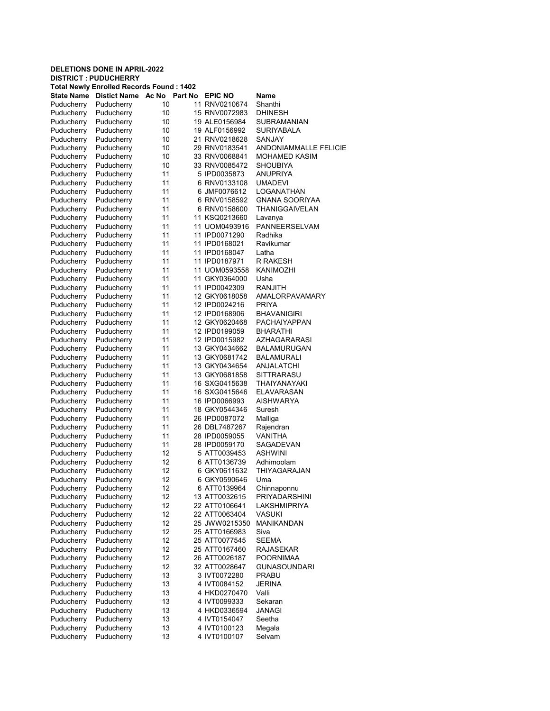| <b>DISTRICT: PUDUCHERRY</b><br><b>Total Newly Enrolled Records Found: 1402</b><br><b>State Name</b><br>Distict Name Ac No Part No<br><b>EPIC NO</b><br>Name<br>Puducherry<br>Puducherry<br>10<br>11 RNV0210674<br>Shanthi<br>10<br><b>DHINESH</b><br>Puducherry<br>Puducherry<br>15 RNV0072983<br>Puducherry<br>Puducherry<br>10<br>19 ALE0156984<br>SUBRAMANIAN<br>Puducherry<br>Puducherry<br>10<br>19 ALF0156992<br>SURIYABALA<br>Puducherry<br>Puducherry<br>10<br>21 RNV0218628<br>SANJAY<br>10<br>29 RNV0183541<br>Puducherry<br>Puducherry<br><b>ANDONIAMMALLE FELICIE</b><br>Puducherry<br>Puducherry<br>10<br>33 RNV0068841<br><b>MOHAMED KASIM</b><br>Puducherry<br>10<br>Puducherry<br>33 RNV0085472<br>SHOUBIYA<br>Puducherry<br>Puducherry<br>11<br>5 IPD0035873<br>ANUPRIYA<br>Puducherry<br>11<br>Puducherry<br>6 RNV0133108<br><b>UMADEVI</b><br>Puducherry<br>11<br>6 JMF0076612<br>LOGANATHAN<br>Puducherry<br>Puducherry<br>11<br>6 RNV0158592<br>Puducherry<br><b>GNANA SOORIYAA</b><br>11<br>Puducherry<br>Puducherry<br>6 RNV0158600<br>THANIGGAIVELAN<br>11<br>Puducherry<br>Puducherry<br>11 KSQ0213660<br>Lavanya<br>11<br>PANNEERSELVAM<br>Puducherry<br>Puducherry<br>11 UOM0493916<br>11<br>Radhika<br>Puducherry<br>Puducherry<br>11 IPD0071290<br>11<br>Ravikumar<br>Puducherry<br>Puducherry<br>11 IPD0168021<br>11<br>Puducherry<br>Puducherry<br>11 IPD0168047<br>Latha<br>11<br>Puducherry<br>Puducherry<br>11 IPD0187971<br>R RAKESH<br>11<br>Puducherry<br>Puducherry<br>11 UOM0593558<br>KANIMOZHI<br>11<br>Puducherry<br>Puducherry<br>11 GKY0364000<br>Usha<br>11<br>Puducherry<br>Puducherry<br>11 IPD0042309<br>RANJITH<br>11<br>Puducherry<br>Puducherry<br>12 GKY0618058<br>AMALORPAVAMARY<br>Puducherry<br>11<br>12 IPD0024216<br><b>PRIYA</b><br>Puducherry<br>Puducherry<br>11<br>Puducherry<br>12 IPD0168906<br><b>BHAVANIGIRI</b><br>Puducherry<br>Puducherry<br>11<br>12 GKY0620468<br>PACHAIYAPPAN<br>11<br>Puducherry<br>Puducherry<br>12 IPD0199059<br><b>BHARATHI</b><br>11<br>Puducherry<br>Puducherry<br>12 IPD0015982<br>AZHAGARARASI<br>11<br>Puducherry<br>Puducherry<br>13 GKY0434662<br><b>BALAMURUGAN</b><br>11<br>Puducherry<br>Puducherry<br>13 GKY0681742<br>BALAMURALI<br>Puducherry<br>11<br>Puducherry<br>13 GKY0434654<br>ANJALATCHI<br>11<br>13 GKY0681858<br>SITTRARASU<br>Puducherry<br>Puducherry<br>11<br>16 SXG0415638<br>Puducherry<br>Puducherry<br>THAIYANAYAKI<br>11<br>Puducherry<br>Puducherry<br>16 SXG0415646<br>ELAVARASAN<br>11<br><b>AISHWARYA</b><br>Puducherry<br>Puducherry<br>16 IPD0066993<br>11<br>Suresh<br>Puducherry<br>Puducherry<br>18 GKY0544346<br>Puducherry<br>11<br>26 IPD0087072<br>Puducherry<br>Malliga<br>Puducherry<br>11<br>26 DBL7487267<br>Rajendran<br>Puducherry<br>Puducherry<br>Puducherry<br>11<br>28 IPD0059055<br><b>VANITHA</b><br>11<br>SAGADEVAN<br>Puducherry<br>Puducherry<br>28 IPD0059170<br>12<br><b>ASHWINI</b><br>Puducherry<br>Puducherry<br>5 ATT0039453<br>12<br>6 ATT0136739<br>Puducherry<br>Adhimoolam<br>Puducherry<br>Puducherry<br>12<br>6 GKY0611632<br>THIYAGARAJAN<br>Puducherry<br>Puducherry<br>Puducherry<br>12<br>6 GKY0590646<br>Uma<br>Puducherry<br>Puducherry<br>12<br>Chinnaponnu<br>6 ATT0139964<br>Puducherry<br>Puducherry<br>12<br>13 ATT0032615<br><b>PRIYADARSHINI</b><br>Puducherry<br>12<br>22 ATT0106641<br>Puducherry<br>LAKSHMIPRIYA<br>12<br>Puducherry<br>Puducherry<br>22 ATT0063404<br>VASUKI<br>Puducherry<br>Puducherry<br>12<br>MANIKANDAN<br>25 JWW0215350<br>Puducherry<br>Puducherry<br>12<br>25 ATT0166983<br>Siva<br>12<br><b>SEEMA</b><br>Puducherry<br>Puducherry<br>25 ATT0077545<br>Puducherry<br>12<br>Puducherry<br>25 ATT0167460<br>RAJASEKAR<br>Puducherry<br>Puducherry<br>12<br>26 ATT0026187<br><b>POORNIMAA</b><br>Puducherry<br>Puducherry<br>12<br>32 ATT0028647<br><b>GUNASOUNDARI</b><br>Puducherry<br>13<br>Puducherry<br>3 IVT0072280<br>PRABU<br>Puducherry<br>Puducherry<br>13<br><b>JERINA</b><br>4 IVT0084152<br>13<br>Valli<br>Puducherry<br>Puducherry<br>4 HKD0270470<br>Puducherry<br>Puducherry<br>13<br>4 IVT0099333<br>Sekaran<br>Puducherry<br>Puducherry<br>13<br>JANAGI<br>4 HKD0336594<br>Puducherry<br>Puducherry<br>13<br>4 IVT0154047<br>Seetha<br>Puducherry<br>Puducherry<br>13<br>4 IVT0100123<br>Megala<br>Puducherry<br>Puducherry<br>13<br>4 IVT0100107<br>Selvam | <b>DELETIONS DONE IN APRIL-2022</b> |  |  |
|---------------------------------------------------------------------------------------------------------------------------------------------------------------------------------------------------------------------------------------------------------------------------------------------------------------------------------------------------------------------------------------------------------------------------------------------------------------------------------------------------------------------------------------------------------------------------------------------------------------------------------------------------------------------------------------------------------------------------------------------------------------------------------------------------------------------------------------------------------------------------------------------------------------------------------------------------------------------------------------------------------------------------------------------------------------------------------------------------------------------------------------------------------------------------------------------------------------------------------------------------------------------------------------------------------------------------------------------------------------------------------------------------------------------------------------------------------------------------------------------------------------------------------------------------------------------------------------------------------------------------------------------------------------------------------------------------------------------------------------------------------------------------------------------------------------------------------------------------------------------------------------------------------------------------------------------------------------------------------------------------------------------------------------------------------------------------------------------------------------------------------------------------------------------------------------------------------------------------------------------------------------------------------------------------------------------------------------------------------------------------------------------------------------------------------------------------------------------------------------------------------------------------------------------------------------------------------------------------------------------------------------------------------------------------------------------------------------------------------------------------------------------------------------------------------------------------------------------------------------------------------------------------------------------------------------------------------------------------------------------------------------------------------------------------------------------------------------------------------------------------------------------------------------------------------------------------------------------------------------------------------------------------------------------------------------------------------------------------------------------------------------------------------------------------------------------------------------------------------------------------------------------------------------------------------------------------------------------------------------------------------------------------------------------------------------------------------------------------------------------------------------------------------------------------------------------------------------------------------------------------------------------------------------------------------------------------------------------------------------------------------------------------------------------------------------------------------------------------------------------------------------------------------------------------------------------------------------------------------------------------------------------------------------------------------------------------------------------------------------------------------------|-------------------------------------|--|--|
|                                                                                                                                                                                                                                                                                                                                                                                                                                                                                                                                                                                                                                                                                                                                                                                                                                                                                                                                                                                                                                                                                                                                                                                                                                                                                                                                                                                                                                                                                                                                                                                                                                                                                                                                                                                                                                                                                                                                                                                                                                                                                                                                                                                                                                                                                                                                                                                                                                                                                                                                                                                                                                                                                                                                                                                                                                                                                                                                                                                                                                                                                                                                                                                                                                                                                                                                                                                                                                                                                                                                                                                                                                                                                                                                                                                                                                                                                                                                                                                                                                                                                                                                                                                                                                                                                                                                                                                       |                                     |  |  |
|                                                                                                                                                                                                                                                                                                                                                                                                                                                                                                                                                                                                                                                                                                                                                                                                                                                                                                                                                                                                                                                                                                                                                                                                                                                                                                                                                                                                                                                                                                                                                                                                                                                                                                                                                                                                                                                                                                                                                                                                                                                                                                                                                                                                                                                                                                                                                                                                                                                                                                                                                                                                                                                                                                                                                                                                                                                                                                                                                                                                                                                                                                                                                                                                                                                                                                                                                                                                                                                                                                                                                                                                                                                                                                                                                                                                                                                                                                                                                                                                                                                                                                                                                                                                                                                                                                                                                                                       |                                     |  |  |
|                                                                                                                                                                                                                                                                                                                                                                                                                                                                                                                                                                                                                                                                                                                                                                                                                                                                                                                                                                                                                                                                                                                                                                                                                                                                                                                                                                                                                                                                                                                                                                                                                                                                                                                                                                                                                                                                                                                                                                                                                                                                                                                                                                                                                                                                                                                                                                                                                                                                                                                                                                                                                                                                                                                                                                                                                                                                                                                                                                                                                                                                                                                                                                                                                                                                                                                                                                                                                                                                                                                                                                                                                                                                                                                                                                                                                                                                                                                                                                                                                                                                                                                                                                                                                                                                                                                                                                                       |                                     |  |  |
|                                                                                                                                                                                                                                                                                                                                                                                                                                                                                                                                                                                                                                                                                                                                                                                                                                                                                                                                                                                                                                                                                                                                                                                                                                                                                                                                                                                                                                                                                                                                                                                                                                                                                                                                                                                                                                                                                                                                                                                                                                                                                                                                                                                                                                                                                                                                                                                                                                                                                                                                                                                                                                                                                                                                                                                                                                                                                                                                                                                                                                                                                                                                                                                                                                                                                                                                                                                                                                                                                                                                                                                                                                                                                                                                                                                                                                                                                                                                                                                                                                                                                                                                                                                                                                                                                                                                                                                       |                                     |  |  |
|                                                                                                                                                                                                                                                                                                                                                                                                                                                                                                                                                                                                                                                                                                                                                                                                                                                                                                                                                                                                                                                                                                                                                                                                                                                                                                                                                                                                                                                                                                                                                                                                                                                                                                                                                                                                                                                                                                                                                                                                                                                                                                                                                                                                                                                                                                                                                                                                                                                                                                                                                                                                                                                                                                                                                                                                                                                                                                                                                                                                                                                                                                                                                                                                                                                                                                                                                                                                                                                                                                                                                                                                                                                                                                                                                                                                                                                                                                                                                                                                                                                                                                                                                                                                                                                                                                                                                                                       |                                     |  |  |
|                                                                                                                                                                                                                                                                                                                                                                                                                                                                                                                                                                                                                                                                                                                                                                                                                                                                                                                                                                                                                                                                                                                                                                                                                                                                                                                                                                                                                                                                                                                                                                                                                                                                                                                                                                                                                                                                                                                                                                                                                                                                                                                                                                                                                                                                                                                                                                                                                                                                                                                                                                                                                                                                                                                                                                                                                                                                                                                                                                                                                                                                                                                                                                                                                                                                                                                                                                                                                                                                                                                                                                                                                                                                                                                                                                                                                                                                                                                                                                                                                                                                                                                                                                                                                                                                                                                                                                                       |                                     |  |  |
|                                                                                                                                                                                                                                                                                                                                                                                                                                                                                                                                                                                                                                                                                                                                                                                                                                                                                                                                                                                                                                                                                                                                                                                                                                                                                                                                                                                                                                                                                                                                                                                                                                                                                                                                                                                                                                                                                                                                                                                                                                                                                                                                                                                                                                                                                                                                                                                                                                                                                                                                                                                                                                                                                                                                                                                                                                                                                                                                                                                                                                                                                                                                                                                                                                                                                                                                                                                                                                                                                                                                                                                                                                                                                                                                                                                                                                                                                                                                                                                                                                                                                                                                                                                                                                                                                                                                                                                       |                                     |  |  |
|                                                                                                                                                                                                                                                                                                                                                                                                                                                                                                                                                                                                                                                                                                                                                                                                                                                                                                                                                                                                                                                                                                                                                                                                                                                                                                                                                                                                                                                                                                                                                                                                                                                                                                                                                                                                                                                                                                                                                                                                                                                                                                                                                                                                                                                                                                                                                                                                                                                                                                                                                                                                                                                                                                                                                                                                                                                                                                                                                                                                                                                                                                                                                                                                                                                                                                                                                                                                                                                                                                                                                                                                                                                                                                                                                                                                                                                                                                                                                                                                                                                                                                                                                                                                                                                                                                                                                                                       |                                     |  |  |
|                                                                                                                                                                                                                                                                                                                                                                                                                                                                                                                                                                                                                                                                                                                                                                                                                                                                                                                                                                                                                                                                                                                                                                                                                                                                                                                                                                                                                                                                                                                                                                                                                                                                                                                                                                                                                                                                                                                                                                                                                                                                                                                                                                                                                                                                                                                                                                                                                                                                                                                                                                                                                                                                                                                                                                                                                                                                                                                                                                                                                                                                                                                                                                                                                                                                                                                                                                                                                                                                                                                                                                                                                                                                                                                                                                                                                                                                                                                                                                                                                                                                                                                                                                                                                                                                                                                                                                                       |                                     |  |  |
|                                                                                                                                                                                                                                                                                                                                                                                                                                                                                                                                                                                                                                                                                                                                                                                                                                                                                                                                                                                                                                                                                                                                                                                                                                                                                                                                                                                                                                                                                                                                                                                                                                                                                                                                                                                                                                                                                                                                                                                                                                                                                                                                                                                                                                                                                                                                                                                                                                                                                                                                                                                                                                                                                                                                                                                                                                                                                                                                                                                                                                                                                                                                                                                                                                                                                                                                                                                                                                                                                                                                                                                                                                                                                                                                                                                                                                                                                                                                                                                                                                                                                                                                                                                                                                                                                                                                                                                       |                                     |  |  |
|                                                                                                                                                                                                                                                                                                                                                                                                                                                                                                                                                                                                                                                                                                                                                                                                                                                                                                                                                                                                                                                                                                                                                                                                                                                                                                                                                                                                                                                                                                                                                                                                                                                                                                                                                                                                                                                                                                                                                                                                                                                                                                                                                                                                                                                                                                                                                                                                                                                                                                                                                                                                                                                                                                                                                                                                                                                                                                                                                                                                                                                                                                                                                                                                                                                                                                                                                                                                                                                                                                                                                                                                                                                                                                                                                                                                                                                                                                                                                                                                                                                                                                                                                                                                                                                                                                                                                                                       |                                     |  |  |
|                                                                                                                                                                                                                                                                                                                                                                                                                                                                                                                                                                                                                                                                                                                                                                                                                                                                                                                                                                                                                                                                                                                                                                                                                                                                                                                                                                                                                                                                                                                                                                                                                                                                                                                                                                                                                                                                                                                                                                                                                                                                                                                                                                                                                                                                                                                                                                                                                                                                                                                                                                                                                                                                                                                                                                                                                                                                                                                                                                                                                                                                                                                                                                                                                                                                                                                                                                                                                                                                                                                                                                                                                                                                                                                                                                                                                                                                                                                                                                                                                                                                                                                                                                                                                                                                                                                                                                                       |                                     |  |  |
|                                                                                                                                                                                                                                                                                                                                                                                                                                                                                                                                                                                                                                                                                                                                                                                                                                                                                                                                                                                                                                                                                                                                                                                                                                                                                                                                                                                                                                                                                                                                                                                                                                                                                                                                                                                                                                                                                                                                                                                                                                                                                                                                                                                                                                                                                                                                                                                                                                                                                                                                                                                                                                                                                                                                                                                                                                                                                                                                                                                                                                                                                                                                                                                                                                                                                                                                                                                                                                                                                                                                                                                                                                                                                                                                                                                                                                                                                                                                                                                                                                                                                                                                                                                                                                                                                                                                                                                       |                                     |  |  |
|                                                                                                                                                                                                                                                                                                                                                                                                                                                                                                                                                                                                                                                                                                                                                                                                                                                                                                                                                                                                                                                                                                                                                                                                                                                                                                                                                                                                                                                                                                                                                                                                                                                                                                                                                                                                                                                                                                                                                                                                                                                                                                                                                                                                                                                                                                                                                                                                                                                                                                                                                                                                                                                                                                                                                                                                                                                                                                                                                                                                                                                                                                                                                                                                                                                                                                                                                                                                                                                                                                                                                                                                                                                                                                                                                                                                                                                                                                                                                                                                                                                                                                                                                                                                                                                                                                                                                                                       |                                     |  |  |
|                                                                                                                                                                                                                                                                                                                                                                                                                                                                                                                                                                                                                                                                                                                                                                                                                                                                                                                                                                                                                                                                                                                                                                                                                                                                                                                                                                                                                                                                                                                                                                                                                                                                                                                                                                                                                                                                                                                                                                                                                                                                                                                                                                                                                                                                                                                                                                                                                                                                                                                                                                                                                                                                                                                                                                                                                                                                                                                                                                                                                                                                                                                                                                                                                                                                                                                                                                                                                                                                                                                                                                                                                                                                                                                                                                                                                                                                                                                                                                                                                                                                                                                                                                                                                                                                                                                                                                                       |                                     |  |  |
|                                                                                                                                                                                                                                                                                                                                                                                                                                                                                                                                                                                                                                                                                                                                                                                                                                                                                                                                                                                                                                                                                                                                                                                                                                                                                                                                                                                                                                                                                                                                                                                                                                                                                                                                                                                                                                                                                                                                                                                                                                                                                                                                                                                                                                                                                                                                                                                                                                                                                                                                                                                                                                                                                                                                                                                                                                                                                                                                                                                                                                                                                                                                                                                                                                                                                                                                                                                                                                                                                                                                                                                                                                                                                                                                                                                                                                                                                                                                                                                                                                                                                                                                                                                                                                                                                                                                                                                       |                                     |  |  |
|                                                                                                                                                                                                                                                                                                                                                                                                                                                                                                                                                                                                                                                                                                                                                                                                                                                                                                                                                                                                                                                                                                                                                                                                                                                                                                                                                                                                                                                                                                                                                                                                                                                                                                                                                                                                                                                                                                                                                                                                                                                                                                                                                                                                                                                                                                                                                                                                                                                                                                                                                                                                                                                                                                                                                                                                                                                                                                                                                                                                                                                                                                                                                                                                                                                                                                                                                                                                                                                                                                                                                                                                                                                                                                                                                                                                                                                                                                                                                                                                                                                                                                                                                                                                                                                                                                                                                                                       |                                     |  |  |
|                                                                                                                                                                                                                                                                                                                                                                                                                                                                                                                                                                                                                                                                                                                                                                                                                                                                                                                                                                                                                                                                                                                                                                                                                                                                                                                                                                                                                                                                                                                                                                                                                                                                                                                                                                                                                                                                                                                                                                                                                                                                                                                                                                                                                                                                                                                                                                                                                                                                                                                                                                                                                                                                                                                                                                                                                                                                                                                                                                                                                                                                                                                                                                                                                                                                                                                                                                                                                                                                                                                                                                                                                                                                                                                                                                                                                                                                                                                                                                                                                                                                                                                                                                                                                                                                                                                                                                                       |                                     |  |  |
|                                                                                                                                                                                                                                                                                                                                                                                                                                                                                                                                                                                                                                                                                                                                                                                                                                                                                                                                                                                                                                                                                                                                                                                                                                                                                                                                                                                                                                                                                                                                                                                                                                                                                                                                                                                                                                                                                                                                                                                                                                                                                                                                                                                                                                                                                                                                                                                                                                                                                                                                                                                                                                                                                                                                                                                                                                                                                                                                                                                                                                                                                                                                                                                                                                                                                                                                                                                                                                                                                                                                                                                                                                                                                                                                                                                                                                                                                                                                                                                                                                                                                                                                                                                                                                                                                                                                                                                       |                                     |  |  |
|                                                                                                                                                                                                                                                                                                                                                                                                                                                                                                                                                                                                                                                                                                                                                                                                                                                                                                                                                                                                                                                                                                                                                                                                                                                                                                                                                                                                                                                                                                                                                                                                                                                                                                                                                                                                                                                                                                                                                                                                                                                                                                                                                                                                                                                                                                                                                                                                                                                                                                                                                                                                                                                                                                                                                                                                                                                                                                                                                                                                                                                                                                                                                                                                                                                                                                                                                                                                                                                                                                                                                                                                                                                                                                                                                                                                                                                                                                                                                                                                                                                                                                                                                                                                                                                                                                                                                                                       |                                     |  |  |
|                                                                                                                                                                                                                                                                                                                                                                                                                                                                                                                                                                                                                                                                                                                                                                                                                                                                                                                                                                                                                                                                                                                                                                                                                                                                                                                                                                                                                                                                                                                                                                                                                                                                                                                                                                                                                                                                                                                                                                                                                                                                                                                                                                                                                                                                                                                                                                                                                                                                                                                                                                                                                                                                                                                                                                                                                                                                                                                                                                                                                                                                                                                                                                                                                                                                                                                                                                                                                                                                                                                                                                                                                                                                                                                                                                                                                                                                                                                                                                                                                                                                                                                                                                                                                                                                                                                                                                                       |                                     |  |  |
|                                                                                                                                                                                                                                                                                                                                                                                                                                                                                                                                                                                                                                                                                                                                                                                                                                                                                                                                                                                                                                                                                                                                                                                                                                                                                                                                                                                                                                                                                                                                                                                                                                                                                                                                                                                                                                                                                                                                                                                                                                                                                                                                                                                                                                                                                                                                                                                                                                                                                                                                                                                                                                                                                                                                                                                                                                                                                                                                                                                                                                                                                                                                                                                                                                                                                                                                                                                                                                                                                                                                                                                                                                                                                                                                                                                                                                                                                                                                                                                                                                                                                                                                                                                                                                                                                                                                                                                       |                                     |  |  |
|                                                                                                                                                                                                                                                                                                                                                                                                                                                                                                                                                                                                                                                                                                                                                                                                                                                                                                                                                                                                                                                                                                                                                                                                                                                                                                                                                                                                                                                                                                                                                                                                                                                                                                                                                                                                                                                                                                                                                                                                                                                                                                                                                                                                                                                                                                                                                                                                                                                                                                                                                                                                                                                                                                                                                                                                                                                                                                                                                                                                                                                                                                                                                                                                                                                                                                                                                                                                                                                                                                                                                                                                                                                                                                                                                                                                                                                                                                                                                                                                                                                                                                                                                                                                                                                                                                                                                                                       |                                     |  |  |
|                                                                                                                                                                                                                                                                                                                                                                                                                                                                                                                                                                                                                                                                                                                                                                                                                                                                                                                                                                                                                                                                                                                                                                                                                                                                                                                                                                                                                                                                                                                                                                                                                                                                                                                                                                                                                                                                                                                                                                                                                                                                                                                                                                                                                                                                                                                                                                                                                                                                                                                                                                                                                                                                                                                                                                                                                                                                                                                                                                                                                                                                                                                                                                                                                                                                                                                                                                                                                                                                                                                                                                                                                                                                                                                                                                                                                                                                                                                                                                                                                                                                                                                                                                                                                                                                                                                                                                                       |                                     |  |  |
|                                                                                                                                                                                                                                                                                                                                                                                                                                                                                                                                                                                                                                                                                                                                                                                                                                                                                                                                                                                                                                                                                                                                                                                                                                                                                                                                                                                                                                                                                                                                                                                                                                                                                                                                                                                                                                                                                                                                                                                                                                                                                                                                                                                                                                                                                                                                                                                                                                                                                                                                                                                                                                                                                                                                                                                                                                                                                                                                                                                                                                                                                                                                                                                                                                                                                                                                                                                                                                                                                                                                                                                                                                                                                                                                                                                                                                                                                                                                                                                                                                                                                                                                                                                                                                                                                                                                                                                       |                                     |  |  |
|                                                                                                                                                                                                                                                                                                                                                                                                                                                                                                                                                                                                                                                                                                                                                                                                                                                                                                                                                                                                                                                                                                                                                                                                                                                                                                                                                                                                                                                                                                                                                                                                                                                                                                                                                                                                                                                                                                                                                                                                                                                                                                                                                                                                                                                                                                                                                                                                                                                                                                                                                                                                                                                                                                                                                                                                                                                                                                                                                                                                                                                                                                                                                                                                                                                                                                                                                                                                                                                                                                                                                                                                                                                                                                                                                                                                                                                                                                                                                                                                                                                                                                                                                                                                                                                                                                                                                                                       |                                     |  |  |
|                                                                                                                                                                                                                                                                                                                                                                                                                                                                                                                                                                                                                                                                                                                                                                                                                                                                                                                                                                                                                                                                                                                                                                                                                                                                                                                                                                                                                                                                                                                                                                                                                                                                                                                                                                                                                                                                                                                                                                                                                                                                                                                                                                                                                                                                                                                                                                                                                                                                                                                                                                                                                                                                                                                                                                                                                                                                                                                                                                                                                                                                                                                                                                                                                                                                                                                                                                                                                                                                                                                                                                                                                                                                                                                                                                                                                                                                                                                                                                                                                                                                                                                                                                                                                                                                                                                                                                                       |                                     |  |  |
|                                                                                                                                                                                                                                                                                                                                                                                                                                                                                                                                                                                                                                                                                                                                                                                                                                                                                                                                                                                                                                                                                                                                                                                                                                                                                                                                                                                                                                                                                                                                                                                                                                                                                                                                                                                                                                                                                                                                                                                                                                                                                                                                                                                                                                                                                                                                                                                                                                                                                                                                                                                                                                                                                                                                                                                                                                                                                                                                                                                                                                                                                                                                                                                                                                                                                                                                                                                                                                                                                                                                                                                                                                                                                                                                                                                                                                                                                                                                                                                                                                                                                                                                                                                                                                                                                                                                                                                       |                                     |  |  |
|                                                                                                                                                                                                                                                                                                                                                                                                                                                                                                                                                                                                                                                                                                                                                                                                                                                                                                                                                                                                                                                                                                                                                                                                                                                                                                                                                                                                                                                                                                                                                                                                                                                                                                                                                                                                                                                                                                                                                                                                                                                                                                                                                                                                                                                                                                                                                                                                                                                                                                                                                                                                                                                                                                                                                                                                                                                                                                                                                                                                                                                                                                                                                                                                                                                                                                                                                                                                                                                                                                                                                                                                                                                                                                                                                                                                                                                                                                                                                                                                                                                                                                                                                                                                                                                                                                                                                                                       |                                     |  |  |
|                                                                                                                                                                                                                                                                                                                                                                                                                                                                                                                                                                                                                                                                                                                                                                                                                                                                                                                                                                                                                                                                                                                                                                                                                                                                                                                                                                                                                                                                                                                                                                                                                                                                                                                                                                                                                                                                                                                                                                                                                                                                                                                                                                                                                                                                                                                                                                                                                                                                                                                                                                                                                                                                                                                                                                                                                                                                                                                                                                                                                                                                                                                                                                                                                                                                                                                                                                                                                                                                                                                                                                                                                                                                                                                                                                                                                                                                                                                                                                                                                                                                                                                                                                                                                                                                                                                                                                                       |                                     |  |  |
|                                                                                                                                                                                                                                                                                                                                                                                                                                                                                                                                                                                                                                                                                                                                                                                                                                                                                                                                                                                                                                                                                                                                                                                                                                                                                                                                                                                                                                                                                                                                                                                                                                                                                                                                                                                                                                                                                                                                                                                                                                                                                                                                                                                                                                                                                                                                                                                                                                                                                                                                                                                                                                                                                                                                                                                                                                                                                                                                                                                                                                                                                                                                                                                                                                                                                                                                                                                                                                                                                                                                                                                                                                                                                                                                                                                                                                                                                                                                                                                                                                                                                                                                                                                                                                                                                                                                                                                       |                                     |  |  |
|                                                                                                                                                                                                                                                                                                                                                                                                                                                                                                                                                                                                                                                                                                                                                                                                                                                                                                                                                                                                                                                                                                                                                                                                                                                                                                                                                                                                                                                                                                                                                                                                                                                                                                                                                                                                                                                                                                                                                                                                                                                                                                                                                                                                                                                                                                                                                                                                                                                                                                                                                                                                                                                                                                                                                                                                                                                                                                                                                                                                                                                                                                                                                                                                                                                                                                                                                                                                                                                                                                                                                                                                                                                                                                                                                                                                                                                                                                                                                                                                                                                                                                                                                                                                                                                                                                                                                                                       |                                     |  |  |
|                                                                                                                                                                                                                                                                                                                                                                                                                                                                                                                                                                                                                                                                                                                                                                                                                                                                                                                                                                                                                                                                                                                                                                                                                                                                                                                                                                                                                                                                                                                                                                                                                                                                                                                                                                                                                                                                                                                                                                                                                                                                                                                                                                                                                                                                                                                                                                                                                                                                                                                                                                                                                                                                                                                                                                                                                                                                                                                                                                                                                                                                                                                                                                                                                                                                                                                                                                                                                                                                                                                                                                                                                                                                                                                                                                                                                                                                                                                                                                                                                                                                                                                                                                                                                                                                                                                                                                                       |                                     |  |  |
|                                                                                                                                                                                                                                                                                                                                                                                                                                                                                                                                                                                                                                                                                                                                                                                                                                                                                                                                                                                                                                                                                                                                                                                                                                                                                                                                                                                                                                                                                                                                                                                                                                                                                                                                                                                                                                                                                                                                                                                                                                                                                                                                                                                                                                                                                                                                                                                                                                                                                                                                                                                                                                                                                                                                                                                                                                                                                                                                                                                                                                                                                                                                                                                                                                                                                                                                                                                                                                                                                                                                                                                                                                                                                                                                                                                                                                                                                                                                                                                                                                                                                                                                                                                                                                                                                                                                                                                       |                                     |  |  |
|                                                                                                                                                                                                                                                                                                                                                                                                                                                                                                                                                                                                                                                                                                                                                                                                                                                                                                                                                                                                                                                                                                                                                                                                                                                                                                                                                                                                                                                                                                                                                                                                                                                                                                                                                                                                                                                                                                                                                                                                                                                                                                                                                                                                                                                                                                                                                                                                                                                                                                                                                                                                                                                                                                                                                                                                                                                                                                                                                                                                                                                                                                                                                                                                                                                                                                                                                                                                                                                                                                                                                                                                                                                                                                                                                                                                                                                                                                                                                                                                                                                                                                                                                                                                                                                                                                                                                                                       |                                     |  |  |
|                                                                                                                                                                                                                                                                                                                                                                                                                                                                                                                                                                                                                                                                                                                                                                                                                                                                                                                                                                                                                                                                                                                                                                                                                                                                                                                                                                                                                                                                                                                                                                                                                                                                                                                                                                                                                                                                                                                                                                                                                                                                                                                                                                                                                                                                                                                                                                                                                                                                                                                                                                                                                                                                                                                                                                                                                                                                                                                                                                                                                                                                                                                                                                                                                                                                                                                                                                                                                                                                                                                                                                                                                                                                                                                                                                                                                                                                                                                                                                                                                                                                                                                                                                                                                                                                                                                                                                                       |                                     |  |  |
|                                                                                                                                                                                                                                                                                                                                                                                                                                                                                                                                                                                                                                                                                                                                                                                                                                                                                                                                                                                                                                                                                                                                                                                                                                                                                                                                                                                                                                                                                                                                                                                                                                                                                                                                                                                                                                                                                                                                                                                                                                                                                                                                                                                                                                                                                                                                                                                                                                                                                                                                                                                                                                                                                                                                                                                                                                                                                                                                                                                                                                                                                                                                                                                                                                                                                                                                                                                                                                                                                                                                                                                                                                                                                                                                                                                                                                                                                                                                                                                                                                                                                                                                                                                                                                                                                                                                                                                       |                                     |  |  |
|                                                                                                                                                                                                                                                                                                                                                                                                                                                                                                                                                                                                                                                                                                                                                                                                                                                                                                                                                                                                                                                                                                                                                                                                                                                                                                                                                                                                                                                                                                                                                                                                                                                                                                                                                                                                                                                                                                                                                                                                                                                                                                                                                                                                                                                                                                                                                                                                                                                                                                                                                                                                                                                                                                                                                                                                                                                                                                                                                                                                                                                                                                                                                                                                                                                                                                                                                                                                                                                                                                                                                                                                                                                                                                                                                                                                                                                                                                                                                                                                                                                                                                                                                                                                                                                                                                                                                                                       |                                     |  |  |
|                                                                                                                                                                                                                                                                                                                                                                                                                                                                                                                                                                                                                                                                                                                                                                                                                                                                                                                                                                                                                                                                                                                                                                                                                                                                                                                                                                                                                                                                                                                                                                                                                                                                                                                                                                                                                                                                                                                                                                                                                                                                                                                                                                                                                                                                                                                                                                                                                                                                                                                                                                                                                                                                                                                                                                                                                                                                                                                                                                                                                                                                                                                                                                                                                                                                                                                                                                                                                                                                                                                                                                                                                                                                                                                                                                                                                                                                                                                                                                                                                                                                                                                                                                                                                                                                                                                                                                                       |                                     |  |  |
|                                                                                                                                                                                                                                                                                                                                                                                                                                                                                                                                                                                                                                                                                                                                                                                                                                                                                                                                                                                                                                                                                                                                                                                                                                                                                                                                                                                                                                                                                                                                                                                                                                                                                                                                                                                                                                                                                                                                                                                                                                                                                                                                                                                                                                                                                                                                                                                                                                                                                                                                                                                                                                                                                                                                                                                                                                                                                                                                                                                                                                                                                                                                                                                                                                                                                                                                                                                                                                                                                                                                                                                                                                                                                                                                                                                                                                                                                                                                                                                                                                                                                                                                                                                                                                                                                                                                                                                       |                                     |  |  |
|                                                                                                                                                                                                                                                                                                                                                                                                                                                                                                                                                                                                                                                                                                                                                                                                                                                                                                                                                                                                                                                                                                                                                                                                                                                                                                                                                                                                                                                                                                                                                                                                                                                                                                                                                                                                                                                                                                                                                                                                                                                                                                                                                                                                                                                                                                                                                                                                                                                                                                                                                                                                                                                                                                                                                                                                                                                                                                                                                                                                                                                                                                                                                                                                                                                                                                                                                                                                                                                                                                                                                                                                                                                                                                                                                                                                                                                                                                                                                                                                                                                                                                                                                                                                                                                                                                                                                                                       |                                     |  |  |
|                                                                                                                                                                                                                                                                                                                                                                                                                                                                                                                                                                                                                                                                                                                                                                                                                                                                                                                                                                                                                                                                                                                                                                                                                                                                                                                                                                                                                                                                                                                                                                                                                                                                                                                                                                                                                                                                                                                                                                                                                                                                                                                                                                                                                                                                                                                                                                                                                                                                                                                                                                                                                                                                                                                                                                                                                                                                                                                                                                                                                                                                                                                                                                                                                                                                                                                                                                                                                                                                                                                                                                                                                                                                                                                                                                                                                                                                                                                                                                                                                                                                                                                                                                                                                                                                                                                                                                                       |                                     |  |  |
|                                                                                                                                                                                                                                                                                                                                                                                                                                                                                                                                                                                                                                                                                                                                                                                                                                                                                                                                                                                                                                                                                                                                                                                                                                                                                                                                                                                                                                                                                                                                                                                                                                                                                                                                                                                                                                                                                                                                                                                                                                                                                                                                                                                                                                                                                                                                                                                                                                                                                                                                                                                                                                                                                                                                                                                                                                                                                                                                                                                                                                                                                                                                                                                                                                                                                                                                                                                                                                                                                                                                                                                                                                                                                                                                                                                                                                                                                                                                                                                                                                                                                                                                                                                                                                                                                                                                                                                       |                                     |  |  |
|                                                                                                                                                                                                                                                                                                                                                                                                                                                                                                                                                                                                                                                                                                                                                                                                                                                                                                                                                                                                                                                                                                                                                                                                                                                                                                                                                                                                                                                                                                                                                                                                                                                                                                                                                                                                                                                                                                                                                                                                                                                                                                                                                                                                                                                                                                                                                                                                                                                                                                                                                                                                                                                                                                                                                                                                                                                                                                                                                                                                                                                                                                                                                                                                                                                                                                                                                                                                                                                                                                                                                                                                                                                                                                                                                                                                                                                                                                                                                                                                                                                                                                                                                                                                                                                                                                                                                                                       |                                     |  |  |
|                                                                                                                                                                                                                                                                                                                                                                                                                                                                                                                                                                                                                                                                                                                                                                                                                                                                                                                                                                                                                                                                                                                                                                                                                                                                                                                                                                                                                                                                                                                                                                                                                                                                                                                                                                                                                                                                                                                                                                                                                                                                                                                                                                                                                                                                                                                                                                                                                                                                                                                                                                                                                                                                                                                                                                                                                                                                                                                                                                                                                                                                                                                                                                                                                                                                                                                                                                                                                                                                                                                                                                                                                                                                                                                                                                                                                                                                                                                                                                                                                                                                                                                                                                                                                                                                                                                                                                                       |                                     |  |  |
|                                                                                                                                                                                                                                                                                                                                                                                                                                                                                                                                                                                                                                                                                                                                                                                                                                                                                                                                                                                                                                                                                                                                                                                                                                                                                                                                                                                                                                                                                                                                                                                                                                                                                                                                                                                                                                                                                                                                                                                                                                                                                                                                                                                                                                                                                                                                                                                                                                                                                                                                                                                                                                                                                                                                                                                                                                                                                                                                                                                                                                                                                                                                                                                                                                                                                                                                                                                                                                                                                                                                                                                                                                                                                                                                                                                                                                                                                                                                                                                                                                                                                                                                                                                                                                                                                                                                                                                       |                                     |  |  |
|                                                                                                                                                                                                                                                                                                                                                                                                                                                                                                                                                                                                                                                                                                                                                                                                                                                                                                                                                                                                                                                                                                                                                                                                                                                                                                                                                                                                                                                                                                                                                                                                                                                                                                                                                                                                                                                                                                                                                                                                                                                                                                                                                                                                                                                                                                                                                                                                                                                                                                                                                                                                                                                                                                                                                                                                                                                                                                                                                                                                                                                                                                                                                                                                                                                                                                                                                                                                                                                                                                                                                                                                                                                                                                                                                                                                                                                                                                                                                                                                                                                                                                                                                                                                                                                                                                                                                                                       |                                     |  |  |
|                                                                                                                                                                                                                                                                                                                                                                                                                                                                                                                                                                                                                                                                                                                                                                                                                                                                                                                                                                                                                                                                                                                                                                                                                                                                                                                                                                                                                                                                                                                                                                                                                                                                                                                                                                                                                                                                                                                                                                                                                                                                                                                                                                                                                                                                                                                                                                                                                                                                                                                                                                                                                                                                                                                                                                                                                                                                                                                                                                                                                                                                                                                                                                                                                                                                                                                                                                                                                                                                                                                                                                                                                                                                                                                                                                                                                                                                                                                                                                                                                                                                                                                                                                                                                                                                                                                                                                                       |                                     |  |  |
|                                                                                                                                                                                                                                                                                                                                                                                                                                                                                                                                                                                                                                                                                                                                                                                                                                                                                                                                                                                                                                                                                                                                                                                                                                                                                                                                                                                                                                                                                                                                                                                                                                                                                                                                                                                                                                                                                                                                                                                                                                                                                                                                                                                                                                                                                                                                                                                                                                                                                                                                                                                                                                                                                                                                                                                                                                                                                                                                                                                                                                                                                                                                                                                                                                                                                                                                                                                                                                                                                                                                                                                                                                                                                                                                                                                                                                                                                                                                                                                                                                                                                                                                                                                                                                                                                                                                                                                       |                                     |  |  |
|                                                                                                                                                                                                                                                                                                                                                                                                                                                                                                                                                                                                                                                                                                                                                                                                                                                                                                                                                                                                                                                                                                                                                                                                                                                                                                                                                                                                                                                                                                                                                                                                                                                                                                                                                                                                                                                                                                                                                                                                                                                                                                                                                                                                                                                                                                                                                                                                                                                                                                                                                                                                                                                                                                                                                                                                                                                                                                                                                                                                                                                                                                                                                                                                                                                                                                                                                                                                                                                                                                                                                                                                                                                                                                                                                                                                                                                                                                                                                                                                                                                                                                                                                                                                                                                                                                                                                                                       |                                     |  |  |
|                                                                                                                                                                                                                                                                                                                                                                                                                                                                                                                                                                                                                                                                                                                                                                                                                                                                                                                                                                                                                                                                                                                                                                                                                                                                                                                                                                                                                                                                                                                                                                                                                                                                                                                                                                                                                                                                                                                                                                                                                                                                                                                                                                                                                                                                                                                                                                                                                                                                                                                                                                                                                                                                                                                                                                                                                                                                                                                                                                                                                                                                                                                                                                                                                                                                                                                                                                                                                                                                                                                                                                                                                                                                                                                                                                                                                                                                                                                                                                                                                                                                                                                                                                                                                                                                                                                                                                                       |                                     |  |  |
|                                                                                                                                                                                                                                                                                                                                                                                                                                                                                                                                                                                                                                                                                                                                                                                                                                                                                                                                                                                                                                                                                                                                                                                                                                                                                                                                                                                                                                                                                                                                                                                                                                                                                                                                                                                                                                                                                                                                                                                                                                                                                                                                                                                                                                                                                                                                                                                                                                                                                                                                                                                                                                                                                                                                                                                                                                                                                                                                                                                                                                                                                                                                                                                                                                                                                                                                                                                                                                                                                                                                                                                                                                                                                                                                                                                                                                                                                                                                                                                                                                                                                                                                                                                                                                                                                                                                                                                       |                                     |  |  |
|                                                                                                                                                                                                                                                                                                                                                                                                                                                                                                                                                                                                                                                                                                                                                                                                                                                                                                                                                                                                                                                                                                                                                                                                                                                                                                                                                                                                                                                                                                                                                                                                                                                                                                                                                                                                                                                                                                                                                                                                                                                                                                                                                                                                                                                                                                                                                                                                                                                                                                                                                                                                                                                                                                                                                                                                                                                                                                                                                                                                                                                                                                                                                                                                                                                                                                                                                                                                                                                                                                                                                                                                                                                                                                                                                                                                                                                                                                                                                                                                                                                                                                                                                                                                                                                                                                                                                                                       |                                     |  |  |
|                                                                                                                                                                                                                                                                                                                                                                                                                                                                                                                                                                                                                                                                                                                                                                                                                                                                                                                                                                                                                                                                                                                                                                                                                                                                                                                                                                                                                                                                                                                                                                                                                                                                                                                                                                                                                                                                                                                                                                                                                                                                                                                                                                                                                                                                                                                                                                                                                                                                                                                                                                                                                                                                                                                                                                                                                                                                                                                                                                                                                                                                                                                                                                                                                                                                                                                                                                                                                                                                                                                                                                                                                                                                                                                                                                                                                                                                                                                                                                                                                                                                                                                                                                                                                                                                                                                                                                                       |                                     |  |  |
|                                                                                                                                                                                                                                                                                                                                                                                                                                                                                                                                                                                                                                                                                                                                                                                                                                                                                                                                                                                                                                                                                                                                                                                                                                                                                                                                                                                                                                                                                                                                                                                                                                                                                                                                                                                                                                                                                                                                                                                                                                                                                                                                                                                                                                                                                                                                                                                                                                                                                                                                                                                                                                                                                                                                                                                                                                                                                                                                                                                                                                                                                                                                                                                                                                                                                                                                                                                                                                                                                                                                                                                                                                                                                                                                                                                                                                                                                                                                                                                                                                                                                                                                                                                                                                                                                                                                                                                       |                                     |  |  |
|                                                                                                                                                                                                                                                                                                                                                                                                                                                                                                                                                                                                                                                                                                                                                                                                                                                                                                                                                                                                                                                                                                                                                                                                                                                                                                                                                                                                                                                                                                                                                                                                                                                                                                                                                                                                                                                                                                                                                                                                                                                                                                                                                                                                                                                                                                                                                                                                                                                                                                                                                                                                                                                                                                                                                                                                                                                                                                                                                                                                                                                                                                                                                                                                                                                                                                                                                                                                                                                                                                                                                                                                                                                                                                                                                                                                                                                                                                                                                                                                                                                                                                                                                                                                                                                                                                                                                                                       |                                     |  |  |
|                                                                                                                                                                                                                                                                                                                                                                                                                                                                                                                                                                                                                                                                                                                                                                                                                                                                                                                                                                                                                                                                                                                                                                                                                                                                                                                                                                                                                                                                                                                                                                                                                                                                                                                                                                                                                                                                                                                                                                                                                                                                                                                                                                                                                                                                                                                                                                                                                                                                                                                                                                                                                                                                                                                                                                                                                                                                                                                                                                                                                                                                                                                                                                                                                                                                                                                                                                                                                                                                                                                                                                                                                                                                                                                                                                                                                                                                                                                                                                                                                                                                                                                                                                                                                                                                                                                                                                                       |                                     |  |  |
|                                                                                                                                                                                                                                                                                                                                                                                                                                                                                                                                                                                                                                                                                                                                                                                                                                                                                                                                                                                                                                                                                                                                                                                                                                                                                                                                                                                                                                                                                                                                                                                                                                                                                                                                                                                                                                                                                                                                                                                                                                                                                                                                                                                                                                                                                                                                                                                                                                                                                                                                                                                                                                                                                                                                                                                                                                                                                                                                                                                                                                                                                                                                                                                                                                                                                                                                                                                                                                                                                                                                                                                                                                                                                                                                                                                                                                                                                                                                                                                                                                                                                                                                                                                                                                                                                                                                                                                       |                                     |  |  |
|                                                                                                                                                                                                                                                                                                                                                                                                                                                                                                                                                                                                                                                                                                                                                                                                                                                                                                                                                                                                                                                                                                                                                                                                                                                                                                                                                                                                                                                                                                                                                                                                                                                                                                                                                                                                                                                                                                                                                                                                                                                                                                                                                                                                                                                                                                                                                                                                                                                                                                                                                                                                                                                                                                                                                                                                                                                                                                                                                                                                                                                                                                                                                                                                                                                                                                                                                                                                                                                                                                                                                                                                                                                                                                                                                                                                                                                                                                                                                                                                                                                                                                                                                                                                                                                                                                                                                                                       |                                     |  |  |
|                                                                                                                                                                                                                                                                                                                                                                                                                                                                                                                                                                                                                                                                                                                                                                                                                                                                                                                                                                                                                                                                                                                                                                                                                                                                                                                                                                                                                                                                                                                                                                                                                                                                                                                                                                                                                                                                                                                                                                                                                                                                                                                                                                                                                                                                                                                                                                                                                                                                                                                                                                                                                                                                                                                                                                                                                                                                                                                                                                                                                                                                                                                                                                                                                                                                                                                                                                                                                                                                                                                                                                                                                                                                                                                                                                                                                                                                                                                                                                                                                                                                                                                                                                                                                                                                                                                                                                                       |                                     |  |  |
|                                                                                                                                                                                                                                                                                                                                                                                                                                                                                                                                                                                                                                                                                                                                                                                                                                                                                                                                                                                                                                                                                                                                                                                                                                                                                                                                                                                                                                                                                                                                                                                                                                                                                                                                                                                                                                                                                                                                                                                                                                                                                                                                                                                                                                                                                                                                                                                                                                                                                                                                                                                                                                                                                                                                                                                                                                                                                                                                                                                                                                                                                                                                                                                                                                                                                                                                                                                                                                                                                                                                                                                                                                                                                                                                                                                                                                                                                                                                                                                                                                                                                                                                                                                                                                                                                                                                                                                       |                                     |  |  |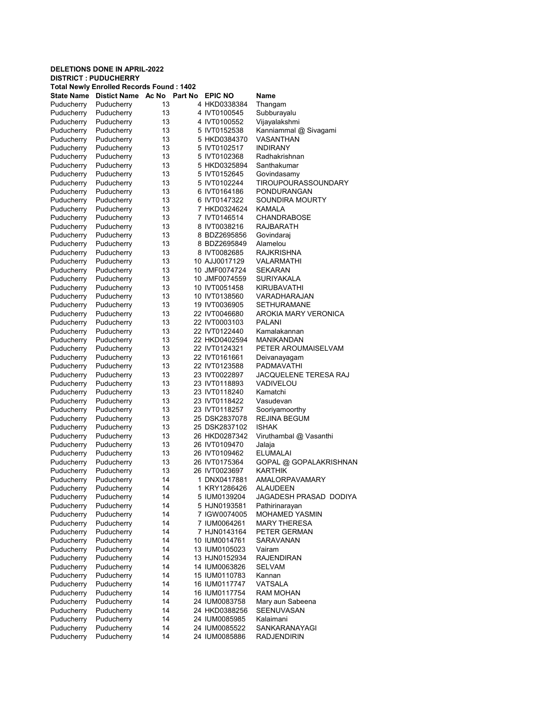## DELETIONS DONE IN APRIL-2022 DISTRICT : PUDUCHERRY Total Newly Enrolled Records Found : 1402 State Name Distict Name Ac No Part No EPIC NO Name Puducherry Puducherry 13 4 HKD0338384 Thangam Puducherry Puducherry 13 4 IVT0100545 Subburayalu Puducherry Puducherry 13 4 IVT0100552 Vijayalakshmi Puducherry Puducherry 13 5 IVT0152538 Kanniammal @ Sivagami Puducherry Puducherry 13 5 HKD0384370 VASANTHAN Puducherry Puducherry 13 5 IVT0102517 INDIRANY Puducherry Puducherry 13 5 IVT0102368 Radhakrishnan Puducherry Puducherry 13 5 HKD0325894 Santhakumar Puducherry 13 5 IVT0152645 Govindasamy<br>Puducherry 13 5 IVT0102244 TIROUPOUR Puducherry Puducherry 13 5 IVT0102244 TIROUPOURASSOUNDARY Puducherry Puducherry 13 6 IVT0164186 PONDURANGAN<br>Puducherry Puducherry 13 6 IVT0147322 SOUNDIRA MOUI Puducherry 13 6 IVT0147322 SOUNDIRA MOURTY Puducherry Puducherry 13 7 HKD0324624 KAMALA Puducherry Puducherry 13 7 IVT0146514 CHANDRABOSE<br>Puducherry Puducherry 13 8 IVT0038216 RAJBARATH Puducherry Puducherry 13 8 IVT0038216 RAJBARATH Puducherry Puducherry 13 8 BDZ2695856 Govindaraj Puducherry Puducherry 13 8 BDZ2695849 Alamelou Puducherry Puducherry 13 8 IVT0082685 RAJKRISHNA 10 AJJ0017129 Puducherry Puducherry 13 10 JMF0074724 SEKARAN Puducherry Puducherry 13 10 JMF0074559 SURIYAKALA Puducherry Puducherry 13 10 IVT0051458 KIRUBAVATHI Puducherry Puducherry 13 10 IVT0138560 VARADHARAJAN Puducherry Puducherry 13 19 IVT0036905 SETHURAMANE Puducherry Puducherry 13 22 IVT0046680 AROKIA MARY VERONICA Puducherry Puducherry 13 22 IVT0003103 PALANI Puducherry Puducherry 13 22 IVT0122440 Kamalakannan Puducherry Puducherry 13 22 HKD0402594 MANIKANDAN Puducherry Puducherry 13 22 IVT0124321 PETER AROUMAISELVAM Puducherry Puducherry 13 22 IVT0161661 Deivanayagam Puducherry Puducherry 13 22 IVT0123588 PADMAVATHI Puducherry 13 23 IVT0022897 JACQUELENE TERESA RAJ Puducherry Puducherry 13 23 IVT0118893 VADIVELOU Puducherry Puducherry 13 23 IVT0118240 Kamatchi Puducherry Puducherry 13 23 IVT0118422 Vasudevan Puducherry Puducherry 13 23 IVT0118257 Sooriyamoorthy Puducherry Puducherry 13 25 DSK2837078 REJINA BEGUM Puducherry Puducherry 13 25 DSK2837102 ISHAK Puducherry Puducherry 13 26 HKD0287342 Viruthambal @ Vasanthi Puducherry Puducherry 13 26 IVT0109470 Jalaja 26 IVT0109462 Puducherry Puducherry 13 26 IVT0175364 GOPAL @ GOPALAKRISHNAN Puducherry Puducherry 13 26 IVT0023697 KARTHIK<br>Puducherry Puducherry 14 1 DNX0417881 AMALORI AMALORPAVAMARY Puducherry Puducherry 14 1 KRY1286426 ALAUDEEN Puducherry Puducherry 14 5 IUM0139204 JAGADESH PRASAD DODIYA Puducherry Puducherry 14 5 HJN0193581 Pathirinarayan Puducherry Puducherry 14 7 IGW0074005 MOHAMED YASMIN Puducherry Puducherry 14 7 IUM0064261 MARY THERESA Puducherry Puducherry 14 7 HJN0143164 PETER GERMAN Puducherry Puducherry 14 10 IUM0014761 SARAVANAN Puducherry Puducherry 14 13 IUM0105023 Vairam Puducherry Puducherry 14 13 HJN0152934 RAJENDIRAN Puducherry Puducherry 14 14 IUM0063826 SELVAM Puducherry Puducherry 14 15 IUM0110783 Kannan Puducherry Puducherry 14 16 IUM0117747 VATSALA Puducherry Puducherry 14 16 IUM0117754 Puducherry Puducherry 14 24 IUM0083758 Mary aun Sabeena Puducherry 14 24 HKD0388256 Puducherry Puducherry 14 24 IUM0085985 Kalaimani Puducherry Puducherry 14 24 IUM0085522 SANKARANAYAGI<br>Puducherry Puducherry 14 24 IUM0085886 RADJENDIRIN

Puducherry Puducherry 14 24 IUM0085886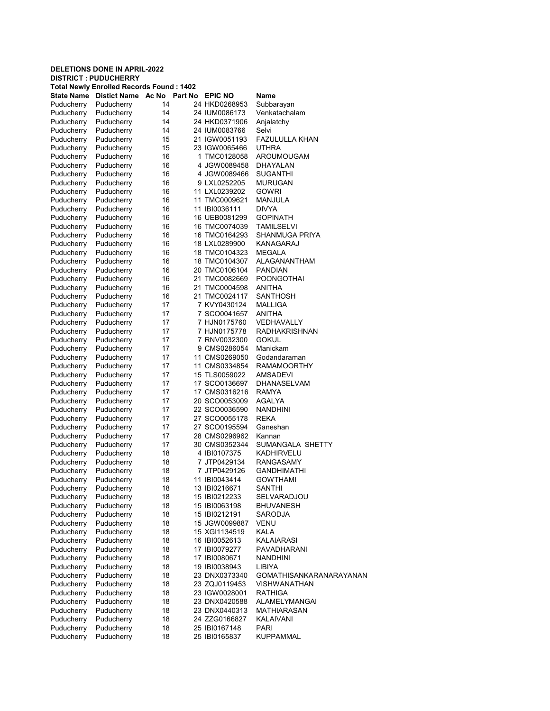|                          | <b>DELETIONS DONE IN APRIL-2022</b> |                                                 |                                |                                   |
|--------------------------|-------------------------------------|-------------------------------------------------|--------------------------------|-----------------------------------|
|                          | <b>DISTRICT: PUDUCHERRY</b>         | <b>Total Newly Enrolled Records Found: 1402</b> |                                |                                   |
|                          | State Name Distict Name Ac No       | Part No                                         | <b>EPIC NO</b>                 | Name                              |
| Puducherry               | Puducherry                          | 14                                              | 24 HKD0268953                  | Subbarayan                        |
| Puducherry               | Puducherry                          | 14                                              | 24 IUM0086173                  | Venkatachalam                     |
| Puducherry               | Puducherry                          | 14                                              | 24 HKD0371906                  | Anjalatchy                        |
| Puducherry               | Puducherry                          | 14                                              | 24 IUM0083766                  | Selvi                             |
| Puducherry               | Puducherry                          | 15                                              | 21 IGW0051193                  | FAZULULLA KHAN                    |
| Puducherry               | Puducherry                          | 15                                              | 23 IGW0065466                  | UTHRA                             |
| Puducherry               | Puducherry                          | 16                                              | 1 TMC0128058                   | AROUMOUGAM                        |
| Puducherry<br>Puducherry | Puducherry<br>Puducherry            | 16                                              | 4 JGW0089458                   | DHAYALAN<br><b>SUGANTHI</b>       |
| Puducherry               | Puducherry                          | 16<br>16                                        | 4 JGW0089466<br>9 LXL0252205   | MURUGAN                           |
| Puducherry               | Puducherry                          | 16                                              | 11 LXL0239202                  | <b>GOWRI</b>                      |
| Puducherry               | Puducherry                          | 16                                              | 11 TMC0009621                  | MANJULA                           |
| Puducherry               | Puducherry                          | 16                                              | 11 IBI0036111                  | DIVYA                             |
| Puducherry               | Puducherry                          | 16                                              | 16 UEB0081299                  | <b>GOPINATH</b>                   |
| Puducherry               | Puducherry                          | 16                                              | 16 TMC0074039                  | <b>TAMILSELVI</b>                 |
| Puducherry               | Puducherry                          | 16                                              | 16 TMC0164293                  | SHANMUGA PRIYA                    |
| Puducherry               | Puducherry                          | 16                                              | 18 LXL0289900                  | KANAGARAJ                         |
| Puducherry               | Puducherry                          | 16                                              | 18 TMC0104323                  | <b>MEGALA</b>                     |
| Puducherry               | Puducherry                          | 16                                              | 18 TMC0104307                  | ALAGANANTHAM                      |
| Puducherry               | Puducherry                          | 16                                              | 20 TMC0106104                  | <b>PANDIAN</b>                    |
| Puducherry               | Puducherry                          | 16                                              | 21 TMC0082669                  | <b>POONGOTHAI</b>                 |
| Puducherry               | Puducherry                          | 16                                              | 21 TMC0004598                  | ANITHA                            |
| Puducherry               | Puducherry                          | 16                                              | 21 TMC0024117                  | <b>SANTHOSH</b><br><b>MALLIGA</b> |
| Puducherry<br>Puducherry | Puducherry<br>Puducherry            | 17<br>17                                        | 7 KVY0430124<br>7 SCO0041657   | ANITHA                            |
| Puducherry               | Puducherry                          | 17                                              | 7 HJN0175760                   | VEDHAVALLY                        |
| Puducherry               | Puducherry                          | 17                                              | 7 HJN0175778                   | <b>RADHAKRISHNAN</b>              |
| Puducherry               | Puducherry                          | 17                                              | 7 RNV0032300                   | <b>GOKUL</b>                      |
| Puducherry               | Puducherry                          | 17                                              | 9 CMS0286054                   | Manickam                          |
| Puducherry               | Puducherry                          | 17                                              | 11 CMS0269050                  | Godandaraman                      |
| Puducherry               | Puducherry                          | 17                                              | 11 CMS0334854                  | RAMAMOORTHY                       |
| Puducherry               | Puducherry                          | 17                                              | 15 TLS0059022                  | AMSADEVI                          |
| Puducherry               | Puducherry                          | 17                                              | 17 SCO0136697                  | <b>DHANASELVAM</b>                |
| Puducherry               | Puducherry                          | 17                                              | 17 CMS0316216                  | RAMYA                             |
| Puducherry               | Puducherry                          | 17                                              | 20 SCO0053009                  | AGALYA                            |
| Puducherry               | Puducherry                          | 17                                              | 22 SCO0036590                  | <b>NANDHINI</b>                   |
| Puducherry<br>Puducherry | Puducherry<br>Puducherry            | 17<br>17                                        | 27 SCO0055178<br>27 SCO0195594 | REKA<br>Ganeshan                  |
| Puducherry               | Puducherry                          | 17                                              | 28 CMS0296962                  | Kannan                            |
| Puducherry               | Puducherry                          | 17                                              | 30 CMS0352344                  | SUMANGALA SHETTY                  |
| Puducherry               | Puducherry                          | 18                                              | 4 IBI0107375                   | KADHIRVELU                        |
| Puducherry               | Puducherry                          | 18                                              | 7 JTP0429134                   | RANGASAMY                         |
| Puducherry               | Puducherry                          | 18                                              | 7 JTP0429126                   | <b>GANDHIMATHI</b>                |
| Puducherry               | Puducherry                          | 18                                              | 11 IBI0043414                  | <b>GOWTHAMI</b>                   |
| Puducherry               | Puducherry                          | 18                                              | 13 IBI0216671                  | SANTHI                            |
| Puducherry               | Puducherry                          | 18                                              | 15 IBI0212233                  | SELVARADJOU                       |
| Puducherry               | Puducherry                          | 18                                              | 15 IBI0063198                  | <b>BHUVANESH</b>                  |
| Puducherry               | Puducherry                          | 18                                              | 15 IBI0212191                  | <b>SARODJA</b>                    |
| Puducherry               | Puducherry                          | 18                                              | 15 JGW0099887                  | <b>VENU</b>                       |
| Puducherry<br>Puducherry | Puducherry<br>Puducherry            | 18<br>18                                        | 15 XGI1134519<br>16 IBI0052613 | KALA<br>KALAIARASI                |
| Puducherry               | Puducherry                          | 18                                              | 17 IBI0079277                  | PAVADHARANI                       |
| Puducherry               | Puducherry                          | 18                                              | 17 IBI0080671                  | <b>NANDHINI</b>                   |
| Puducherry               | Puducherry                          | 18                                              | 19 IBI0038943                  | LIBIYA                            |
| Puducherry               | Puducherry                          | 18                                              | 23 DNX0373340                  | <b>GOMATHISANKARANARAYANAN</b>    |
| Puducherry               | Puducherry                          | 18                                              | 23 ZQJ0119453                  | <b>VISHWANATHAN</b>               |
| Puducherry               | Puducherry                          | 18                                              | 23 IGW0028001                  | <b>RATHIGA</b>                    |
| Puducherry               | Puducherry                          | 18                                              | 23 DNX0420588                  | ALAMELYMANGAI                     |
| Puducherry               | Puducherry                          | 18                                              | 23 DNX0440313                  | MATHIARASAN                       |
| Puducherry               | Puducherry                          | 18                                              | 24 ZZG0166827                  | KALAIVANI                         |
| Puducherry               | Puducherry                          | 18                                              | 25 IBI0167148                  | PARI                              |
| Puducherry               | Puducherry                          | 18                                              | 25 IBI0165837                  | <b>KUPPAMMAL</b>                  |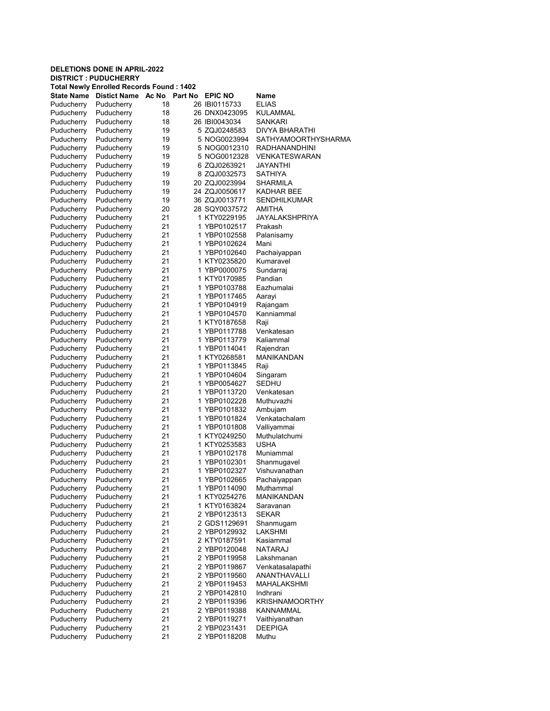|                          | <b>DELETIONS DONE IN APRIL-2022</b><br><b>DISTRICT : PUDUCHERRY</b> |          |  |                              |                                  |  |  |  |  |
|--------------------------|---------------------------------------------------------------------|----------|--|------------------------------|----------------------------------|--|--|--|--|
|                          | <b>Total Newly Enrolled Records Found: 1402</b>                     |          |  |                              |                                  |  |  |  |  |
| <b>State Name</b>        | Distict Name Ac No.                                                 | Part No  |  | <b>EPIC NO</b>               | Name                             |  |  |  |  |
| Puducherry               | Puducherry                                                          | 18       |  | 26 IBI0115733                | <b>ELIAS</b>                     |  |  |  |  |
| Puducherry               | Puducherry                                                          | 18       |  | 26 DNX0423095                | KULAMMAL                         |  |  |  |  |
| Puducherry               | Puducherry                                                          | 18       |  | 26 IBI0043034                | SANKARI                          |  |  |  |  |
| Puducherry               | Puducherry                                                          | 19       |  | 5 ZQJ0248583                 | DIVYA BHARATHI                   |  |  |  |  |
| Puducherry               | Puducherry                                                          | 19       |  | 5 NOG0023994                 | SATHYAMOORTHYSHARMA              |  |  |  |  |
| Puducherry               | Puducherry                                                          | 19       |  | 5 NOG0012310                 | RADHANANDHINI                    |  |  |  |  |
| Puducherry               | Puducherry                                                          | 19       |  | 5 NOG0012328                 | VENKATESWARAN                    |  |  |  |  |
| Puducherry               | Puducherry                                                          | 19       |  | 6 ZQJ0263921                 | JAYANTHI                         |  |  |  |  |
| Puducherry               | Puducherry                                                          | 19       |  | 8 ZQJ0032573                 | <b>SATHIYA</b>                   |  |  |  |  |
| Puducherry               | Puducherry                                                          | 19       |  | 20 ZQJ0023994                | SHARMILA                         |  |  |  |  |
| Puducherry               | Puducherry                                                          | 19       |  | 24 ZQJ0050617                | KADHAR BEE                       |  |  |  |  |
| Puducherry               | Puducherry                                                          | 19       |  | 36 ZQJ0013771                | SENDHILKUMAR                     |  |  |  |  |
| Puducherry               | Puducherry                                                          | 20       |  | 28 SQY0037572                | AMITHA                           |  |  |  |  |
| Puducherry               | Puducherry                                                          | 21       |  | 1 KTY0229195                 | JAYALAKSHPRIYA                   |  |  |  |  |
| Puducherry               | Puducherry                                                          | 21       |  | 1 YBP0102517                 | Prakash                          |  |  |  |  |
| Puducherry               | Puducherry                                                          | 21       |  | 1 YBP0102558                 | Palanisamy                       |  |  |  |  |
| Puducherry               | Puducherry                                                          | 21       |  | 1 YBP0102624                 | Mani                             |  |  |  |  |
| Puducherry               | Puducherry                                                          | 21       |  | 1 YBP0102640                 | Pachaiyappan                     |  |  |  |  |
| Puducherry               | Puducherry                                                          | 21       |  | 1 KTY0235820                 | Kumaravel                        |  |  |  |  |
| Puducherry               | Puducherry                                                          | 21       |  | 1 YBP0000075                 | Sundarrai                        |  |  |  |  |
| Puducherry               | Puducherry                                                          | 21       |  | 1 KTY0170985                 | Pandian                          |  |  |  |  |
| Puducherry               | Puducherry                                                          | 21       |  | 1 YBP0103788                 | Eazhumalai                       |  |  |  |  |
| Puducherry               | Puducherry                                                          | 21       |  | 1 YBP0117465                 | Aarayi                           |  |  |  |  |
| Puducherry               | Puducherry                                                          | 21       |  | 1 YBP0104919                 | Rajangam                         |  |  |  |  |
| Puducherry               | Puducherry                                                          | 21       |  | 1 YBP0104570                 | Kanniammal                       |  |  |  |  |
| Puducherry               | Puducherry                                                          | 21       |  | 1 KTY0187658                 | Raji                             |  |  |  |  |
| Puducherry               | Puducherry                                                          | 21       |  | 1 YBP0117788                 | Venkatesan                       |  |  |  |  |
| Puducherry               | Puducherry                                                          | 21       |  | 1 YBP0113779                 | Kaliammal                        |  |  |  |  |
| Puducherry               | Puducherry                                                          | 21       |  | 1 YBP0114041                 | Rajendran                        |  |  |  |  |
| Puducherry               | Puducherry                                                          | 21       |  | 1 KTY0268581                 | MANIKANDAN                       |  |  |  |  |
| Puducherry               | Puducherry                                                          | 21       |  | 1 YBP0113845                 | Raji                             |  |  |  |  |
| Puducherry               | Puducherry                                                          | 21       |  | 1 YBP0104604                 | Singaram                         |  |  |  |  |
| Puducherry               | Puducherry                                                          | 21       |  | 1 YBP0054627                 | SEDHU                            |  |  |  |  |
| Puducherry               | Puducherry                                                          | 21       |  | 1 YBP0113720                 | Venkatesan                       |  |  |  |  |
| Puducherry               | Puducherry                                                          | 21       |  | 1 YBP0102228                 | Muthuvazhi                       |  |  |  |  |
| Puducherry               | Puducherry                                                          | 21       |  | 1 YBP0101832                 | Ambuiam                          |  |  |  |  |
| Puducherry               | Puducherry                                                          | 21       |  | 1 YBP0101824                 | Venkatachalam                    |  |  |  |  |
| Puducherry               | Puducherry                                                          | 21       |  | 1 YBP0101808                 | Valliyammai                      |  |  |  |  |
| Puducherry               | Puducherry                                                          | 21       |  | 1 KTY0249250                 | Muthulatchumi                    |  |  |  |  |
| Puducherry               | Puducherry                                                          | 21       |  | 1 KTY0253583                 | USHA                             |  |  |  |  |
| Puducherry               | Puducherry                                                          | 21       |  | 1 YBP0102178                 | Muniammal                        |  |  |  |  |
| Puducherry               | Puducherry                                                          | 21       |  | 1 YBP0102301                 | Shanmugavel                      |  |  |  |  |
| Puducherry               | Puducherry                                                          | 21       |  | 1 YBP0102327                 | Vishuvanathan                    |  |  |  |  |
| Puducherry               | Puducherry                                                          | 21       |  | 1 YBP0102665                 | Pachaiyappan                     |  |  |  |  |
| Puducherry               | Puducherry                                                          | 21       |  | 1 YBP0114090                 | Muthammal                        |  |  |  |  |
| Puducherry               | Puducherry                                                          | 21       |  | 1 KTY0254276                 | MANIKANDAN                       |  |  |  |  |
| Puducherry               | Puducherry                                                          | 21       |  | 1 KTY0163824                 | Saravanan                        |  |  |  |  |
| Puducherry               | Puducherry                                                          | 21       |  | 2 YBP0123513                 | <b>SEKAR</b>                     |  |  |  |  |
| Puducherry               | Puducherry                                                          | 21       |  | 2 GDS1129691                 | Shanmugam                        |  |  |  |  |
| Puducherry               | Puducherry                                                          | 21       |  | 2 YBP0129932                 | LAKSHMI                          |  |  |  |  |
| Puducherry               | Puducherry                                                          | 21       |  | 2 KTY0187591                 | Kasiammal                        |  |  |  |  |
| Puducherry               | Puducherry                                                          | 21       |  | 2 YBP0120048                 | NATARAJ                          |  |  |  |  |
| Puducherry               | Puducherry                                                          | 21       |  | 2 YBP0119958                 | Lakshmanan                       |  |  |  |  |
| Puducherry               | Puducherry                                                          | 21       |  | 2 YBP0119867                 | Venkatasalapathi                 |  |  |  |  |
| Puducherry               | Puducherry                                                          | 21       |  | 2 YBP0119560                 | ANANTHAVALLI                     |  |  |  |  |
| Puducherry               | Puducherry                                                          | 21       |  | 2 YBP0119453                 | MAHALAKSHMI                      |  |  |  |  |
| Puducherry               | Puducherry                                                          | 21       |  | 2 YBP0142810                 | Indhrani                         |  |  |  |  |
| Puducherry               | Puducherry                                                          | 21       |  | 2 YBP0119396                 | KRISHNAMOORTHY                   |  |  |  |  |
| Puducherry               | Puducherry                                                          | 21<br>21 |  | 2 YBP0119388                 | KANNAMMAL                        |  |  |  |  |
| Puducherry<br>Puducherry | Puducherry<br>Puducherry                                            | 21       |  | 2 YBP0119271<br>2 YBP0231431 | Vaithiyanathan<br><b>DEEPIGA</b> |  |  |  |  |
| Puducherry               | Puducherry                                                          | 21       |  | 2 YBP0118208                 | Muthu                            |  |  |  |  |
|                          |                                                                     |          |  |                              |                                  |  |  |  |  |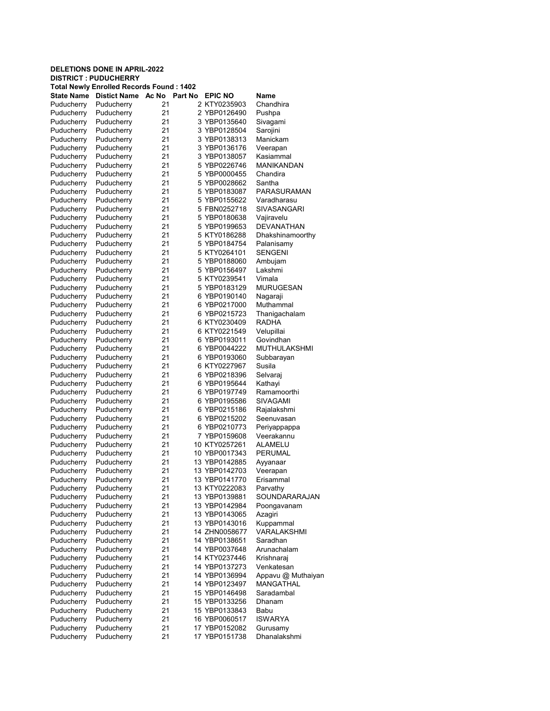# DELETIONS DONE IN APRIL-2022 DISTRICT : PUDUCHERRY Total Newly Enrolled Records Found : 1402 State Name Distict Name Ac No Part No EPIC NO Name Puducherry Puducherry 21 2 KTY0235903 Chandhira Puducherry Puducherry 21 2 YBP0126490 Pushpa Puducherry Puducherry 21 3 YBP0135640 Sivagami Puducherry Puducherry 21 3 YBP0128504 Sarojini

| , auuviivii y |            | <u>.</u> . | <b>UU VILVU</b> | ,,,,,,,,,          |
|---------------|------------|------------|-----------------|--------------------|
| Puducherry    | Puducherry | 21         | 3 YBP0138313    | Manickam           |
| Puducherry    | Puducherry | 21         | 3 YBP0136176    | Veerapan           |
| Puducherry    | Puducherry | 21         | 3 YBP0138057    | Kasiammal          |
| Puducherry    | Puducherry | 21         | 5 YBP0226746    | MANIKANDAN         |
| Puducherry    | Puducherry | 21         | 5 YBP0000455    | Chandira           |
| Puducherry    | Puducherry | 21         | 5 YBP0028662    | Santha             |
| Puducherry    | Puducherry | 21         | 5 YBP0183087    | PARASURAMAN        |
| Puducherry    | Puducherry | 21         | 5 YBP0155622    | Varadharasu        |
| Puducherry    | Puducherry | 21         | 5 FBN0252718    | SIVASANGARI        |
| Puducherry    | Puducherry | 21         | 5 YBP0180638    | Vajiravelu         |
| Puducherry    | Puducherry | 21         | 5 YBP0199653    | DEVANATHAN         |
| Puducherry    | Puducherry | 21         | 5 KTY0186288    | Dhakshinamoorthy   |
| Puducherry    | Puducherry | 21         | 5 YBP0184754    | Palanisamy         |
| Puducherry    | Puducherry | 21         | 5 KTY0264101    | <b>SENGENI</b>     |
| Puducherry    | Puducherry | 21         | 5 YBP0188060    | Ambujam            |
| Puducherry    | Puducherry | 21         | 5 YBP0156497    | Lakshmi            |
| Puducherry    | Puducherry | 21         | 5 KTY0239541    | Vimala             |
| Puducherry    | Puducherry | 21         | 5 YBP0183129    | MURUGESAN          |
|               |            | 21         | 6 YBP0190140    |                    |
| Puducherry    | Puducherry |            |                 | Nagaraji           |
| Puducherry    | Puducherry | 21         | 6 YBP0217000    | Muthammal          |
| Puducherry    | Puducherry | 21         | 6 YBP0215723    | Thanigachalam      |
| Puducherry    | Puducherry | 21         | 6 KTY0230409    | RADHA              |
| Puducherry    | Puducherry | 21         | 6 KTY0221549    | Velupillai         |
| Puducherry    | Puducherry | 21         | 6 YBP0193011    | Govindhan          |
| Puducherry    | Puducherry | 21         | 6 YBP0044222    | MUTHULAKSHMI       |
| Puducherry    | Puducherry | 21         | 6 YBP0193060    | Subbarayan         |
| Puducherry    | Puducherry | 21         | 6 KTY0227967    | Susila             |
| Puducherry    | Puducherry | 21         | 6 YBP0218396    | Selvaraj           |
| Puducherry    | Puducherry | 21         | 6 YBP0195644    | Kathayi            |
| Puducherry    | Puducherry | 21         | 6 YBP0197749    | Ramamoorthi        |
| Puducherry    | Puducherry | 21         | 6 YBP0195586    | SIVAGAMI           |
| Puducherry    | Puducherry | 21         | 6 YBP0215186    | Rajalakshmi        |
| Puducherry    | Puducherry | 21         | 6 YBP0215202    | Seenuvasan         |
| Puducherry    | Puducherry | 21         | 6 YBP0210773    | Periyappappa       |
| Puducherry    | Puducherry | 21         | 7 YBP0159608    | Veerakannu         |
| Puducherry    | Puducherry | 21         | 10 KTY0257261   | ALAMELU            |
| Puducherry    | Puducherry | 21         | 10 YBP0017343   | PERUMAL            |
| Puducherry    | Puducherry | 21         | 13 YBP0142885   | Ayyanaar           |
| Puducherry    | Puducherry | 21         | 13 YBP0142703   | Veerapan           |
| Puducherry    | Puducherry | 21         | 13 YBP0141770   | Erisammal          |
| Puducherry    | Puducherry | 21         | 13 KTY0222083   | Parvathy           |
| Puducherry    | Puducherry | 21         | 13 YBP0139881   | SOUNDARARAJAN      |
| Puducherry    | Puducherry | 21         | 13 YBP0142984   | Poongavanam        |
| Puducherry    | Puducherry | 21         | 13 YBP0143065   | Azagiri            |
| Puducherry    | Puducherry | 21         | 13 YBP0143016   | Kuppammal          |
| Puducherry    | Puducherry | 21         | 14 ZHN0058677   | VARALAKSHMI        |
| Puducherry    | Puducherry | 21         | 14 YBP0138651   | Saradhan           |
| Puducherry    | Puducherry | 21         | 14 YBP0037648   | Arunachalam        |
| Puducherry    | Puducherry | 21         | 14 KTY0237446   | Krishnaraj         |
| Puducherry    | Puducherry | 21         | 14 YBP0137273   | Venkatesan         |
| Puducherry    | Puducherry | 21         | 14 YBP0136994   | Appavu @ Muthaiyan |
| Puducherry    | Puducherry | 21         | 14 YBP0123497   | <b>MANGATHAL</b>   |
| Puducherry    | Puducherry | 21         | 15 YBP0146498   | Saradambal         |
| Puducherry    | Puducherry | 21         | 15 YBP0133256   | Dhanam             |
| Puducherry    | Puducherry | 21         | 15 YBP0133843   | Babu               |
| Puducherry    | Puducherry | 21         | 16 YBP0060517   | <b>ISWARYA</b>     |
| Puducherry    | Puducherry | 21         | 17 YBP0152082   | Gurusamy           |
| Puducherry    | Puducherry | 21         | 17 YBP0151738   | Dhanalakshmi       |
|               |            |            |                 |                    |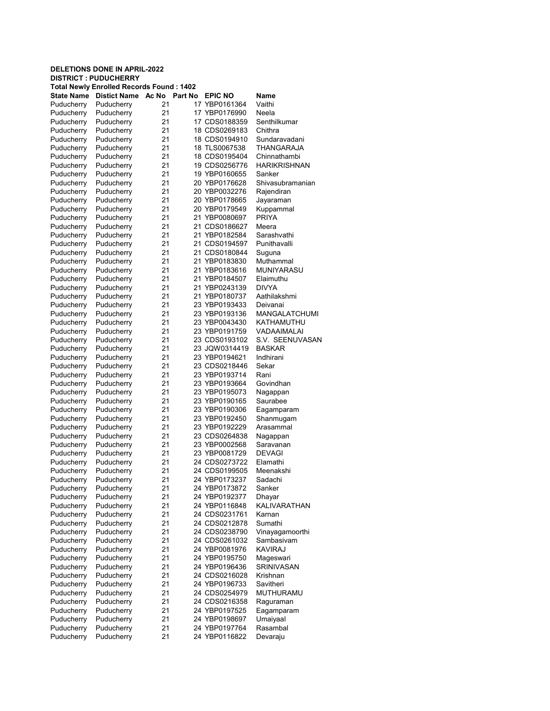#### DELETIONS DONE IN APRIL-2022 DISTRICT : PUDUCHERRY Total Newly Enrolled Records Found : 1402 State Name Distict Name Ac No Part No EPIC NO Name Puducherry Puducherry 21 17 YBP0161364 Vaithi Puducherry Puducherry 21 17 YBP0176990 Neela Puducherry Puducherry 21 17 CDS0188359 Senthilkumar Puducherry Puducherry 21 18 CDS0269183 Chithra Puducherry Puducherry 21 18 CDS0194910 Sundaravadani Puducherry Puducherry 21 18 TLS0067538 THANGARAJA Puducherry Puducherry 21 18 CDS0195404 Chinnathambi Puducherry Puducherry 21 19 CDS0256776 HARIKRISHNAN<br>Puducherry Puducherry 21 19 YBP0160655 Sanker Puducherry Puducherry 21 19 YBP0160655<br>
Puducherry Puducherry 21 20 YBP0176628 Puducherry Puducherry 21 20 YBP0176628 Shivasubramanian Puducherry Puducherry 21 20 YBP0032276 Rajendiran Puducherry Puducherry 21 20 YBP0178665 Jayaraman Puducherry Puducherry 21 20 YBP0179549 Kuppammal Puducherry Puducherry 21 21 YBP0080697 PRIYA Puducherry Puducherry 21 21 CDS0186627 Meera Puducherry Puducherry 21 21 YBP0182584 Sarashvathi Puducherry Puducherry 21 21 CDS0194597 Punithavalli Puducherry Puducherry 21 21 CDS0180844 Suguna YBP0183830 Puducherry Puducherry 21 21 YBP0183616 MUNIYARASU Puducherry Puducherry 21 21 YBP0184507 Elaimuthu Puducherry Puducherry 21 21 YBP0243139 DIVYA Puducherry Puducherry 21 21 YBP0180737 Aathilakshmi Puducherry Puducherry 21 23 YBP0193433 Deivanai Puducherry Puducherry 21 23 YBP0193136 MANGALATCHUMI Puducherry Puducherry 21 23 YBP0043430 KATHAMUTHU Puducherry Puducherry 21 23 YBP0191759 VADAAIMALAI Puducherry Puducherry 21 23 CDS0193102 S.V. SEENUVASAN Puducherry Puducherry 21 23 JQW0314419 BASKAR Puducherry Puducherry 21 23 YBP0194621 Indhirani Puducherry Puducherry 21 23 CDS0218446 Sekar Puducherry Puducherry 21 23 YBP0193714 Rani Puducherry Puducherry 21 23 YBP0193664 Govindhan Puducherry Puducherry 21 23 YBP0195073 Nagappan Puducherry Puducherry 21 23 YBP0190165 Saurabee Puducherry Puducherry 21 23 YBP0190306 Eagamparam 21 23 YBP0192450 Shanmugam Puducherry Puducherry 21 23 YBP0192229 Arasammal Puducherry Puducherry 21 23 CDS0264838 Nagappan Puducherry Puducherry 21 23 YBP0002568 Saravanan 21 23 YBP0081729 Puducherry Puducherry 21 24 CDS0273722 Elamathi Puducherry Puducherry 21 24 CDS0199505 Meenakshi 24 YBP0173237 Puducherry Puducherry 21 24 YBP0173872 Sanker Puducherry Puducherry 21 24 YBP0192377 Dhayar Puducherry Puducherry 21 24 YBP0116848 KALIVARATHAN Puducherry Puducherry 21 24 CDS0231761 Karnan Puducherry Puducherry 21 24 CDS0212878 Sumathi Puducherry Puducherry 21 24 CDS0238790 Vinayagamoorthi Puducherry Puducherry 21 24 CDS0261032 Sambasivam Puducherry Puducherry 21 24 YBP0081976 KAVIRAJ Puducherry Puducherry 21 24 YBP0195750 Mageswari Puducherry Puducherry 21 24 YBP0196436 SRINIVASAN Puducherry Puducherry 21 24 CDS0216028 Krishnan Puducherry Puducherry 21 24 YBP0196733 Savitheri Puducherry Puducherry 21 24 CDS0254979 Puducherry Puducherry 21 24 CDS0216358 Raguraman Puducherry Puducherry 21 24 YBP0197525 Eagamparam Puducherry Puducherry 21 24 YBP0198697 Umaiyaal Puducherry Puducherry 21 24 YBP0197764 Rasambal

Puducherry Puducherry 21 24 YBP0116822 Devaraju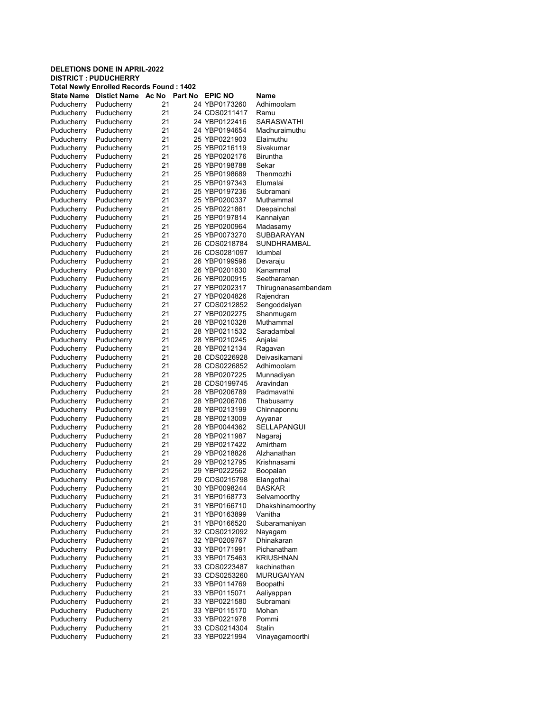| Total Newly Enrolled Records Found : 1402 |                     |       |         |                |                     |  |  |
|-------------------------------------------|---------------------|-------|---------|----------------|---------------------|--|--|
| State Name                                | <b>Distict Name</b> | Ac No | Part No | <b>EPIC NO</b> | Name                |  |  |
| Puducherry                                | Puducherry          | 21    |         | 24 YBP0173260  | Adhimoolam          |  |  |
| Puducherry                                | Puducherry          | 21    |         | 24 CDS0211417  | Ramu                |  |  |
| Puducherry                                | Puducherry          | 21    |         | 24 YBP0122416  | SARASWATHI          |  |  |
| Puducherry                                | Puducherry          | 21    |         | 24 YBP0194654  | Madhuraimuthu       |  |  |
| Puducherry                                | Puducherry          | 21    |         | 25 YBP0221903  | Elaimuthu           |  |  |
| Puducherry                                | Puducherry          | 21    |         | 25 YBP0216119  | Sivakumar           |  |  |
| Puducherry                                | Puducherry          | 21    |         | 25 YBP0202176  | <b>Biruntha</b>     |  |  |
| Puducherry                                | Puducherry          | 21    |         | 25 YBP0198788  | Sekar               |  |  |
| Puducherry                                | Puducherry          | 21    |         | 25 YBP0198689  | Thenmozhi           |  |  |
| Puducherry                                | Puducherry          | 21    |         | 25 YBP0197343  | Elumalai            |  |  |
| Puducherry                                | Puducherry          | 21    |         | 25 YBP0197236  | Subramani           |  |  |
|                                           |                     | 21    |         | 25 YBP0200337  | Muthammal           |  |  |
| Puducherry                                | Puducherry          | 21    |         | 25 YBP0221861  | Deepainchal         |  |  |
| Puducherry                                | Puducherry          |       |         |                |                     |  |  |
| Puducherry                                | Puducherry          | 21    |         | 25 YBP0197814  | Kannaiyan           |  |  |
| Puducherry                                | Puducherry          | 21    |         | 25 YBP0200964  | Madasamy            |  |  |
| Puducherry                                | Puducherry          | 21    |         | 25 YBP0073270  | <b>SUBBARAYAN</b>   |  |  |
| Puducherry                                | Puducherry          | 21    |         | 26 CDS0218784  | SUNDHRAMBAL         |  |  |
| Puducherry                                | Puducherry          | 21    |         | 26 CDS0281097  | Idumbal             |  |  |
| Puducherry                                | Puducherry          | 21    |         | 26 YBP0199596  | Devaraju            |  |  |
| Puducherry                                | Puducherry          | 21    |         | 26 YBP0201830  | Kanammal            |  |  |
| Puducherry                                | Puducherry          | 21    |         | 26 YBP0200915  | Seetharaman         |  |  |
| Puducherry                                | Puducherry          | 21    |         | 27 YBP0202317  | Thirugnanasambandam |  |  |
| Puducherry                                | Puducherry          | 21    |         | 27 YBP0204826  | Rajendran           |  |  |
| Puducherry                                | Puducherry          | 21    |         | 27 CDS0212852  | Sengoddaiyan        |  |  |
| Puducherry                                | Puducherry          | 21    |         | 27 YBP0202275  | Shanmugam           |  |  |
| Puducherry                                | Puducherry          | 21    |         | 28 YBP0210328  | Muthammal           |  |  |
| Puducherry                                | Puducherry          | 21    |         | 28 YBP0211532  | Saradambal          |  |  |
| Puducherry                                | Puducherry          | 21    |         | 28 YBP0210245  | Anjalai             |  |  |
| Puducherry                                | Puducherry          | 21    |         | 28 YBP0212134  | Ragavan             |  |  |
| Puducherry                                | Puducherry          | 21    |         | 28 CDS0226928  | Deivasikamani       |  |  |
| Puducherry                                | Puducherry          | 21    |         | 28 CDS0226852  | Adhimoolam          |  |  |
| Puducherry                                | Puducherry          | 21    |         | 28 YBP0207225  | Munnadiyan          |  |  |
|                                           |                     | 21    |         |                | Aravindan           |  |  |
| Puducherry                                | Puducherry          |       |         | 28 CDS0199745  |                     |  |  |
| Puducherry                                | Puducherry          | 21    |         | 28 YBP0206789  | Padmavathi          |  |  |
| Puducherry                                | Puducherry          | 21    |         | 28 YBP0206706  | Thabusamy           |  |  |
| Puducherry                                | Puducherry          | 21    |         | 28 YBP0213199  | Chinnaponnu         |  |  |
| Puducherry                                | Puducherry          | 21    |         | 28 YBP0213009  | Ayyanar             |  |  |
| Puducherry                                | Puducherry          | 21    |         | 28 YBP0044362  | <b>SELLAPANGUI</b>  |  |  |
| Puducherry                                | Puducherry          | 21    |         | 28 YBP0211987  | Nagaraj             |  |  |
| Puducherry                                | Puducherry          | 21    |         | 29 YBP0217422  | Amirtham            |  |  |
| Puducherry                                | Puducherry          | 21    |         | 29 YBP0218826  | Alzhanathan         |  |  |
| Puducherry                                | Puducherry          | 21    |         | 29 YBP0212795  | Krishnasami         |  |  |
| Puducherry                                | Puducherry          | 21    |         | 29 YBP0222562  | Boopalan            |  |  |
| Puducherry                                | Puducherry          | 21    |         | 29 CDS0215798  | Elangothai          |  |  |
| Puducherry                                | Puducherry          | 21    |         | 30 YBP0098244  | <b>BASKAR</b>       |  |  |
| Puducherry                                | Puducherry          | 21    |         | 31 YBP0168773  | Selvamoorthy        |  |  |
| Puducherry                                | Puducherry          | 21    |         | 31 YBP0166710  | Dhakshinamoorthy    |  |  |
| Puducherry                                | Puducherry          | 21    |         | 31 YBP0163899  | Vanitha             |  |  |
| Puducherry                                | Puducherry          | 21    |         | 31 YBP0166520  | Subaramaniyan       |  |  |
| Puducherry                                | Puducherry          | 21    |         | 32 CDS0212092  | Nayagam             |  |  |
| Puducherry                                | Puducherry          | 21    |         | 32 YBP0209767  | Dhinakaran          |  |  |
| Puducherry                                | Puducherry          | 21    |         | 33 YBP0171991  | Pichanatham         |  |  |
| Puducherry                                | Puducherry          | 21    |         | 33 YBP0175463  | KRIUSHNAN           |  |  |
| Puducherry                                | Puducherry          | 21    |         | 33 CDS0223487  | kachinathan         |  |  |
| Puducherry                                | Puducherry          | 21    |         | 33 CDS0253260  | <b>MURUGAIYAN</b>   |  |  |
|                                           |                     |       |         |                |                     |  |  |
| Puducherry                                | Puducherry          | 21    |         | 33 YBP0114769  | Boopathi            |  |  |
| Puducherry                                | Puducherry          | 21    |         | 33 YBP0115071  | Aaliyappan          |  |  |
| Puducherry                                | Puducherry          | 21    |         | 33 YBP0221580  | Subramani           |  |  |
| Puducherry                                | Puducherry          | 21    |         | 33 YBP0115170  | Mohan               |  |  |
| Puducherry                                | Puducherry          | 21    |         | 33 YBP0221978  | Pommi               |  |  |
| Puducherry                                | Puducherry          | 21    |         | 33 CDS0214304  | Stalin              |  |  |
| Puducherry                                | Puducherry          | 21    |         | 33 YBP0221994  | Vinayagamoorthi     |  |  |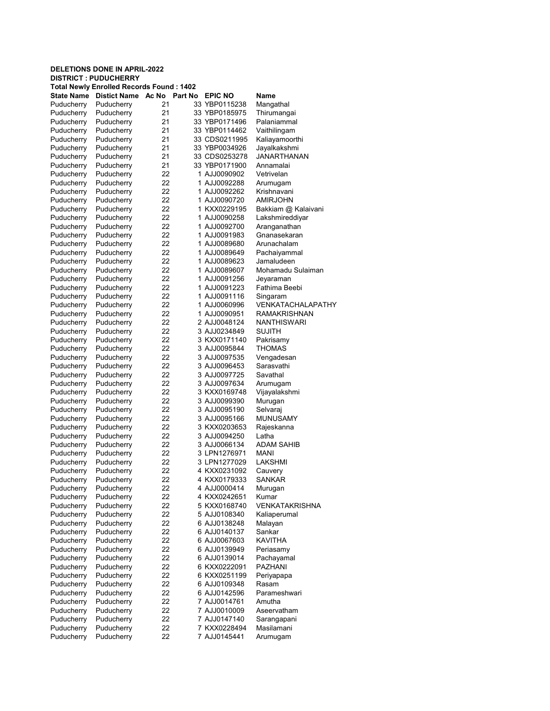| Total Newly Enrolled Records Found : 1402 |                          |       |         |                |                       |  |  |  |
|-------------------------------------------|--------------------------|-------|---------|----------------|-----------------------|--|--|--|
| <b>State Name</b>                         | <b>Distict Name</b>      | Ac No | Part No | <b>EPIC NO</b> | Name                  |  |  |  |
| Puducherry                                | Puducherry               | 21    |         | 33 YBP0115238  | Mangathal             |  |  |  |
| Puducherry                                | Puducherry               | 21    |         | 33 YBP0185975  | Thirumangai           |  |  |  |
| Puducherry                                | Puducherry               | 21    |         | 33 YBP0171496  | Palaniammal           |  |  |  |
| Puducherry                                | Puducherry               | 21    |         | 33 YBP0114462  | Vaithilingam          |  |  |  |
| Puducherry                                | Puducherry               | 21    |         | 33 CDS0211995  | Kaliayamoorthi        |  |  |  |
| Puducherry                                | Puducherry               | 21    |         | 33 YBP0034926  | Jayalkakshmi          |  |  |  |
| Puducherry                                | Puducherry               | 21    |         | 33 CDS0253278  | <b>JANARTHANAN</b>    |  |  |  |
| Puducherry                                | Puducherry               | 21    |         | 33 YBP0171900  | Annamalai             |  |  |  |
| Puducherry                                | Puducherry               | 22    |         | 1 AJJ0090902   | Vetrivelan            |  |  |  |
| Puducherry                                | Puducherry               | 22    |         | 1 AJJ0092288   | Arumugam              |  |  |  |
| Puducherry                                | Puducherry               | 22    |         | 1 AJJ0092262   | Krishnavani           |  |  |  |
| Puducherry                                | Puducherry               | 22    |         | 1 AJJ0090720   | <b>AMIRJOHN</b>       |  |  |  |
| Puducherry                                | Puducherry               | 22    |         | 1 KXX0229195   | Bakkiam @ Kalaivani   |  |  |  |
| Puducherry                                | Puducherry               | 22    |         | 1 AJJ0090258   | Lakshmireddiyar       |  |  |  |
| Puducherry                                | Puducherry               | 22    |         | 1 AJJ0092700   | Aranganathan          |  |  |  |
| Puducherry                                | Puducherry               | 22    |         | 1 AJJ0091983   | Gnanasekaran          |  |  |  |
| Puducherry                                | Puducherry               | 22    |         | 1 AJJ0089680   | Arunachalam           |  |  |  |
|                                           |                          |       |         |                |                       |  |  |  |
| Puducherry                                | Puducherry               | 22    |         | 1 AJJ0089649   | Pachaiyammal          |  |  |  |
| Puducherry                                | Puducherry               | 22    |         | 1 AJJ0089623   | Jamaludeen            |  |  |  |
| Puducherry                                | Puducherry               | 22    |         | 1 AJJ0089607   | Mohamadu Sulaiman     |  |  |  |
| Puducherry                                | Puducherry               | 22    |         | 1 AJJ0091256   | Jeyaraman             |  |  |  |
| Puducherry                                | Puducherry               | 22    |         | 1 AJJ0091223   | Fathima Beebi         |  |  |  |
| Puducherry                                | Puducherry               | 22    |         | 1 AJJ0091116   | Singaram              |  |  |  |
| Puducherry                                | Puducherry               | 22    |         | 1 AJJ0060996   | VENKATACHALAPATHY     |  |  |  |
| Puducherry                                | Puducherry               | 22    |         | 1 AJJ0090951   | <b>RAMAKRISHNAN</b>   |  |  |  |
| Puducherry                                | Puducherry               | 22    |         | 2 AJJ0048124   | NANTHISWARI           |  |  |  |
| Puducherry                                | Puducherry               | 22    |         | 3 AJJ0234849   | <b>SUJITH</b>         |  |  |  |
| Puducherry                                | Puducherry               | 22    |         | 3 KXX0171140   | Pakrisamy             |  |  |  |
| Puducherry                                | Puducherry               | 22    |         | 3 AJJ0095844   | <b>THOMAS</b>         |  |  |  |
| Puducherry                                | Puducherry               | 22    |         | 3 AJJ0097535   | Vengadesan            |  |  |  |
| Puducherry                                | Puducherry               | 22    |         | 3 AJJ0096453   | Sarasvathi            |  |  |  |
| Puducherry                                | Puducherry               | 22    |         | 3 AJJ0097725   | Savathal              |  |  |  |
| Puducherry                                | Puducherry               | 22    |         | 3 AJJ0097634   | Arumugam              |  |  |  |
| Puducherry                                | Puducherry               | 22    |         | 3 KXX0169748   | Vijayalakshmi         |  |  |  |
| Puducherry                                | Puducherry               | 22    |         | 3 AJJ0099390   | Murugan               |  |  |  |
| Puducherry                                | Puducherry               | 22    |         | 3 AJJ0095190   | Selvaraj              |  |  |  |
| Puducherry                                | Puducherry               | 22    |         | 3 AJJ0095166   | <b>MUNUSAMY</b>       |  |  |  |
| Puducherry                                | Puducherry               | 22    |         | 3 KXX0203653   | Rajeskanna            |  |  |  |
| Puducherry                                | Puducherry               | 22    |         | 3 AJJ0094250   | Latha                 |  |  |  |
| Puducherry                                | Puducherry               | 22    |         | 3 AJJ0066134   | <b>ADAM SAHIB</b>     |  |  |  |
| Puducherry                                | Puducherry               | 22    |         | 3 LPN1276971   | MANI                  |  |  |  |
| Puducherry                                | Puducherry               | 22    |         | 3 LPN1277029   | LAKSHMI               |  |  |  |
| Puducherry                                | Puducherry               | 22    |         | 4 KXX0231092   | Cauvery               |  |  |  |
| Puducherry                                | Puducherry               | 22    |         | 4 KXX0179333   | <b>SANKAR</b>         |  |  |  |
|                                           |                          | 22    |         | 4 AJJ0000414   |                       |  |  |  |
| Puducherry<br>Puducherry                  | Puducherry<br>Puducherry | 22    |         | 4 KXX0242651   | Murugan<br>Kumar      |  |  |  |
| Puducherry                                | Puducherry               | 22    |         |                | <b>VENKATAKRISHNA</b> |  |  |  |
|                                           |                          |       |         | 5 KXX0168740   |                       |  |  |  |
| Puducherry                                | Puducherry               | 22    |         | 5 AJJ0108340   | Kaliaperumal          |  |  |  |
| Puducherry                                | Puducherry               | 22    |         | 6 AJJ0138248   | Malayan               |  |  |  |
| Puducherry                                | Puducherry               | 22    |         | 6 AJJ0140137   | Sankar                |  |  |  |
| Puducherry                                | Puducherry               | 22    |         | 6 AJJ0067603   | <b>KAVITHA</b>        |  |  |  |
| Puducherry                                | Puducherry               | 22    |         | 6 AJJ0139949   | Periasamy             |  |  |  |
| Puducherry                                | Puducherry               | 22    |         | 6 AJJ0139014   | Pachayamal            |  |  |  |
| Puducherry                                | Puducherry               | 22    |         | 6 KXX0222091   | <b>PAZHANI</b>        |  |  |  |
| Puducherry                                | Puducherry               | 22    |         | 6 KXX0251199   | Periyapapa            |  |  |  |
| Puducherry                                | Puducherry               | 22    |         | 6 AJJ0109348   | Rasam                 |  |  |  |
| Puducherry                                | Puducherry               | 22    |         | 6 AJJ0142596   | Parameshwari          |  |  |  |
| Puducherry                                | Puducherry               | 22    |         | 7 AJJ0014761   | Amutha                |  |  |  |
| Puducherry                                | Puducherry               | 22    |         | 7 AJJ0010009   | Aseervatham           |  |  |  |
| Puducherry                                | Puducherry               | 22    |         | 7 AJJ0147140   | Sarangapani           |  |  |  |
| Puducherry                                | Puducherry               | 22    |         | 7 KXX0228494   | Masilamani            |  |  |  |
| Puducherry                                | Puducherry               | 22    |         | 7 AJJ0145441   | Arumugam              |  |  |  |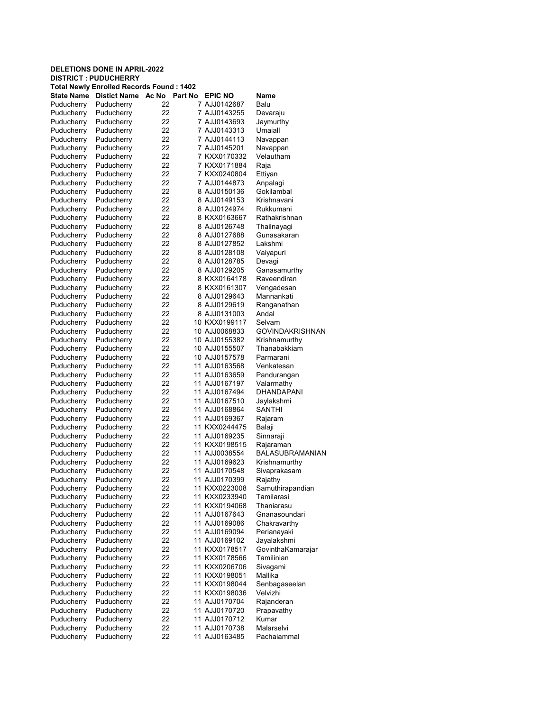| Total Newly Enrolled Records Found : 1402 |                     |       |         |                |                        |  |  |  |
|-------------------------------------------|---------------------|-------|---------|----------------|------------------------|--|--|--|
| <b>State Name</b>                         | <b>Distict Name</b> | Ac No | Part No | <b>EPIC NO</b> | Name                   |  |  |  |
| Puducherry                                | Puducherry          | 22    |         | 7 AJJ0142687   | Balu                   |  |  |  |
| Puducherry                                | Puducherry          | 22    |         | 7 AJJ0143255   | Devaraju               |  |  |  |
| Puducherry                                | Puducherry          | 22    |         | 7 AJJ0143693   | Jaymurthy              |  |  |  |
| Puducherry                                | Puducherry          | 22    |         | 7 AJJ0143313   | Umaiall                |  |  |  |
| Puducherry                                | Puducherry          | 22    |         | 7 AJJ0144113   | Navappan               |  |  |  |
| Puducherry                                | Puducherry          | 22    |         | 7 AJJ0145201   | Navappan               |  |  |  |
| Puducherry                                | Puducherry          | 22    |         | 7 KXX0170332   | Velautham              |  |  |  |
| Puducherry                                | Puducherry          | 22    |         | 7 KXX0171884   | Raja                   |  |  |  |
| Puducherry                                | Puducherry          | 22    |         | 7 KXX0240804   | Ettiyan                |  |  |  |
| Puducherry                                | Puducherry          | 22    |         | 7 AJJ0144873   | Anpalagi               |  |  |  |
| Puducherry                                | Puducherry          | 22    |         | 8 AJJ0150136   | Gokilambal             |  |  |  |
| Puducherry                                | Puducherry          | 22    |         | 8 AJJ0149153   | Krishnavani            |  |  |  |
| Puducherry                                | Puducherry          | 22    |         | 8 AJJ0124974   | Rukkumani              |  |  |  |
| Puducherry                                | Puducherry          | 22    |         | 8 KXX0163667   | Rathakrishnan          |  |  |  |
| Puducherry                                | Puducherry          | 22    |         | 8 AJJ0126748   | Thailnayagi            |  |  |  |
| Puducherry                                | Puducherry          | 22    |         | 8 AJJ0127688   | Gunasakaran            |  |  |  |
| Puducherry                                | Puducherry          | 22    |         | 8 AJJ0127852   | Lakshmi                |  |  |  |
| Puducherry                                | Puducherry          | 22    |         | 8 AJJ0128108   | Vaiyapuri              |  |  |  |
| Puducherry                                | Puducherry          | 22    |         | 8 AJJ0128785   | Devagi                 |  |  |  |
| Puducherry                                | Puducherry          | 22    |         | 8 AJJ0129205   | Ganasamurthy           |  |  |  |
| Puducherry                                | Puducherry          | 22    |         | 8 KXX0164178   | Raveendiran            |  |  |  |
| Puducherry                                | Puducherry          | 22    |         | 8 KXX0161307   | Vengadesan             |  |  |  |
| Puducherry                                | Puducherry          | 22    |         | 8 AJJ0129643   | Mannankati             |  |  |  |
| Puducherry                                | Puducherry          | 22    |         | 8 AJJ0129619   | Ranganathan            |  |  |  |
| Puducherry                                | Puducherry          | 22    |         | 8 AJJ0131003   | Andal                  |  |  |  |
| Puducherry                                | Puducherry          | 22    |         | 10 KXX0199117  | Selvam                 |  |  |  |
| Puducherry                                | Puducherry          | 22    |         | 10 AJJ0068833  | <b>GOVINDAKRISHNAN</b> |  |  |  |
|                                           |                     | 22    |         | 10 AJJ0155382  | Krishnamurthy          |  |  |  |
| Puducherry                                | Puducherry          | 22    |         | 10 AJJ0155507  | Thanabakkiam           |  |  |  |
| Puducherry                                | Puducherry          | 22    |         | 10 AJJ0157578  | Parmarani              |  |  |  |
| Puducherry                                | Puducherry          | 22    |         |                | Venkatesan             |  |  |  |
| Puducherry                                | Puducherry          | 22    |         | 11 AJJ0163568  |                        |  |  |  |
| Puducherry                                | Puducherry          |       |         | 11 AJJ0163659  | Pandurangan            |  |  |  |
| Puducherry                                | Puducherry          | 22    |         | 11 AJJ0167197  | Valarmathy             |  |  |  |
| Puducherry                                | Puducherry          | 22    |         | 11 AJJ0167494  | DHANDAPANI             |  |  |  |
| Puducherry                                | Puducherry          | 22    |         | 11 AJJ0167510  | Jaylakshmi             |  |  |  |
| Puducherry                                | Puducherry          | 22    |         | 11 AJJ0168864  | SANTHI                 |  |  |  |
| Puducherry                                | Puducherry          | 22    |         | 11 AJJ0169367  | Rajaram                |  |  |  |
| Puducherry                                | Puducherry          | 22    |         | 11 KXX0244475  | Balaji                 |  |  |  |
| Puducherry                                | Puducherry          | 22    |         | 11 AJJ0169235  | Sinnaraji              |  |  |  |
| Puducherry                                | Puducherry          | 22    |         | 11 KXX0198515  | Rajaraman              |  |  |  |
| Puducherry                                | Puducherry          | 22    |         | 11 AJJ0038554  | <b>BALASUBRAMANIAN</b> |  |  |  |
| Puducherry                                | Puducherry          | 22    |         | 11 AJJ0169623  | Krishnamurthy          |  |  |  |
| Puducherry                                | Puducherry          | 22    |         | 11 AJJ0170548  | Sivaprakasam           |  |  |  |
| Puducherry                                | Puducherry          | 22    |         | 11 AJJ0170399  | Rajathy                |  |  |  |
| Puducherry                                | Puducherry          | 22    |         | 11 KXX0223008  | Samuthirapandian       |  |  |  |
| Puducherry                                | Puducherry          | 22    |         | 11 KXX0233940  | Tamilarasi             |  |  |  |
| Puducherry                                | Puducherry          | 22    |         | 11 KXX0194068  | Thaniarasu             |  |  |  |
| Puducherry                                | Puducherry          | 22    |         | 11 AJJ0167643  | Gnanasoundari          |  |  |  |
| Puducherry                                | Puducherry          | 22    |         | 11 AJJ0169086  | Chakravarthy           |  |  |  |
| Puducherry                                | Puducherry          | 22    |         | 11 AJJ0169094  | Perianayaki            |  |  |  |
| Puducherry                                | Puducherry          | 22    |         | 11 AJJ0169102  | Jayalakshmi            |  |  |  |
| Puducherry                                | Puducherry          | 22    |         | 11 KXX0178517  | GovinthaKamarajar      |  |  |  |
| Puducherry                                | Puducherry          | 22    |         | 11 KXX0178566  | Tamilinian             |  |  |  |
| Puducherry                                | Puducherry          | 22    |         | 11 KXX0206706  | Sivagami               |  |  |  |
| Puducherry                                | Puducherry          | 22    |         | 11 KXX0198051  | Mallika                |  |  |  |
| Puducherry                                | Puducherry          | 22    |         | 11 KXX0198044  | Senbagaseelan          |  |  |  |
| Puducherry                                | Puducherry          | 22    |         | 11 KXX0198036  | Velvizhi               |  |  |  |
| Puducherry                                | Puducherry          | 22    |         | 11 AJJ0170704  | Rajanderan             |  |  |  |
| Puducherry                                | Puducherry          | 22    |         | 11 AJJ0170720  | Prapavathy             |  |  |  |
| Puducherry                                | Puducherry          | 22    |         | 11 AJJ0170712  | Kumar                  |  |  |  |
| Puducherry                                | Puducherry          | 22    |         | 11 AJJ0170738  | Malarselvi             |  |  |  |
| Puducherry                                | Puducherry          | 22    |         | 11 AJJ0163485  | Pachaiammal            |  |  |  |
|                                           |                     |       |         |                |                        |  |  |  |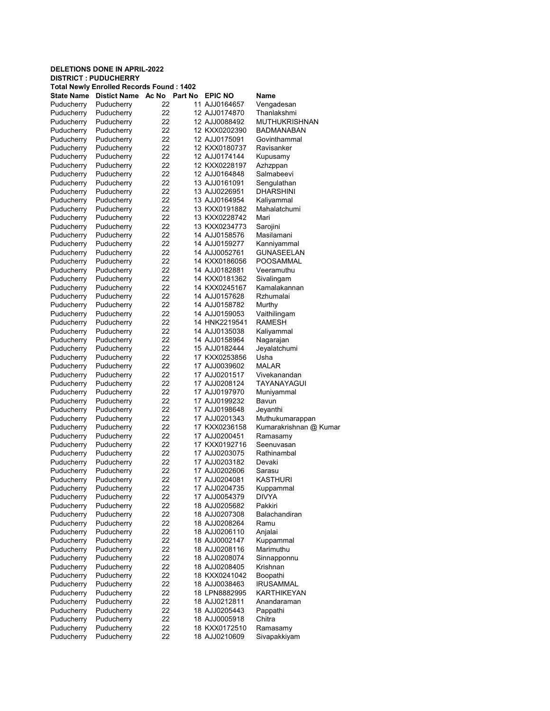| <b>Total Newly Enrolled Records Found: 1402</b> |                     |       |         |                |                        |  |
|-------------------------------------------------|---------------------|-------|---------|----------------|------------------------|--|
| State Name                                      | <b>Distict Name</b> | Ac No | Part No | <b>EPIC NO</b> | Name                   |  |
| Puducherry                                      | Puducherry          | 22    |         | 11 AJJ0164657  | Vengadesan             |  |
| Puducherry                                      | Puducherry          | 22    |         | 12 AJJ0174870  | Thanlakshmi            |  |
| Puducherry                                      | Puducherry          | 22    |         | 12 AJJ0088492  | <b>MUTHUKRISHNAN</b>   |  |
| Puducherry                                      | Puducherry          | 22    |         | 12 KXX0202390  | BADMANABAN             |  |
| Puducherry                                      | Puducherry          | 22    |         | 12 AJJ0175091  | Govinthammal           |  |
| Puducherry                                      | Puducherry          | 22    |         | 12 KXX0180737  | Ravisanker             |  |
| Puducherry                                      | Puducherry          | 22    |         | 12 AJJ0174144  | Kupusamy               |  |
| Puducherry                                      | Puducherry          | 22    |         | 12 KXX0228197  | Azhzppan               |  |
| Puducherry                                      | Puducherry          | 22    |         | 12 AJJ0164848  | Salmabeevi             |  |
|                                                 |                     | 22    |         |                |                        |  |
| Puducherry                                      | Puducherry          |       |         | 13 AJJ0161091  | Sengulathan            |  |
| Puducherry                                      | Puducherry          | 22    |         | 13 AJJ0226951  | <b>DHARSHINI</b>       |  |
| Puducherry                                      | Puducherry          | 22    |         | 13 AJJ0164954  | Kaliyammal             |  |
| Puducherry                                      | Puducherry          | 22    |         | 13 KXX0191882  | Mahalatchumi           |  |
| Puducherry                                      | Puducherry          | 22    |         | 13 KXX0228742  | Mari                   |  |
| Puducherry                                      | Puducherry          | 22    |         | 13 KXX0234773  | Sarojini               |  |
| Puducherry                                      | Puducherry          | 22    |         | 14 AJJ0158576  | Masilamani             |  |
| Puducherry                                      | Puducherry          | 22    |         | 14 AJJ0159277  | Kanniyammal            |  |
| Puducherry                                      | Puducherry          | 22    |         | 14 AJJ0052761  | <b>GUNASEELAN</b>      |  |
| Puducherry                                      | Puducherry          | 22    |         | 14 KXX0186056  | POOSAMMAL              |  |
| Puducherry                                      | Puducherry          | 22    |         | 14 AJJ0182881  | Veeramuthu             |  |
| Puducherry                                      | Puducherry          | 22    |         | 14 KXX0181362  | Sivalingam             |  |
| Puducherry                                      | Puducherry          | 22    |         | 14 KXX0245167  | Kamalakannan           |  |
| Puducherry                                      | Puducherry          | 22    |         | 14 AJJ0157628  | Rzhumalai              |  |
| Puducherry                                      | Puducherry          | 22    |         | 14 AJJ0158782  | Murthy                 |  |
| Puducherry                                      | Puducherry          | 22    |         | 14 AJJ0159053  | Vaithilingam           |  |
| Puducherry                                      | Puducherry          | 22    |         | 14 HNK2219541  | <b>RAMESH</b>          |  |
| Puducherry                                      | Puducherry          | 22    |         | 14 AJJ0135038  | Kaliyammal             |  |
|                                                 |                     | 22    |         | 14 AJJ0158964  |                        |  |
| Puducherry                                      | Puducherry          |       |         |                | Nagarajan              |  |
| Puducherry                                      | Puducherry          | 22    |         | 15 AJJ0182444  | Jeyalatchumi           |  |
| Puducherry                                      | Puducherry          | 22    |         | 17 KXX0253856  | Usha                   |  |
| Puducherry                                      | Puducherry          | 22    |         | 17 AJJ0039602  | <b>MALAR</b>           |  |
| Puducherry                                      | Puducherry          | 22    |         | 17 AJJ0201517  | Vivekanandan           |  |
| Puducherry                                      | Puducherry          | 22    |         | 17 AJJ0208124  | TAYANAYAGUI            |  |
| Puducherry                                      | Puducherry          | 22    |         | 17 AJJ0197970  | Muniyammal             |  |
| Puducherry                                      | Puducherry          | 22    |         | 17 AJJ0199232  | Bavun                  |  |
| Puducherry                                      | Puducherry          | 22    |         | 17 AJJ0198648  | Jeyanthi               |  |
| Puducherry                                      | Puducherry          | 22    |         | 17 AJJ0201343  | Muthukumarappan        |  |
| Puducherry                                      | Puducherry          | 22    |         | 17 KXX0236158  | Kumarakrishnan @ Kumar |  |
| Puducherry                                      | Puducherry          | 22    |         | 17 AJJ0200451  | Ramasamy               |  |
| Puducherry                                      | Puducherry          | 22    |         | 17 KXX0192716  | Seenuvasan             |  |
| Puducherry                                      | Puducherry          | 22    |         | 17 AJJ0203075  | Rathinambal            |  |
| Puducherry                                      | Puducherry          | 22    |         | 17 AJJ0203182  | Devaki                 |  |
| Puducherry                                      | Puducherry          | 22    |         | 17 AJJ0202606  | Sarasu                 |  |
| Puducherry                                      | Puducherry          | 22    |         | 17 AJJ0204081  | KASTHURI               |  |
| Puducherry                                      | Puducherry          | 22    |         | 17 AJJ0204735  | Kuppammal              |  |
| Puducherry                                      | Puducherry          | 22    |         | 17 AJJ0054379  | <b>DIVYA</b>           |  |
| Puducherry                                      | Puducherry          | 22    |         | 18 AJJ0205682  | Pakkiri                |  |
| Puducherry                                      | Puducherry          | 22    |         | 18 AJJ0207308  | Balachandiran          |  |
|                                                 |                     |       |         |                | Ramu                   |  |
| Puducherry                                      | Puducherry          | 22    |         | 18 AJJ0208264  |                        |  |
| Puducherry                                      | Puducherry          | 22    |         | 18 AJJ0206110  | Anjalai                |  |
| Puducherry                                      | Puducherry          | 22    |         | 18 AJJ0002147  | Kuppammal              |  |
| Puducherry                                      | Puducherry          | 22    |         | 18 AJJ0208116  | Marimuthu              |  |
| Puducherry                                      | Puducherry          | 22    |         | 18 AJJ0208074  | Sinnapponnu            |  |
| Puducherry                                      | Puducherry          | 22    |         | 18 AJJ0208405  | Krishnan               |  |
| Puducherry                                      | Puducherry          | 22    |         | 18 KXX0241042  | Boopathi               |  |
| Puducherry                                      | Puducherry          | 22    |         | 18 AJJ0038463  | <b>IRUSAMMAL</b>       |  |
| Puducherry                                      | Puducherry          | 22    |         | 18 LPN8882995  | KARTHIKEYAN            |  |
| Puducherry                                      | Puducherry          | 22    |         | 18 AJJ0212811  | Anandaraman            |  |
| Puducherry                                      | Puducherry          | 22    |         | 18 AJJ0205443  | Pappathi               |  |
| Puducherry                                      | Puducherry          | 22    |         | 18 AJJ0005918  | Chitra                 |  |
| Puducherry                                      | Puducherry          | 22    |         | 18 KXX0172510  | Ramasamy               |  |
| Puducherry                                      | Puducherry          | 22    |         | 18 AJJ0210609  | Sivapakkiyam           |  |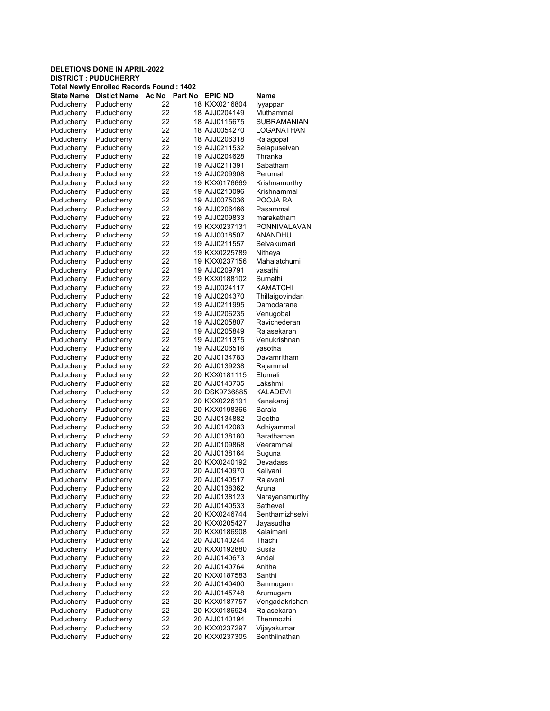| <b>Total Newly Enrolled Records Found: 1402</b> |                          |       |         |                |                    |  |  |  |  |  |
|-------------------------------------------------|--------------------------|-------|---------|----------------|--------------------|--|--|--|--|--|
| <b>State Name</b>                               | <b>Distict Name</b>      | Ac No | Part No | <b>EPIC NO</b> | Name               |  |  |  |  |  |
| Puducherry                                      | Puducherry               | 22    |         | 18 KXX0216804  | lyyappan           |  |  |  |  |  |
| Puducherry                                      | Puducherry               | 22    |         | 18 AJJ0204149  | Muthammal          |  |  |  |  |  |
| Puducherry                                      | Puducherry               | 22    |         | 18 AJJ0115675  | <b>SUBRAMANIAN</b> |  |  |  |  |  |
| Puducherry                                      | Puducherry               | 22    |         | 18 AJJ0054270  | LOGANATHAN         |  |  |  |  |  |
| Puducherry                                      | Puducherry               | 22    |         | 18 AJJ0206318  | Rajagopal          |  |  |  |  |  |
| Puducherry                                      | Puducherry               | 22    |         | 19 AJJ0211532  | Selapuselvan       |  |  |  |  |  |
| Puducherry                                      | Puducherry               | 22    |         | 19 AJJ0204628  | Thranka            |  |  |  |  |  |
| Puducherry                                      | Puducherry               | 22    |         | 19 AJJ0211391  | Sabatham           |  |  |  |  |  |
| Puducherry                                      | Puducherry               | 22    |         | 19 AJJ0209908  | Perumal            |  |  |  |  |  |
| Puducherry                                      | Puducherry               | 22    |         | 19 KXX0176669  | Krishnamurthy      |  |  |  |  |  |
| Puducherry                                      | Puducherry               | 22    |         | 19 AJJ0210096  | Krishnammal        |  |  |  |  |  |
| Puducherry                                      | Puducherry               | 22    |         | 19 AJJ0075036  | POOJA RAI          |  |  |  |  |  |
| Puducherry                                      | Puducherry               | 22    |         | 19 AJJ0206466  | Pasammal           |  |  |  |  |  |
|                                                 |                          | 22    |         |                | marakatham         |  |  |  |  |  |
| Puducherry                                      | Puducherry               |       |         | 19 AJJ0209833  |                    |  |  |  |  |  |
| Puducherry                                      | Puducherry               | 22    |         | 19 KXX0237131  | PONNIVALAVAN       |  |  |  |  |  |
| Puducherry                                      | Puducherry               | 22    |         | 19 AJJ0018507  | ANANDHU            |  |  |  |  |  |
| Puducherry                                      | Puducherry               | 22    |         | 19 AJJ0211557  | Selvakumari        |  |  |  |  |  |
| Puducherry                                      | Puducherry               | 22    |         | 19 KXX0225789  | Nitheya            |  |  |  |  |  |
| Puducherry                                      | Puducherry               | 22    |         | 19 KXX0237156  | Mahalatchumi       |  |  |  |  |  |
| Puducherry                                      | Puducherry               | 22    |         | 19 AJJ0209791  | vasathi            |  |  |  |  |  |
| Puducherry                                      | Puducherry               | 22    |         | 19 KXX0188102  | Sumathi            |  |  |  |  |  |
| Puducherry                                      | Puducherry               | 22    |         | 19 AJJ0024117  | KAMATCHI           |  |  |  |  |  |
| Puducherry                                      | Puducherry               | 22    |         | 19 AJJ0204370  | Thillaigovindan    |  |  |  |  |  |
| Puducherry                                      | Puducherry               | 22    |         | 19 AJJ0211995  | Damodarane         |  |  |  |  |  |
| Puducherry                                      | Puducherry               | 22    |         | 19 AJJ0206235  | Venugobal          |  |  |  |  |  |
| Puducherry                                      | Puducherry               | 22    |         | 19 AJJ0205807  | Ravichederan       |  |  |  |  |  |
| Puducherry                                      | Puducherry               | 22    |         | 19 AJJ0205849  | Rajasekaran        |  |  |  |  |  |
| Puducherry                                      | Puducherry               | 22    |         | 19 AJJ0211375  | Venukrishnan       |  |  |  |  |  |
| Puducherry                                      | Puducherry               | 22    |         | 19 AJJ0206516  | vasotha            |  |  |  |  |  |
| Puducherry                                      | Puducherry               | 22    |         | 20 AJJ0134783  | Davamritham        |  |  |  |  |  |
| Puducherry                                      | Puducherry               | 22    |         | 20 AJJ0139238  | Rajammal           |  |  |  |  |  |
| Puducherry                                      | Puducherry               | 22    |         | 20 KXX0181115  | Elumali            |  |  |  |  |  |
| Puducherry                                      | Puducherry               | 22    |         | 20 AJJ0143735  | Lakshmi            |  |  |  |  |  |
| Puducherry                                      | Puducherry               | 22    |         | 20 DSK9736885  | KALADEVI           |  |  |  |  |  |
| Puducherry                                      | Puducherry               | 22    |         | 20 KXX0226191  | Kanakaraj          |  |  |  |  |  |
|                                                 |                          | 22    |         | 20 KXX0198366  | Sarala             |  |  |  |  |  |
| Puducherry<br>Puducherry                        | Puducherry<br>Puducherry | 22    |         | 20 AJJ0134882  | Geetha             |  |  |  |  |  |
|                                                 |                          | 22    |         | 20 AJJ0142083  |                    |  |  |  |  |  |
| Puducherry                                      | Puducherry               |       |         |                | Adhiyammal         |  |  |  |  |  |
| Puducherry                                      | Puducherry               | 22    |         | 20 AJJ0138180  | Barathaman         |  |  |  |  |  |
| Puducherry                                      | Puducherry               | 22    |         | 20 AJJ0109868  | Veerammal          |  |  |  |  |  |
| Puducherry                                      | Puducherry               | 22    |         | 20 AJJ0138164  | Suguna             |  |  |  |  |  |
| Puducherry                                      | Puducherry               | 22    |         | 20 KXX0240192  | Devadass           |  |  |  |  |  |
| Puducherry                                      | Puducherry               | 22    |         | 20 AJJ0140970  | Kaliyani           |  |  |  |  |  |
| Puducherry                                      | Puducherry               | 22    |         | 20 AJJ0140517  | Rajaveni           |  |  |  |  |  |
| Puducherry                                      | Puducherry               | 22    |         | 20 AJJ0138362  | Aruna              |  |  |  |  |  |
| Puducherry                                      | Puducherry               | 22    |         | 20 AJJ0138123  | Narayanamurthy     |  |  |  |  |  |
| Puducherry                                      | Puducherry               | 22    |         | 20 AJJ0140533  | Sathevel           |  |  |  |  |  |
| Puducherry                                      | Puducherry               | 22    |         | 20 KXX0246744  | Senthamizhselvi    |  |  |  |  |  |
| Puducherry                                      | Puducherry               | 22    |         | 20 KXX0205427  | Jayasudha          |  |  |  |  |  |
| Puducherry                                      | Puducherry               | 22    |         | 20 KXX0186908  | Kalaimani          |  |  |  |  |  |
| Puducherry                                      | Puducherry               | 22    |         | 20 AJJ0140244  | Thachi             |  |  |  |  |  |
| Puducherry                                      | Puducherry               | 22    |         | 20 KXX0192880  | Susila             |  |  |  |  |  |
| Puducherry                                      | Puducherry               | 22    |         | 20 AJJ0140673  | Andal              |  |  |  |  |  |
| Puducherry                                      | Puducherry               | 22    |         | 20 AJJ0140764  | Anitha             |  |  |  |  |  |
| Puducherry                                      | Puducherry               | 22    |         | 20 KXX0187583  | Santhi             |  |  |  |  |  |
| Puducherry                                      | Puducherry               | 22    |         | 20 AJJ0140400  | Sanmugam           |  |  |  |  |  |
| Puducherry                                      | Puducherry               | 22    |         | 20 AJJ0145748  | Arumugam           |  |  |  |  |  |
| Puducherry                                      | Puducherry               | 22    |         | 20 KXX0187757  | Vengadakrishan     |  |  |  |  |  |
| Puducherry                                      | Puducherry               | 22    |         | 20 KXX0186924  | Rajasekaran        |  |  |  |  |  |
| Puducherry                                      | Puducherry               | 22    |         | 20 AJJ0140194  | Thenmozhi          |  |  |  |  |  |
|                                                 |                          |       |         |                | Vijayakumar        |  |  |  |  |  |
| Puducherry                                      | Puducherry               | 22    |         | 20 KXX0237297  | Senthilnathan      |  |  |  |  |  |
| Puducherry                                      | Puducherry               | 22    |         | 20 KXX0237305  |                    |  |  |  |  |  |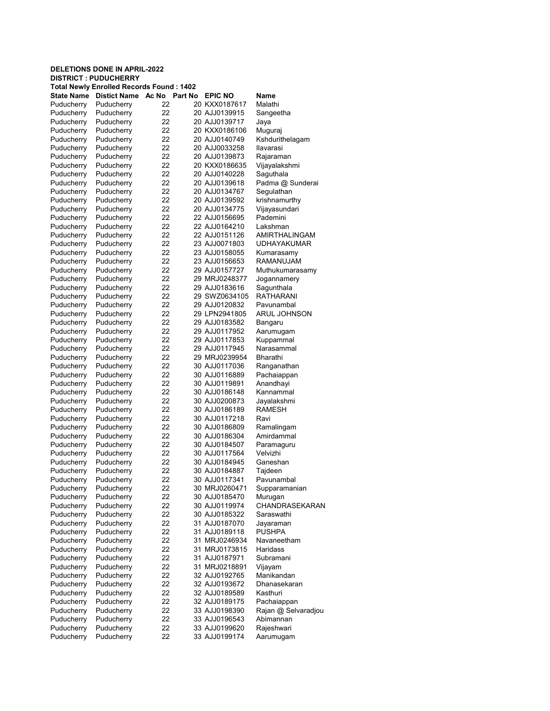| Total Newly Enrolled Records Found : 1402 |                     |       |         |                |                     |  |  |  |
|-------------------------------------------|---------------------|-------|---------|----------------|---------------------|--|--|--|
| <b>State Name</b>                         | <b>Distict Name</b> | Ac No | Part No | <b>EPIC NO</b> | Name                |  |  |  |
| Puducherry                                | Puducherry          | 22    |         | 20 KXX0187617  | Malathi             |  |  |  |
| Puducherry                                | Puducherry          | 22    |         | 20 AJJ0139915  | Sangeetha           |  |  |  |
| Puducherry                                | Puducherry          | 22    |         | 20 AJJ0139717  | Jaya                |  |  |  |
| Puducherry                                | Puducherry          | 22    |         | 20 KXX0186106  | Muguraj             |  |  |  |
| Puducherry                                | Puducherry          | 22    |         | 20 AJJ0140749  | Kshdurithelagam     |  |  |  |
| Puducherry                                | Puducherry          | 22    |         | 20 AJJ0033258  | Ilavarasi           |  |  |  |
| Puducherry                                | Puducherry          | 22    |         | 20 AJJ0139873  | Rajaraman           |  |  |  |
| Puducherry                                | Puducherry          | 22    |         | 20 KXX0186635  | Vijayalakshmi       |  |  |  |
| Puducherry                                | Puducherry          | 22    |         | 20 AJJ0140228  | Saguthala           |  |  |  |
| Puducherry                                | Puducherry          | 22    |         | 20 AJJ0139618  | Padma @ Sunderai    |  |  |  |
| Puducherry                                | Puducherry          | 22    |         | 20 AJJ0134767  | Segulathan          |  |  |  |
| Puducherry                                | Puducherry          | 22    |         | 20 AJJ0139592  | krishnamurthy       |  |  |  |
| Puducherry                                | Puducherry          | 22    |         | 20 AJJ0134775  | Vijayasundari       |  |  |  |
| Puducherry                                | Puducherry          | 22    |         | 22 AJJ0156695  | Pademini            |  |  |  |
|                                           |                     | 22    |         | 22 AJJ0164210  | Lakshman            |  |  |  |
| Puducherry                                | Puducherry          | 22    |         |                | AMIRTHALINGAM       |  |  |  |
| Puducherry                                | Puducherry          |       |         | 22 AJJ0151126  |                     |  |  |  |
| Puducherry                                | Puducherry          | 22    |         | 23 AJJ0071803  | <b>UDHAYAKUMAR</b>  |  |  |  |
| Puducherry                                | Puducherry          | 22    |         | 23 AJJ0158055  | Kumarasamy          |  |  |  |
| Puducherry                                | Puducherry          | 22    |         | 23 AJJ0156653  | RAMANUJAM           |  |  |  |
| Puducherry                                | Puducherry          | 22    |         | 29 AJJ0157727  | Muthukumarasamy     |  |  |  |
| Puducherry                                | Puducherry          | 22    |         | 29 MRJ0248377  | Jogannamery         |  |  |  |
| Puducherry                                | Puducherry          | 22    |         | 29 AJJ0183616  | Sagunthala          |  |  |  |
| Puducherry                                | Puducherry          | 22    |         | 29 SWZ0634105  | <b>RATHARANI</b>    |  |  |  |
| Puducherry                                | Puducherry          | 22    |         | 29 AJJ0120832  | Pavunambal          |  |  |  |
| Puducherry                                | Puducherry          | 22    |         | 29 LPN2941805  | <b>ARUL JOHNSON</b> |  |  |  |
| Puducherry                                | Puducherry          | 22    |         | 29 AJJ0183582  | Bangaru             |  |  |  |
| Puducherry                                | Puducherry          | 22    |         | 29 AJJ0117952  | Aarumugam           |  |  |  |
| Puducherry                                | Puducherry          | 22    |         | 29 AJJ0117853  | Kuppammal           |  |  |  |
| Puducherry                                | Puducherry          | 22    |         | 29 AJJ0117945  | Narasammal          |  |  |  |
| Puducherry                                | Puducherry          | 22    |         | 29 MRJ0239954  | <b>Bharathi</b>     |  |  |  |
| Puducherry                                | Puducherry          | 22    |         | 30 AJJ0117036  | Ranganathan         |  |  |  |
| Puducherry                                | Puducherry          | 22    |         | 30 AJJ0116889  | Pachaiappan         |  |  |  |
| Puducherry                                | Puducherry          | 22    |         | 30 AJJ0119891  | Anandhayi           |  |  |  |
| Puducherry                                | Puducherry          | 22    |         | 30 AJJ0186148  | Kannammal           |  |  |  |
| Puducherry                                | Puducherry          | 22    |         | 30 AJJ0200873  | Jayalakshmi         |  |  |  |
|                                           |                     | 22    |         | 30 AJJ0186189  | <b>RAMESH</b>       |  |  |  |
| Puducherry                                | Puducherry          | 22    |         |                | Ravi                |  |  |  |
| Puducherry                                | Puducherry          |       |         | 30 AJJ0117218  |                     |  |  |  |
| Puducherry                                | Puducherry          | 22    |         | 30 AJJ0186809  | Ramalingam          |  |  |  |
| Puducherry                                | Puducherry          | 22    |         | 30 AJJ0186304  | Amirdammal          |  |  |  |
| Puducherry                                | Puducherry          | 22    |         | 30 AJJ0184507  | Paramaguru          |  |  |  |
| Puducherry                                | Puducherry          | 22    |         | 30 AJJ0117564  | Velvizhi            |  |  |  |
| Puducherry                                | Puducherry          | 22    |         | 30 AJJ0184945  | Ganeshan            |  |  |  |
| Puducherry                                | Puducherry          | 22    |         | 30 AJJ0184887  | Tajdeen             |  |  |  |
| Puducherry                                | Puducherry          | 22    |         | 30 AJJ0117341  | Pavunambal          |  |  |  |
| Puducherry                                | Puducherry          | 22    |         | 30 MRJ0260471  | Supparamanian       |  |  |  |
| Puducherry                                | Puducherry          | 22    |         | 30 AJJ0185470  | Murugan             |  |  |  |
| Puducherry                                | Puducherry          | 22    |         | 30 AJJ0119974  | CHANDRASEKARAN      |  |  |  |
| Puducherry                                | Puducherry          | 22    |         | 30 AJJ0185322  | Saraswathi          |  |  |  |
| Puducherry                                | Puducherry          | 22    |         | 31 AJJ0187070  | Jayaraman           |  |  |  |
| Puducherry                                | Puducherry          | 22    |         | 31 AJJ0189118  | <b>PUSHPA</b>       |  |  |  |
| Puducherry                                | Puducherry          | 22    |         | 31 MRJ0246934  | Navaneetham         |  |  |  |
| Puducherry                                | Puducherry          | 22    |         | 31 MRJ0173815  | Haridass            |  |  |  |
| Puducherry                                | Puducherry          | 22    |         | 31 AJJ0187971  | Subramani           |  |  |  |
| Puducherry                                | Puducherry          | 22    |         | 31 MRJ0218891  | Vijayam             |  |  |  |
| Puducherry                                | Puducherry          | 22    |         | 32 AJJ0192765  | Manikandan          |  |  |  |
| Puducherry                                | Puducherry          | 22    |         | 32 AJJ0193672  | Dhanasekaran        |  |  |  |
| Puducherry                                | Puducherry          | 22    |         | 32 AJJ0189589  | Kasthuri            |  |  |  |
| Puducherry                                | Puducherry          | 22    |         | 32 AJJ0189175  | Pachaiappan         |  |  |  |
| Puducherry                                | Puducherry          | 22    |         |                |                     |  |  |  |
|                                           |                     |       |         | 33 AJJ0198390  | Rajan @ Selvaradjou |  |  |  |
| Puducherry                                | Puducherry          | 22    |         | 33 AJJ0196543  | Abimannan           |  |  |  |
| Puducherry                                | Puducherry          | 22    |         | 33 AJJ0199620  | Rajeshwari          |  |  |  |
| Puducherry                                | Puducherry          | 22    |         | 33 AJJ0199174  | Aarumugam           |  |  |  |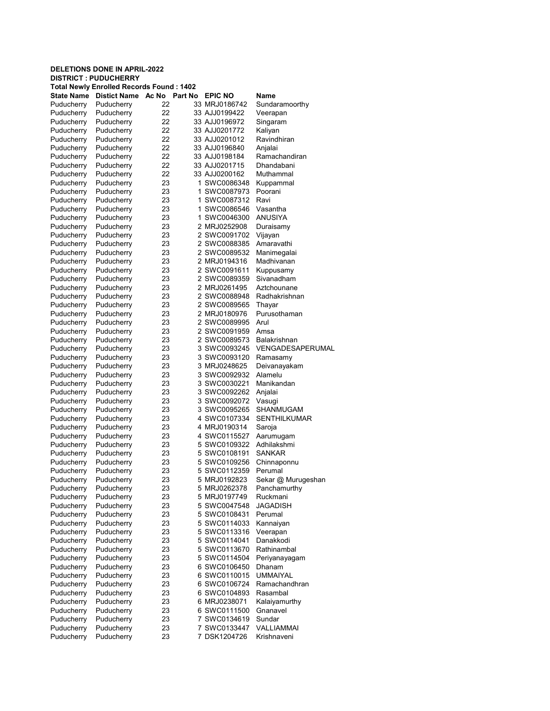#### DELETIONS DONE IN APRIL-2022 DISTRICT : PUDUCHERRY Total Newly Enrolled Records Found : 1402 State Name Distict Name Ac No Part No EPIC NO Name Puducherry Puducherry 22 33 MRJ0186742 Sundaramoorthy Puducherry Puducherry 22 33 AJJ0199422 Veerapan Puducherry Puducherry 22 33 AJJ0196972 Singaram Puducherry Puducherry 22 33 AJJ0201772 Kaliyan Puducherry Puducherry 22 33 AJJ0201012 Ravindhiran Puducherry 22 33 AJJ0196840 Anjalai Puducherry Puducherry 22 33 AJJ0198184 Ramachandiran Puducherry Puducherry 22 33 AJJ0201715 Dhandabani Puducherry Puducherry 22 33 AJJ0200162 Muthammal Puducherry Puducherry 23 1 SWC0086348 Puducherry Puducherry 23 1 SWC0087973 Poorani Puducherry Puducherry 23 1 SWC0087312 Ravi Puducherry Puducherry 23 1 SWC0086546 Vasantha Puducherry Puducherry 23 1 SWC0046300 ANUSIYA Puducherry Puducherry 23 2 MRJ0252908 Duraisamy Puducherry Puducherry 23 2 SWC0091702 Vijayan Puducherry Puducherry 23 2 SWC0088385 Amaravathi Puducherry Puducherry 23 2 SWC0089532 Manimegalai 2 MRJ0194316 Puducherry Puducherry 23 2 SWC0091611 Kuppusamy Puducherry Puducherry 23 2 SWC0089359 Sivanadham Puducherry Puducherry 23 2 MRJ0261495 Aztchounane Puducherry Puducherry 23 2 SWC0088948 Radhakrishnan Puducherry Puducherry 23 2 SWC0089565 Thayar Puducherry Puducherry 23 2 MRJ0180976 Purusothaman Puducherry Puducherry 23 2 SWC0089995 Arul Puducherry Puducherry 23 2 SWC0091959 Amsa Puducherry Puducherry 23 2 SWC0089573 Balakrishnan Puducherry Puducherry 23 3 SWC0093245 VENGADESAPERUMAL Puducherry Puducherry 23 3 SWC0093120 Ramasamy Puducherry Puducherry 23 3 MRJ0248625 Deivanayakam<br>Puducherry Puducherry 23 3 SWC0092932 Alamelu Puducherry Puducherry 23 3 SWC0092932 Alamelu Puducherry Puducherry 23 3 SWC0030221 Manikandan Puducherry Puducherry 23 3 SWC0092262 Anjalai Puducherry Puducherry 23 3 SWC0092072 Vasugi Puducherry Puducherry 23 3 SWC0095265 SHANMUGAM<br>Puducherry Puducherry 23 4 SWC0107334 SENTHILKUM 23 4 SWC0107334 SENTHILKUMAR Puducherry Puducherry 23 4 MRJ0190314 Saroja Puducherry Puducherry 23 4 SWC0115527 Aarumugam Puducherry Puducherry 23 5 SWC0109322 Adhilakshmi<br>Puducherry Puducherry 23 5 SWC0108191 SANKAR 5 SWC0108191 Puducherry Puducherry 23 5 SWC0109256 Chinnaponnu Puducherry Puducherry 23 5 SWC0112359 Perumal<br>Puducherry Puducherry 23 5 MRJ0192823 Sekar Sekar @ Murugeshan Puducherry Puducherry 23 5 MRJ0262378 Panchamurthy Puducherry Puducherry 23 5 MRJ0197749 Ruckmani Puducherry Puducherry 23 5 SWC0047548 JAGADISH Puducherry Puducherry 23 5 SWC0108431 Perumal Puducherry Puducherry 23 5 SWC0114033 Kannaiyan Puducherry Puducherry 23 5 SWC0113316 Veerapan Puducherry Puducherry 23 5 SWC0114041 Danakkodi Puducherry Puducherry 23 5 SWC0113670 Rathinambal Puducherry Puducherry 23 5 SWC0114504 Periyanayagam Puducherry Puducherry 23 6 SWC0106450 Dhanam Puducherry Puducherry 23 6 SWC0110015 UMMAIYAL Puducherry Puducherry 23 6 SWC0106724 Ramachandhran Puducherry Puducherry 23 6 SWC0104893 Rasambal Puducherry Puducherry 23 6 MRJ0238071 Kalaiyamurthy 23 6 SWC0111500 Gnanavel Puducherry Puducherry 23 7 SWC0134619 Sundar

Puducherry Puducherry 23 7 SWC0133447 VALLIAMMAI Puducherry Puducherry 23 7 DSK1204726 Krishnaveni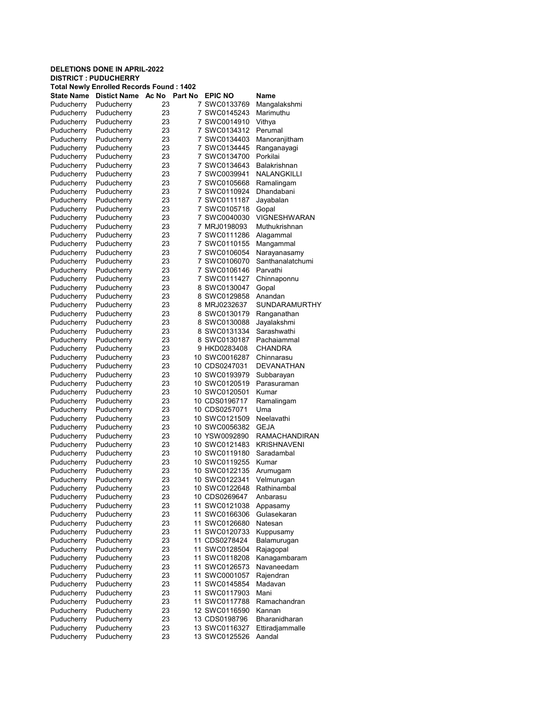| Total Newly Enrolled Records Found : 1402 |                     |       |         |                |                      |  |  |
|-------------------------------------------|---------------------|-------|---------|----------------|----------------------|--|--|
| <b>State Name</b>                         | <b>Distict Name</b> | Ac No | Part No | <b>EPIC NO</b> | Name                 |  |  |
| Puducherry                                | Puducherry          | 23    | 7       | SWC0133769     | Mangalakshmi         |  |  |
| Puducherry                                | Puducherry          | 23    |         | 7 SWC0145243   | Marimuthu            |  |  |
| Puducherry                                | Puducherry          | 23    |         | 7 SWC0014910   | Vithya               |  |  |
| Puducherry                                | Puducherry          | 23    | 7       | SWC0134312     | Perumal              |  |  |
| Puducherry                                | Puducherry          | 23    |         | 7 SWC0134403   | Manoranjitham        |  |  |
| Puducherry                                | Puducherry          | 23    | 7       | SWC0134445     | Ranganayagi          |  |  |
| Puducherry                                | Puducherry          | 23    | 7       | SWC0134700     | Porkilai             |  |  |
| Puducherry                                | Puducherry          | 23    | 7       | SWC0134643     | Balakrishnan         |  |  |
| Puducherry                                | Puducherry          | 23    | 7       | SWC0039941     | NALANGKILLI          |  |  |
| Puducherry                                | Puducherry          | 23    |         | 7 SWC0105668   | Ramalingam           |  |  |
| Puducherry                                | Puducherry          | 23    | 7       | SWC0110924     | Dhandabani           |  |  |
| Puducherry                                | Puducherry          | 23    | 7       | SWC0111187     | Jayabalan            |  |  |
| Puducherry                                | Puducherry          | 23    |         | 7 SWC0105718   | Gopal                |  |  |
| Puducherry                                | Puducherry          | 23    | 7       | SWC0040030     | <b>VIGNESHWARAN</b>  |  |  |
| Puducherry                                | Puducherry          | 23    |         | 7 MRJ0198093   | Muthukrishnan        |  |  |
| Puducherry                                | Puducherry          | 23    | 7       | SWC0111286     | Alagammal            |  |  |
| Puducherry                                | Puducherry          | 23    | 7       | SWC0110155     | Mangammal            |  |  |
| Puducherry                                | Puducherry          | 23    |         | 7 SWC0106054   | Narayanasamy         |  |  |
| Puducherry                                | Puducherry          | 23    | 7       | SWC0106070     | Santhanalatchumi     |  |  |
| Puducherry                                | Puducherry          | 23    | 7       | SWC0106146     | Parvathi             |  |  |
|                                           | Puducherry          | 23    |         | 7 SWC0111427   |                      |  |  |
| Puducherry                                |                     |       |         |                | Chinnaponnu          |  |  |
| Puducherry                                | Puducherry          | 23    | 8       | SWC0130047     | Gopal                |  |  |
| Puducherry                                | Puducherry          | 23    |         | 8 SWC0129858   | Anandan              |  |  |
| Puducherry                                | Puducherry          | 23    |         | 8 MRJ0232637   | <b>SUNDARAMURTHY</b> |  |  |
| Puducherry                                | Puducherry          | 23    |         | 8 SWC0130179   | Ranganathan          |  |  |
| Puducherry                                | Puducherry          | 23    |         | 8 SWC0130088   | Jayalakshmi          |  |  |
| Puducherry                                | Puducherry          | 23    |         | 8 SWC0131334   | Sarashwathi          |  |  |
| Puducherry                                | Puducherry          | 23    |         | 8 SWC0130187   | Pachaiammal          |  |  |
| Puducherry                                | Puducherry          | 23    |         | 9 HKD0283408   | <b>CHANDRA</b>       |  |  |
| Puducherry                                | Puducherry          | 23    |         | 10 SWC0016287  | Chinnarasu           |  |  |
| Puducherry                                | Puducherry          | 23    |         | 10 CDS0247031  | <b>DEVANATHAN</b>    |  |  |
| Puducherry                                | Puducherry          | 23    |         | 10 SWC0193979  | Subbarayan           |  |  |
| Puducherry                                | Puducherry          | 23    |         | 10 SWC0120519  | Parasuraman          |  |  |
| Puducherry                                | Puducherry          | 23    |         | 10 SWC0120501  | Kumar                |  |  |
| Puducherry                                | Puducherry          | 23    |         | 10 CDS0196717  | Ramalingam           |  |  |
| Puducherry                                | Puducherry          | 23    |         | 10 CDS0257071  | Uma                  |  |  |
| Puducherry                                | Puducherry          | 23    |         | 10 SWC0121509  | Neelavathi           |  |  |
| Puducherry                                | Puducherry          | 23    |         | 10 SWC0056382  | <b>GEJA</b>          |  |  |
| Puducherry                                | Puducherry          | 23    |         | 10 YSW0092890  | <b>RAMACHANDIRAN</b> |  |  |
| Puducherry                                | Puducherry          | 23    |         | 10 SWC0121483  | <b>KRISHNAVENI</b>   |  |  |
| Puducherry                                | Puducherry          | 23    |         | 10 SWC0119180  | Saradambal           |  |  |
| Puducherry                                | Puducherry          | 23    |         | 10 SWC0119255  | Kumar                |  |  |
| Puducherry                                | Puducherry          | 23    |         | 10 SWC0122135  | Arumugam             |  |  |
| Puducherry                                | Puducherry          | 23    |         | 10 SWC0122341  | Velmurugan           |  |  |
| Puducherry                                | Puducherry          | 23    |         | 10 SWC0122648  | Rathinambal          |  |  |
| Puducherry                                | Puducherry          | 23    |         | 10 CDS0269647  | Anbarasu             |  |  |
| Puducherry                                | Puducherry          | 23    |         | 11 SWC0121038  | Appasamy             |  |  |
| Puducherry                                | Puducherry          | 23    |         | 11 SWC0166306  | Gulasekaran          |  |  |
| Puducherry                                | Puducherry          | 23    |         | 11 SWC0126680  | Natesan              |  |  |
| Puducherry                                | Puducherry          | 23    |         | 11 SWC0120733  | Kuppusamy            |  |  |
| Puducherry                                | Puducherry          | 23    |         | 11 CDS0278424  | Balamurugan          |  |  |
| Puducherry                                | Puducherry          | 23    |         | 11 SWC0128504  | Rajagopal            |  |  |
| Puducherry                                | Puducherry          | 23    |         | 11 SWC0118208  | Kanagambaram         |  |  |
| Puducherry                                | Puducherry          | 23    |         | 11 SWC0126573  | Navaneedam           |  |  |
| Puducherry                                | Puducherry          | 23    |         | 11 SWC0001057  | Rajendran            |  |  |
| Puducherry                                | Puducherry          | 23    |         | 11 SWC0145854  | Madavan              |  |  |
| Puducherry                                | Puducherry          | 23    |         | 11 SWC0117903  | Mani                 |  |  |
| Puducherry                                | Puducherry          | 23    |         | 11 SWC0117788  | Ramachandran         |  |  |
| Puducherry                                | Puducherry          | 23    |         | 12 SWC0116590  | Kannan               |  |  |
| Puducherry                                | Puducherry          | 23    |         | 13 CDS0198796  | Bharanidharan        |  |  |
| Puducherry                                | Puducherry          | 23    |         | 13 SWC0116327  | Ettiradjammalle      |  |  |
| Puducherry                                | Puducherry          | 23    |         | 13 SWC0125526  | Aandal               |  |  |
|                                           |                     |       |         |                |                      |  |  |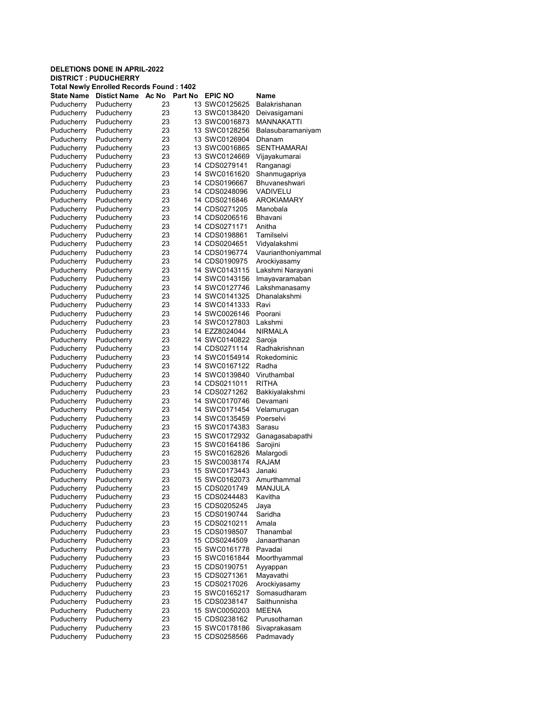| Total Newly Enrolled Records Found : 1402 |                     |       |         |                |                          |  |  |
|-------------------------------------------|---------------------|-------|---------|----------------|--------------------------|--|--|
| <b>State Name</b>                         | <b>Distict Name</b> | Ac No | Part No | <b>EPIC NO</b> | Name                     |  |  |
| Puducherry                                | Puducherry          | 23    |         | 13 SWC0125625  | Balakrishanan            |  |  |
| Puducherry                                | Puducherry          | 23    |         | 13 SWC0138420  | Deivasigamani            |  |  |
| Puducherry                                | Puducherry          | 23    |         | 13 SWC0016873  | MANNAKATTI               |  |  |
| Puducherry                                | Puducherry          | 23    |         | 13 SWC0128256  | Balasubaramaniyam        |  |  |
| Puducherry                                | Puducherry          | 23    |         | 13 SWC0126904  | Dhanam                   |  |  |
| Puducherry                                | Puducherry          | 23    |         | 13 SWC0016865  | SENTHAMARAI              |  |  |
| Puducherry                                | Puducherry          | 23    |         | 13 SWC0124669  | Vijayakumarai            |  |  |
| Puducherry                                | Puducherry          | 23    |         | 14 CDS0279141  | Ranganagi                |  |  |
| Puducherry                                | Puducherry          | 23    |         | 14 SWC0161620  | Shanmugapriya            |  |  |
| Puducherry                                | Puducherry          | 23    |         | 14 CDS0196667  | Bhuvaneshwari            |  |  |
| Puducherry                                | Puducherry          | 23    |         | 14 CDS0248096  | VADIVELU                 |  |  |
| Puducherry                                | Puducherry          | 23    |         | 14 CDS0216846  | <b>AROKIAMARY</b>        |  |  |
| Puducherry                                | Puducherry          | 23    |         | 14 CDS0271205  | Manobala                 |  |  |
|                                           |                     | 23    |         |                | <b>Bhavani</b>           |  |  |
| Puducherry                                | Puducherry          |       |         | 14 CDS0206516  | Anitha                   |  |  |
| Puducherry                                | Puducherry          | 23    |         | 14 CDS0271171  |                          |  |  |
| Puducherry                                | Puducherry          | 23    |         | 14 CDS0198861  | Tamilselvi               |  |  |
| Puducherry                                | Puducherry          | 23    |         | 14 CDS0204651  | Vidyalakshmi             |  |  |
| Puducherry                                | Puducherry          | 23    |         | 14 CDS0196774  | Vaurianthoniyammal       |  |  |
| Puducherry                                | Puducherry          | 23    |         | 14 CDS0190975  | Arockiyasamy             |  |  |
| Puducherry                                | Puducherry          | 23    |         | 14 SWC0143115  | Lakshmi Narayani         |  |  |
| Puducherry                                | Puducherry          | 23    |         | 14 SWC0143156  | Imayavaramaban           |  |  |
| Puducherry                                | Puducherry          | 23    |         | 14 SWC0127746  | Lakshmanasamy            |  |  |
| Puducherry                                | Puducherry          | 23    |         | 14 SWC0141325  | Dhanalakshmi             |  |  |
| Puducherry                                | Puducherry          | 23    |         | 14 SWC0141333  | Ravi                     |  |  |
| Puducherry                                | Puducherry          | 23    |         | 14 SWC0026146  | Poorani                  |  |  |
| Puducherry                                | Puducherry          | 23    |         | 14 SWC0127803  | Lakshmi                  |  |  |
| Puducherry                                | Puducherry          | 23    |         | 14 EZZ8024044  | <b>NIRMALA</b>           |  |  |
| Puducherry                                | Puducherry          | 23    |         | 14 SWC0140822  | Saroja                   |  |  |
| Puducherry                                | Puducherry          | 23    |         | 14 CDS0271114  | Radhakrishnan            |  |  |
| Puducherry                                | Puducherry          | 23    |         | 14 SWC0154914  | Rokedominic              |  |  |
| Puducherry                                | Puducherry          | 23    |         | 14 SWC0167122  | Radha                    |  |  |
| Puducherry                                | Puducherry          | 23    |         | 14 SWC0139840  | Viruthambal              |  |  |
| Puducherry                                | Puducherry          | 23    |         | 14 CDS0211011  | <b>RITHA</b>             |  |  |
| Puducherry                                | Puducherry          | 23    |         | 14 CDS0271262  | Bakkiyalakshmi           |  |  |
| Puducherry                                | Puducherry          | 23    |         | 14 SWC0170746  | Devamani                 |  |  |
|                                           | Puducherry          | 23    |         | 14 SWC0171454  |                          |  |  |
| Puducherry                                |                     |       |         |                | Velamurugan<br>Poerselvi |  |  |
| Puducherry                                | Puducherry          | 23    |         | 14 SWC0135459  | Sarasu                   |  |  |
| Puducherry                                | Puducherry          | 23    |         | 15 SWC0174383  |                          |  |  |
| Puducherry                                | Puducherry          | 23    |         | 15 SWC0172932  | Ganagasabapathi          |  |  |
| Puducherry                                | Puducherry          | 23    |         | 15 SWC0164186  | Sarojini                 |  |  |
| Puducherry                                | Puducherry          | 23    |         | 15 SWC0162826  | Malargodi                |  |  |
| Puducherry                                | Puducherry          | 23    |         | 15 SWC0038174  | <b>RAJAM</b>             |  |  |
| Puducherry                                | Puducherry          | 23    |         | 15 SWC0173443  | Janaki                   |  |  |
| Puducherry                                | Puducherry          | 23    |         | 15 SWC0162073  | Amurthammal              |  |  |
| Puducherry                                | Puducherry          | 23    |         | 15 CDS0201749  | <b>MANJULA</b>           |  |  |
| Puducherry                                | Puducherry          | 23    |         | 15 CDS0244483  | Kavitha                  |  |  |
| Puducherry                                | Puducherry          | 23    |         | 15 CDS0205245  | Jaya                     |  |  |
| Puducherry                                | Puducherry          | 23    |         | 15 CDS0190744  | Saridha                  |  |  |
| Puducherry                                | Puducherry          | 23    |         | 15 CDS0210211  | Amala                    |  |  |
| Puducherry                                | Puducherry          | 23    |         | 15 CDS0198507  | Thanambal                |  |  |
| Puducherry                                | Puducherry          | 23    |         | 15 CDS0244509  | Janaarthanan             |  |  |
| Puducherry                                | Puducherry          | 23    |         | 15 SWC0161778  | Pavadai                  |  |  |
| Puducherry                                | Puducherry          | 23    |         | 15 SWC0161844  | Moorthyammal             |  |  |
| Puducherry                                | Puducherry          | 23    |         | 15 CDS0190751  | Ayyappan                 |  |  |
| Puducherry                                | Puducherry          | 23    |         | 15 CDS0271361  | Mayavathi                |  |  |
| Puducherry                                | Puducherry          | 23    |         | 15 CDS0217026  | Arockiyasamy             |  |  |
| Puducherry                                | Puducherry          | 23    |         | 15 SWC0165217  | Somasudharam             |  |  |
| Puducherry                                | Puducherry          | 23    |         | 15 CDS0238147  | Saithunnisha             |  |  |
| Puducherry                                | Puducherry          | 23    |         | 15 SWC0050203  | <b>MEENA</b>             |  |  |
|                                           |                     |       |         |                |                          |  |  |
| Puducherry                                | Puducherry          | 23    |         | 15 CDS0238162  | Purusothaman             |  |  |
| Puducherry                                | Puducherry          | 23    |         | 15 SWC0178186  | Sivaprakasam             |  |  |
| Puducherry                                | Puducherry          | 23    |         | 15 CDS0258566  | Padmavady                |  |  |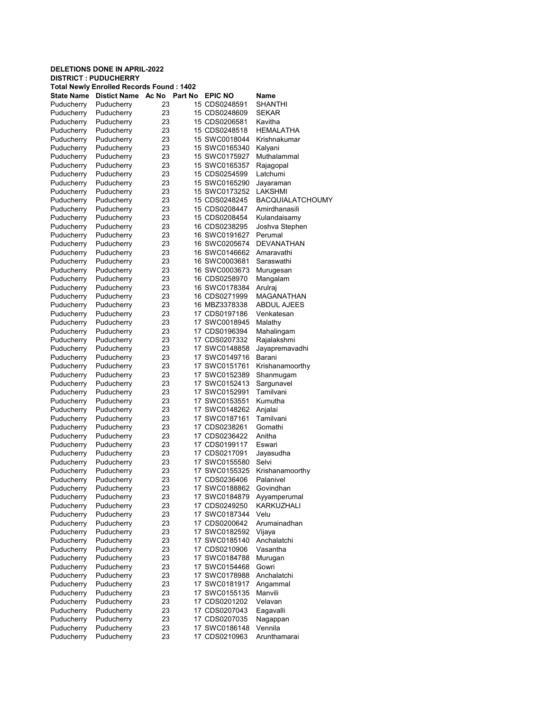|                          | <b>DELETIONS DONE IN APRIL-2022</b><br><b>DISTRICT: PUDUCHERRY</b> |          |                                |                                   |
|--------------------------|--------------------------------------------------------------------|----------|--------------------------------|-----------------------------------|
|                          | <b>Total Newly Enrolled Records Found: 1402</b>                    |          |                                |                                   |
| <b>State Name</b>        | <b>Distict Name</b><br>Ac No                                       | Part No  | <b>EPIC NO</b>                 | Name                              |
| Puducherry               | Puducherry                                                         | 23       | 15 CDS0248591                  | <b>SHANTHI</b>                    |
| Puducherry               | Puducherry                                                         | 23       | 15 CDS0248609                  | <b>SEKAR</b>                      |
| Puducherry               | Puducherry                                                         | 23       | 15 CDS0206581                  | Kavitha                           |
| Puducherry               | Puducherry                                                         | 23       | 15 CDS0248518                  | <b>HEMALATHA</b>                  |
| Puducherry               | Puducherry                                                         | 23       | 15 SWC0018044                  | Krishnakumar                      |
| Puducherry               | Puducherry                                                         | 23       | 15 SWC0165340                  | Kalyani                           |
| Puducherry               | Puducherry                                                         | 23       | 15 SWC0175927                  | Muthalammal                       |
| Puducherry               | Puducherry                                                         | 23       | 15 SWC0165357                  | Rajagopal                         |
| Puducherry               | Puducherry                                                         | 23       | 15 CDS0254599                  | Latchumi                          |
| Puducherry               | Puducherry                                                         | 23       | 15 SWC0165290                  | Jayaraman                         |
| Puducherry               | Puducherry                                                         | 23       | 15 SWC0173252                  | LAKSHMI                           |
| Puducherry               | Puducherry                                                         | 23<br>23 | 15 CDS0248245                  | BACQUIALATCHOUMY<br>Amirdhanasili |
| Puducherry<br>Puducherry | Puducherry<br>Puducherry                                           | 23       | 15 CDS0208447<br>15 CDS0208454 | Kulandaisamy                      |
| Puducherry               | Puducherry                                                         | 23       | 16 CDS0238295                  | Joshva Stephen                    |
| Puducherry               | Puducherry                                                         | 23       | 16 SWC0191627                  | Perumal                           |
| Puducherry               | Puducherry                                                         | 23       | 16 SWC0205674                  | <b>DEVANATHAN</b>                 |
| Puducherry               | Puducherry                                                         | 23       | 16 SWC0146662                  | Amaravathi                        |
| Puducherry               | Puducherry                                                         | 23       | 16 SWC0003681                  | Saraswathi                        |
| Puducherry               | Puducherry                                                         | 23       | 16 SWC0003673                  | Murugesan                         |
| Puducherry               | Puducherry                                                         | 23       | 16 CDS0258970                  | Mangalam                          |
| Puducherry               | Puducherry                                                         | 23       | 16 SWC0178384                  | Arulraj                           |
| Puducherry               | Puducherry                                                         | 23       | 16 CDS0271999                  | MAGANATHAN                        |
| Puducherry               | Puducherry                                                         | 23       | 16 MBZ3378338                  | <b>ABDUL AJEES</b>                |
| Puducherry               | Puducherry                                                         | 23       | 17 CDS0197186                  | Venkatesan                        |
| Puducherry               | Puducherry                                                         | 23       | 17 SWC0018945                  | Malathy                           |
| Puducherry               | Puducherry                                                         | 23       | 17 CDS0196394                  | Mahalingam                        |
| Puducherry               | Puducherry                                                         | 23       | 17 CDS0207332                  | Rajalakshmi                       |
| Puducherry               | Puducherry                                                         | 23       | 17 SWC0148858                  | Jayapremavadhi                    |
| Puducherry               | Puducherry                                                         | 23       | 17 SWC0149716                  | Barani                            |
| Puducherry               | Puducherry                                                         | 23       | 17 SWC0151761                  | Krishanamoorthy                   |
| Puducherry               | Puducherry                                                         | 23       | 17 SWC0152389                  | Shanmugam                         |
| Puducherry               | Puducherry                                                         | 23       | 17 SWC0152413                  | Sargunavel                        |
| Puducherry               | Puducherry                                                         | 23       | 17 SWC0152991                  | Tamilvani                         |
| Puducherry               | Puducherry                                                         | 23       | 17 SWC0153551                  | Kumutha                           |
| Puducherry               | Puducherry                                                         | 23       | 17 SWC0148262                  | Anjalai                           |
| Puducherry               | Puducherry                                                         | 23       | 17 SWC0187161                  | Tamilvani                         |
| Puducherry               | Puducherry                                                         | 23       | 17 CDS0238261                  | Gomathi                           |
| Puducherry               | Puducherry                                                         | 23       | 17 CDS0236422                  | Anitha                            |
| Puducherry               | Puducherry                                                         | 23       | 17 CDS0199117                  | Eswari                            |
| Puducherry               | Puducherry                                                         | 23       | 17 CDS0217091                  | Jayasudha                         |
| Puducherry               | Puducherry                                                         | 23       | 17 SWC0155580                  | Selvi                             |
| Puducherry               | Puducherry                                                         | 23       | 17 SWC0155325                  | Krishanamoorthy                   |
| Puducherry               | Puducherry                                                         | 23       | 17 CDS0236406                  | Palanivel                         |
| Puducherry               | Puducherry                                                         | 23       | 17 SWC0188862                  | Govindhan                         |
| Puducherry               | Puducherry                                                         | 23       | 17 SWC0184879                  | Ayyamperumal                      |
| Puducherry<br>Puducherry | Puducherry<br>Puducherry                                           | 23<br>23 | 17 CDS0249250<br>17 SWC0187344 | KARKUZHALI<br>Velu                |
| Puducherry               | Puducherry                                                         | 23       | 17 CDS0200642                  | Arumainadhan                      |
| Puducherry               | Puducherry                                                         | 23       | 17 SWC0182592                  | Vijaya                            |
| Puducherry               | Puducherry                                                         | 23       | 17 SWC0185140                  | Anchalatchi                       |
| Puducherry               | Puducherry                                                         | 23       | 17 CDS0210906                  | Vasantha                          |
| Puducherry               | Puducherry                                                         | 23       | 17 SWC0184788                  | Murugan                           |
| Puducherry               | Puducherry                                                         | 23       | 17 SWC0154468                  | Gowri                             |
| Puducherry               | Puducherry                                                         | 23       | 17 SWC0178988                  | Anchalatchi                       |
| Puducherry               | Puducherry                                                         | 23       | 17 SWC0181917                  | Angammal                          |
| Puducherry               | Puducherry                                                         | 23       | 17 SWC0155135                  | Manvili                           |
| Puducherry               | Puducherry                                                         | 23       | 17 CDS0201202                  | Velavan                           |
| Puducherry               | Puducherry                                                         | 23       | 17 CDS0207043                  | Eagavalli                         |
| Puducherry               | Puducherry                                                         | 23       | 17 CDS0207035                  | Nagappan                          |
| Puducherry               | Puducherry                                                         | 23       | 17 SWC0186148                  | Vennila                           |
| Puducherry               | Puducherry                                                         | 23       | 17 CDS0210963                  | Arunthamarai                      |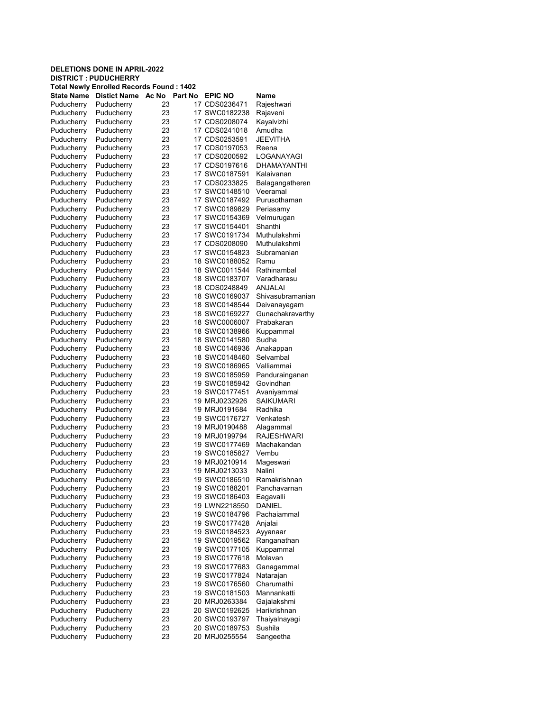## DELETIONS DONE IN APRIL-2022 DISTRICT : PUDUCHERRY Total Newly Enrolled Records Found : 1402 State Name Distict Name Ac No Part No EPIC NO Name Puducherry Puducherry 23 17 CDS0236471 Rajeshwari Puducherry Puducherry 23 17 SWC0182238 Rajaveni Puducherry Puducherry 23 17 CDS0208074 Kayalvizhi Puducherry Puducherry 23 17 CDS0241018 Amudha Puducherry Puducherry 23 17 CDS0253591 JEEVITHA Puducherry Puducherry 23 17 CDS0197053 Reena Puducherry Puducherry 23 17 CDS0200592 LOGANAYAGI Puducherry Puducherry 23 17 CDS0197616 DHAMAYANTHI Puducherry Puducherry 23 17 SWC0187591 Kalaivanan Puducherry Puducherry 23 17 CDS0233825 Balagangatheren Puducherry Puducherry 23 17 SWC0148510 Veeramal Puducherry Puducherry 23 17 SWC0187492 Purusothaman Puducherry Puducherry 23 17 SWC0189829 Periasamy Puducherry Puducherry 23 17 SWC0154369 Velmurugan Puducherry Puducherry 23 17 SWC0154401 Shanthi Puducherry Puducherry 23 17 SWC0191734 Muthulakshmi Puducherry Puducherry 23 17 CDS0208090 Muthulakshmi Puducherry Puducherry 23 17 SWC0154823 Subramanian<br>Puducherry Puducherry 23 18 SWC0188052 Ramu 18 SWC0188052 Puducherry Puducherry 23 18 SWC0011544 Rathinambal Puducherry Puducherry 23 18 SWC0183707 Varadharasu Puducherry Puducherry 23 18 CDS0248849 ANJALAI Puducherry Puducherry 23 18 SWC0169037 Shivasubramanian Puducherry Puducherry 23 18 SWC0148544 Deivanayagam Puducherry Puducherry 23 18 SWC0169227 Gunachakravarthy Puducherry Puducherry 23 18 SWC0006007 Prabakaran Puducherry Puducherry 23 18 SWC0138966 Kuppammal Puducherry Puducherry 23 18 SWC0141580 Sudha Puducherry Puducherry 23 18 SWC0146936 Anakappan Puducherry Puducherry 23 18 SWC0148460 Selvambal Puducherry Puducherry 23 19 SWC0186965 Valliammai Puducherry Puducherry 23 19 SWC0185959 Pandurainganan Puducherry Puducherry 23 19 SWC0185942 Govindhan Puducherry Puducherry 23 19 SWC0177451 Avaniyammal Puducherry Puducherry 23 19 MRJ0232926 Puducherry Puducherry 23 19 MRJ0191684 Radhika Puducherry Puducherry 23 19 SWC0176727 Puducherry Puducherry 23 19 MRJ0190488 Alagammal Puducherry Puducherry 23 19 MRJ0199794 RAJESHWARI Puducherry Puducherry 23 19 SWC0177469 Machakandan<br>Puducherry Puducherry 23 19 SWC0185827 Vembu 19 SWC0185827 Puducherry Puducherry 23 19 MRJ0210914 Mageswari Puducherry Puducherry 23 19 MRJ0213033 Nalini 19 SWC0186510 Puducherry Puducherry 23 19 SWC0188201 Panchavarnan Puducherry Puducherry 23 19 SWC0186403 Eagavalli Puducherry Puducherry 23 19 LWN2218550 DANIEL Puducherry Puducherry 23 19 SWC0184796 Pachaiammal Puducherry Puducherry 23 19 SWC0177428 Anjalai Puducherry Puducherry 23 19 SWC0184523 Puducherry Puducherry 23 19 SWC0019562 Ranganathan Puducherry Puducherry 23 19 SWC0177105 Kuppammal Puducherry Puducherry 23 19 SWC0177618 Molavan Puducherry Puducherry 23 19 SWC0177683 Ganagammal Puducherry Puducherry 23 19 SWC0177824 Natarajan Puducherry Puducherry 23 19 SWC0176560 Charumathi Puducherry Puducherry 23 19 SWC0181503 Mannankatti Puducherry Puducherry 23 20 MRJ0263384 Gajalakshmi 23 20 SWC0192625 Harikrishnan Puducherry Puducherry 23 20 SWC0193797 Thaiyalnayagi Puducherry Puducherry 23 20 SWC0189753 Sushila

Puducherry Puducherry 23 20 MRJ0255554 Sangeetha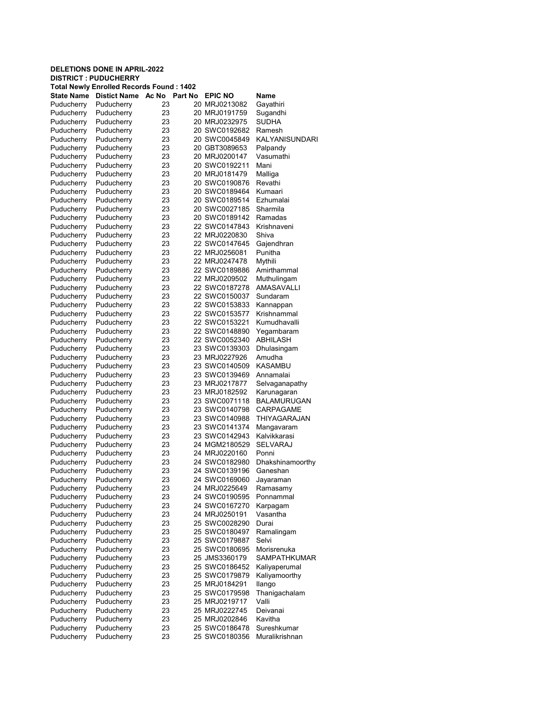|                          | <b>DELETIONS DONE IN APRIL-2022</b><br><b>DISTRICT: PUDUCHERRY</b> |                  |                                |                            |
|--------------------------|--------------------------------------------------------------------|------------------|--------------------------------|----------------------------|
|                          | Total Newly Enrolled Records Found : 1402                          |                  |                                |                            |
| State Name               | <b>Distict Name</b>                                                | Ac No<br>Part No | <b>EPIC NO</b>                 | Name                       |
| Puducherry               | Puducherry                                                         | 23               | 20 MRJ0213082                  | Gayathiri                  |
| Puducherry               | Puducherry                                                         | 23               | 20 MRJ0191759                  | Sugandhi                   |
| Puducherry               | Puducherry                                                         | 23               | 20 MRJ0232975                  | <b>SUDHA</b>               |
| Puducherry               | Puducherry                                                         | 23               | 20 SWC0192682                  | Ramesh                     |
| Puducherry               | Puducherry                                                         | 23               | 20 SWC0045849                  | KALYANISUNDARI             |
| Puducherry               | Puducherry                                                         | 23               | 20 GBT3089653                  | Palpandy                   |
| Puducherry               | Puducherry                                                         | 23               | 20 MRJ0200147                  | Vasumathi                  |
| Puducherry               | Puducherry                                                         | 23               | 20 SWC0192211                  | Mani                       |
| Puducherry               | Puducherry                                                         | 23               | 20 MRJ0181479                  | Malliga<br>Revathi         |
| Puducherry<br>Puducherry | Puducherry<br>Puducherry                                           | 23<br>23         | 20 SWC0190876<br>20 SWC0189464 | Kumaari                    |
| Puducherry               | Puducherry                                                         | 23               | 20 SWC0189514                  | Ezhumalai                  |
| Puducherry               | Puducherry                                                         | 23               | 20 SWC0027185                  | Sharmila                   |
| Puducherry               | Puducherry                                                         | 23               | 20 SWC0189142                  | Ramadas                    |
| Puducherry               | Puducherry                                                         | 23               | 22 SWC0147843                  | Krishnaveni                |
| Puducherry               | Puducherry                                                         | 23               | 22 MRJ0220830                  | Shiva                      |
| Puducherry               | Puducherry                                                         | 23               | 22 SWC0147645                  | Gajendhran                 |
| Puducherry               | Puducherry                                                         | 23               | 22 MRJ0256081                  | Punitha                    |
| Puducherry               | Puducherry                                                         | 23               | 22 MRJ0247478                  | Mythili                    |
| Puducherry               | Puducherry                                                         | 23               | 22 SWC0189886                  | Amirthammal                |
| Puducherry               | Puducherry                                                         | 23               | 22 MRJ0209502                  | Muthulingam                |
| Puducherry               | Puducherry                                                         | 23               | 22 SWC0187278                  | <b>AMASAVALLI</b>          |
| Puducherry               | Puducherry                                                         | 23               | 22 SWC0150037                  | Sundaram                   |
| Puducherry               | Puducherry                                                         | 23               | 22 SWC0153833                  | Kannappan                  |
| Puducherry               | Puducherry                                                         | 23               | 22 SWC0153577                  | Krishnammal                |
| Puducherry               | Puducherry                                                         | 23               | 22 SWC0153221                  | Kumudhavalli               |
| Puducherry               | Puducherry                                                         | 23               | 22 SWC0148890                  | Yegambaram                 |
| Puducherry               | Puducherry                                                         | 23               | 22 SWC0052340                  | ABHILASH                   |
| Puducherry               | Puducherry                                                         | 23               | 23 SWC0139303                  | Dhulasingam                |
| Puducherry               | Puducherry                                                         | 23               | 23 MRJ0227926                  | Amudha                     |
| Puducherry               | Puducherry                                                         | 23               | 23 SWC0140509                  | <b>KASAMBU</b>             |
| Puducherry               | Puducherry                                                         | 23               | 23 SWC0139469                  | Annamalai                  |
| Puducherry               | Puducherry                                                         | 23               | 23 MRJ0217877                  | Selvaganapathy             |
| Puducherry               | Puducherry                                                         | 23<br>23         | 23 MRJ0182592<br>23 SWC0071118 | Karunagaran<br>BALAMURUGAN |
| Puducherry<br>Puducherry | Puducherry<br>Puducherry                                           | 23               | 23 SWC0140798                  | CARPAGAME                  |
| Puducherry               | Puducherry                                                         | 23               | 23 SWC0140988                  | THIYAGARAJAN               |
| Puducherry               | Puducherry                                                         | 23               | 23 SWC0141374                  | Mangavaram                 |
| Puducherry               | Puducherry                                                         | 23               | 23 SWC0142943                  | Kalvikkarasi               |
| Puducherry               | Puducherry                                                         | 23               | 24 MGM2180529                  | SELVARAJ                   |
| Puducherry               | Puducherry                                                         | 23               | 24 MRJ0220160                  | Ponni                      |
| Puducherry               | Puducherry                                                         | 23               | 24 SWC0182980                  | Dhakshinamoorthy           |
| Puducherry               | Puducherry                                                         | 23               | 24 SWC0139196                  | Ganeshan                   |
| Puducherry               | Puducherry                                                         | 23               | 24 SWC0169060                  | Jayaraman                  |
| Puducherry               | Puducherry                                                         | 23               | 24 MRJ0225649                  | Ramasamy                   |
| Puducherry               | Puducherry                                                         | 23               | 24 SWC0190595                  | Ponnammal                  |
| Puducherry               | Puducherry                                                         | 23               | 24 SWC0167270                  | Karpagam                   |
| Puducherry               | Puducherry                                                         | 23               | 24 MRJ0250191                  | Vasantha                   |
| Puducherry               | Puducherry                                                         | 23               | 25 SWC0028290                  | Durai                      |
| Puducherry               | Puducherry                                                         | 23               | 25 SWC0180497                  | Ramalingam                 |
| Puducherry               | Puducherry                                                         | 23               | 25 SWC0179887                  | Selvi                      |
| Puducherry               | Puducherry                                                         | 23               | 25 SWC0180695                  | Morisrenuka                |
| Puducherry               | Puducherry                                                         | 23               | 25 JMS3360179                  | SAMPATHKUMAR               |
| Puducherry               | Puducherry                                                         | 23               | 25 SWC0186452                  | Kaliyaperumal              |
| Puducherry               | Puducherry                                                         | 23               | 25 SWC0179879                  | Kaliyamoorthy              |
| Puducherry               | Puducherry                                                         | 23               | 25 MRJ0184291                  | llango                     |
| Puducherry               | Puducherry                                                         | 23               | 25 SWC0179598                  | Thanigachalam              |
| Puducherry               | Puducherry                                                         | 23               | 25 MRJ0219717                  | Valli                      |
| Puducherry<br>Puducherry | Puducherry<br>Puducherry                                           | 23               | 25 MRJ0222745<br>25 MRJ0202846 | Deivanai<br>Kavitha        |
| Puducherry               | Puducherry                                                         | 23<br>23         | 25 SWC0186478                  | Sureshkumar                |
| Puducherry               | Puducherry                                                         | 23               | 25 SWC0180356                  | Muralikrishnan             |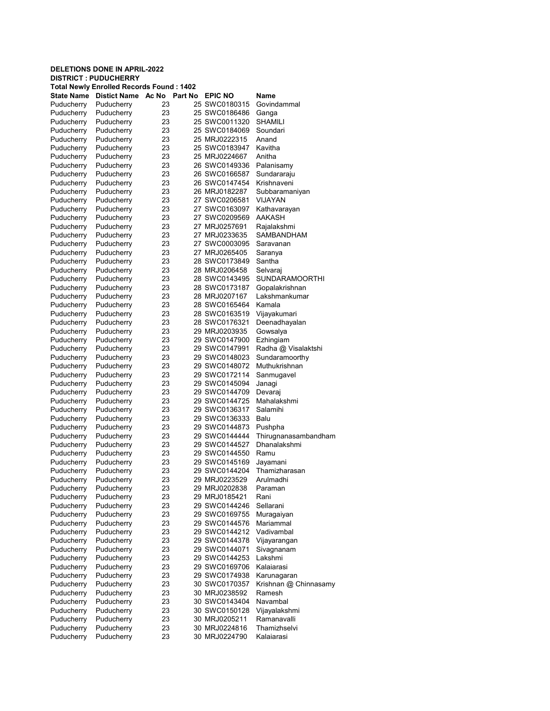|                          | <b>DELETIONS DONE IN APRIL-2022</b><br><b>DISTRICT : PUDUCHERRY</b> |          |                                |                                      |
|--------------------------|---------------------------------------------------------------------|----------|--------------------------------|--------------------------------------|
|                          | Total Newly Enrolled Records Found : 1402                           |          |                                |                                      |
| <b>State Name</b>        | <b>Distict Name</b><br>Ac No                                        | Part No  | <b>EPIC NO</b>                 | <b>Name</b>                          |
| Puducherry               | Puducherry                                                          | 23       | 25 SWC0180315                  | Govindammal                          |
| Puducherry               | Puducherry                                                          | 23       | 25 SWC0186486                  | Ganga                                |
| Puducherry               | Puducherry                                                          | 23       | 25 SWC0011320                  | <b>SHAMILI</b>                       |
| Puducherry               | Puducherry                                                          | 23       | 25 SWC0184069                  | Soundari                             |
| Puducherry               | Puducherry                                                          | 23       | 25 MRJ0222315                  | Anand                                |
| Puducherry               | Puducherry                                                          | 23       | 25 SWC0183947                  | Kavitha                              |
| Puducherry               | Puducherry                                                          | 23       | 25 MRJ0224667                  | Anitha                               |
| Puducherry               | Puducherry                                                          | 23       | 26 SWC0149336                  | Palanisamy                           |
| Puducherry               | Puducherry                                                          | 23       | 26 SWC0166587                  | Sundararaju                          |
| Puducherry               | Puducherry                                                          | 23       | 26 SWC0147454                  | Krishnaveni                          |
| Puducherry               | Puducherry                                                          | 23<br>23 | 26 MRJ0182287                  | Subbaramaniyan<br><b>VIJAYAN</b>     |
| Puducherry<br>Puducherry | Puducherry<br>Puducherry                                            | 23       | 27 SWC0206581<br>27 SWC0163097 | Kathavarayan                         |
| Puducherry               | Puducherry                                                          | 23       | 27 SWC0209569                  | AAKASH                               |
| Puducherry               | Puducherry                                                          | 23       | 27 MRJ0257691                  | Rajalakshmi                          |
| Puducherry               | Puducherry                                                          | 23       | 27 MRJ0233635                  | SAMBANDHAM                           |
| Puducherry               | Puducherry                                                          | 23       | 27 SWC0003095                  | Saravanan                            |
| Puducherry               | Puducherry                                                          | 23       | 27 MRJ0265405                  | Saranya                              |
| Puducherry               | Puducherry                                                          | 23       | 28 SWC0173849                  | Santha                               |
| Puducherry               | Puducherry                                                          | 23       | 28 MRJ0206458                  | Selvaraj                             |
| Puducherry               | Puducherry                                                          | 23       | 28 SWC0143495                  | SUNDARAMOORTHI                       |
| Puducherry               | Puducherry                                                          | 23       | 28 SWC0173187                  | Gopalakrishnan                       |
| Puducherry               | Puducherry                                                          | 23       | 28 MRJ0207167                  | Lakshmankumar                        |
| Puducherry               | Puducherry                                                          | 23       | 28 SWC0165464                  | Kamala                               |
| Puducherry               | Puducherry                                                          | 23       | 28 SWC0163519                  | Vijayakumari                         |
| Puducherry               | Puducherry                                                          | 23       | 28 SWC0176321                  | Deenadhayalan                        |
| Puducherry               | Puducherry                                                          | 23       | 29 MRJ0203935                  | Gowsalya                             |
| Puducherry               | Puducherry                                                          | 23       | 29 SWC0147900                  | Ezhingiam                            |
| Puducherry               | Puducherry                                                          | 23       | 29 SWC0147991                  | Radha @ Visalaktshi                  |
| Puducherry               | Puducherry                                                          | 23       | 29 SWC0148023                  | Sundaramoorthy                       |
| Puducherry               | Puducherry                                                          | 23       | 29 SWC0148072                  | Muthukrishnan                        |
| Puducherry               | Puducherry                                                          | 23       | 29 SWC0172114                  | Sanmugavel                           |
| Puducherry               | Puducherry                                                          | 23       | 29 SWC0145094                  | Janagi                               |
| Puducherry               | Puducherry                                                          | 23       | 29 SWC0144709                  | Devaraj                              |
| Puducherry               | Puducherry                                                          | 23       | 29 SWC0144725                  | Mahalakshmi                          |
| Puducherry               | Puducherry                                                          | 23       | 29 SWC0136317                  | Salamihi                             |
| Puducherry               | Puducherry                                                          | 23       | 29 SWC0136333                  | Balu                                 |
| Puducherry               | Puducherry                                                          | 23       | 29 SWC0144873                  | Pushpha                              |
| Puducherry               | Puducherry<br>Puducherry                                            | 23<br>23 | 29 SWC0144444<br>29 SWC0144527 | Thirugnanasambandham<br>Dhanalakshmi |
| Puducherry<br>Puducherry | Puducherry                                                          | 23       | 29 SWC0144550                  | Ramu                                 |
| Puducherry               | Puducherry                                                          | 23       | 29 SWC0145169                  | Javamani                             |
| Puducherry               | Puducherry                                                          | 23       | 29 SWC0144204                  | Thamizharasan                        |
| Puducherry               | Puducherry                                                          | 23       | 29 MRJ0223529                  | Arulmadhi                            |
| Puducherry               | Puducherry                                                          | 23       | 29 MRJ0202838                  | Paraman                              |
| Puducherry               | Puducherry                                                          | 23       | 29 MRJ0185421                  | Rani                                 |
| Puducherry               | Puducherry                                                          | 23       | 29 SWC0144246                  | Sellarani                            |
| Puducherry               | Puducherry                                                          | 23       | 29 SWC0169755                  | Muragaiyan                           |
| Puducherry               | Puducherry                                                          | 23       | 29 SWC0144576                  | Mariammal                            |
| Puducherry               | Puducherry                                                          | 23       | 29 SWC0144212                  | Vadivambal                           |
| Puducherry               | Puducherry                                                          | 23       | 29 SWC0144378                  | Vijayarangan                         |
| Puducherry               | Puducherry                                                          | 23       | 29 SWC0144071                  | Sivagnanam                           |
| Puducherry               | Puducherry                                                          | 23       | 29 SWC0144253                  | Lakshmi                              |
| Puducherry               | Puducherry                                                          | 23       | 29 SWC0169706                  | Kalaiarasi                           |
| Puducherry               | Puducherry                                                          | 23       | 29 SWC0174938                  | Karunagaran                          |
| Puducherry               | Puducherry                                                          | 23       | 30 SWC0170357                  | Krishnan @ Chinnasamy                |
| Puducherry               | Puducherry                                                          | 23       | 30 MRJ0238592                  | Ramesh                               |
| Puducherry               | Puducherry                                                          | 23       | 30 SWC0143404                  | Navambal                             |
| Puducherry               | Puducherry                                                          | 23       | 30 SWC0150128                  | Vijayalakshmi                        |
| Puducherry               | Puducherry                                                          | 23       | 30 MRJ0205211                  | Ramanavalli                          |
| Puducherry               | Puducherry                                                          | 23       | 30 MRJ0224816                  | Thamizhselvi                         |
| Puducherry               | Puducherry                                                          | 23       | 30 MRJ0224790                  | Kalaiarasi                           |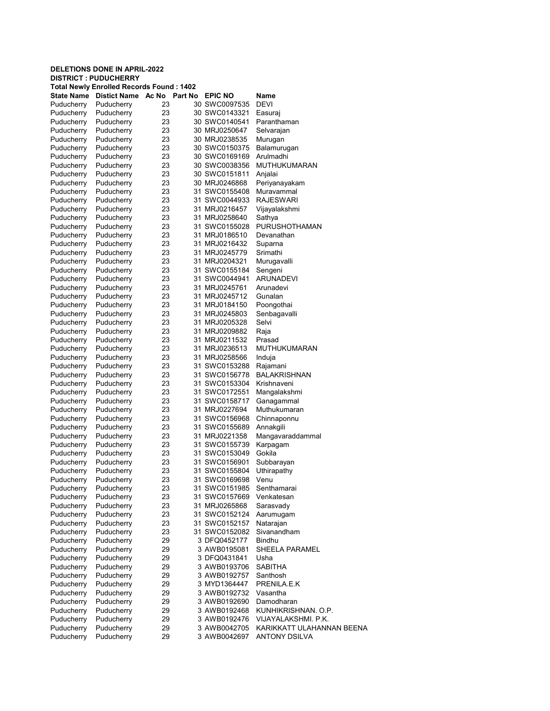| <b>DELETIONS DONE IN APRIL-2022</b>                                             |                          |          |         |                                |                            |  |  |  |
|---------------------------------------------------------------------------------|--------------------------|----------|---------|--------------------------------|----------------------------|--|--|--|
| <b>DISTRICT : PUDUCHERRY</b><br><b>Total Newly Enrolled Records Found: 1402</b> |                          |          |         |                                |                            |  |  |  |
| State Name                                                                      | <b>Distict Name</b>      | Ac No    | Part No | <b>EPIC NO</b>                 | Name                       |  |  |  |
| Puducherry                                                                      | Puducherry               | 23       |         | 30 SWC0097535                  | <b>DEVI</b>                |  |  |  |
| Puducherry                                                                      | Puducherry               | 23       |         | 30 SWC0143321                  | Easuraj                    |  |  |  |
| Puducherry                                                                      | Puducherry               | 23       |         | 30 SWC0140541                  | Paranthaman                |  |  |  |
| Puducherry                                                                      | Puducherry               | 23       |         | 30 MRJ0250647                  | Selvarajan                 |  |  |  |
| Puducherry                                                                      | Puducherry               | 23       |         | 30 MRJ0238535                  | Murugan                    |  |  |  |
| Puducherry                                                                      | Puducherry               | 23       |         | 30 SWC0150375                  | Balamurugan                |  |  |  |
| Puducherry                                                                      | Puducherry               | 23       |         | 30 SWC0169169                  | Arulmadhi                  |  |  |  |
| Puducherry                                                                      | Puducherry               | 23       |         | 30 SWC0038356                  | <b>MUTHUKUMARAN</b>        |  |  |  |
| Puducherry                                                                      | Puducherry               | 23       |         | 30 SWC0151811                  | Anjalai                    |  |  |  |
| Puducherry                                                                      | Puducherry               | 23       |         | 30 MRJ0246868                  | Periyanayakam              |  |  |  |
| Puducherry                                                                      | Puducherry               | 23       |         | 31 SWC0155408                  | Muravammal                 |  |  |  |
| Puducherry                                                                      | Puducherry               | 23       |         | 31 SWC0044933                  | <b>RAJESWARI</b>           |  |  |  |
| Puducherry                                                                      | Puducherry               | 23       |         | 31 MRJ0216457                  | Vijayalakshmi              |  |  |  |
| Puducherry                                                                      | Puducherry               | 23       |         | 31 MRJ0258640                  | Sathya                     |  |  |  |
| Puducherry                                                                      | Puducherry               | 23       |         | 31 SWC0155028                  | PURUSHOTHAMAN              |  |  |  |
| Puducherry                                                                      | Puducherry               | 23       |         | 31 MRJ0186510                  | Devanathan                 |  |  |  |
| Puducherry                                                                      | Puducherry               | 23       |         | 31 MRJ0216432                  | Suparna                    |  |  |  |
| Puducherry                                                                      | Puducherry               | 23       |         | 31 MRJ0245779                  | Srimathi                   |  |  |  |
| Puducherry                                                                      | Puducherry               | 23       |         | 31 MRJ0204321                  | Murugavalli                |  |  |  |
| Puducherry                                                                      | Puducherry               | 23       |         | 31 SWC0155184                  | Sengeni                    |  |  |  |
| Puducherry                                                                      | Puducherry               | 23       |         | 31 SWC0044941                  | ARUNADEVI                  |  |  |  |
| Puducherry                                                                      | Puducherry               | 23       |         | 31 MRJ0245761                  | Arunadevi                  |  |  |  |
| Puducherry                                                                      | Puducherry               | 23       |         | 31 MRJ0245712                  | Gunalan                    |  |  |  |
| Puducherry                                                                      | Puducherry               | 23<br>23 |         | 31 MRJ0184150<br>31 MRJ0245803 | Poongothai<br>Senbagavalli |  |  |  |
| Puducherry<br>Puducherry                                                        | Puducherry<br>Puducherry | 23       |         | 31 MRJ0205328                  | Selvi                      |  |  |  |
| Puducherry                                                                      | Puducherry               | 23       |         | 31 MRJ0209882                  | Raja                       |  |  |  |
| Puducherry                                                                      | Puducherry               | 23       |         | 31 MRJ0211532                  | Prasad                     |  |  |  |
| Puducherry                                                                      | Puducherry               | 23       |         | 31 MRJ0236513                  | MUTHUKUMARAN               |  |  |  |
| Puducherry                                                                      | Puducherry               | 23       |         | 31 MRJ0258566                  | Induja                     |  |  |  |
| Puducherry                                                                      | Puducherry               | 23       |         | 31 SWC0153288                  | Rajamani                   |  |  |  |
| Puducherry                                                                      | Puducherry               | 23       |         | 31 SWC0156778                  | <b>BALAKRISHNAN</b>        |  |  |  |
| Puducherry                                                                      | Puducherry               | 23       |         | 31 SWC0153304                  | Krishnaveni                |  |  |  |
| Puducherry                                                                      | Puducherry               | 23       |         | 31 SWC0172551                  | Mangalakshmi               |  |  |  |
| Puducherry                                                                      | Puducherry               | 23       |         | 31 SWC0158717                  | Ganagammal                 |  |  |  |
| Puducherry                                                                      | Puducherry               | 23       |         | 31 MRJ0227694                  | Muthukumaran               |  |  |  |
| Puducherry                                                                      | Puducherry               | 23       |         | 31 SWC0156968                  | Chinnaponnu                |  |  |  |
| Puducherry                                                                      | Puducherry               | 23       |         | 31 SWC0155689                  | Annakgili                  |  |  |  |
| Puducherry                                                                      | Puducherry               | 23       |         | 31 MRJ0221358                  | Mangavaraddammal           |  |  |  |
| Puducherry                                                                      | Puducherry               | 23       |         | 31 SWC0155739                  | Karpagam                   |  |  |  |
| Puducherry                                                                      | Puducherry               | 23       |         | 31 SWC0153049                  | Gokila                     |  |  |  |
| Puducherry                                                                      | Puducherry               | 23       |         | 31 SWC0156901                  | Subbarayan                 |  |  |  |
| Puducherry                                                                      | Puducherry               | 23       |         | 31 SWC0155804                  | Uthirapathy                |  |  |  |
| Puducherry                                                                      | Puducherry               | 23       |         | 31 SWC0169698                  | Venu                       |  |  |  |
| Puducherry                                                                      | Puducherry               | 23       |         | 31 SWC0151985                  | Senthamarai                |  |  |  |
| Puducherry                                                                      | Puducherry               | 23       |         | 31 SWC0157669                  | Venkatesan                 |  |  |  |
| Puducherry                                                                      | Puducherry               | 23       |         | 31 MRJ0265868                  | Sarasvady                  |  |  |  |
| Puducherry                                                                      | Puducherry               | 23       |         | 31 SWC0152124                  | Aarumugam                  |  |  |  |
| Puducherry                                                                      | Puducherry               | 23       |         | 31 SWC0152157                  | Natarajan                  |  |  |  |
| Puducherry                                                                      | Puducherry               | 23       |         | 31 SWC0152082                  | Sivanandham                |  |  |  |
| Puducherry                                                                      | Puducherry               | 29       |         | 3 DFQ0452177                   | Bindhu                     |  |  |  |
| Puducherry<br>Puducherry                                                        | Puducherry<br>Puducherry | 29<br>29 |         | 3 AWB0195081                   | SHEELA PARAMEL             |  |  |  |
| Puducherry                                                                      | Puducherry               | 29       |         | 3 DFQ0431841                   | Usha                       |  |  |  |
| Puducherry                                                                      | Puducherry               | 29       |         | 3 AWB0193706                   | SABITHA<br>Santhosh        |  |  |  |
| Puducherry                                                                      | Puducherry               | 29       |         | 3 AWB0192757<br>3 MYD1364447   | PRENILA.E.K                |  |  |  |
| Puducherry                                                                      | Puducherry               | 29       |         | 3 AWB0192732                   | Vasantha                   |  |  |  |
| Puducherry                                                                      | Puducherry               | 29       |         | 3 AWB0192690                   | Damodharan                 |  |  |  |
| Puducherry                                                                      | Puducherry               | 29       |         | 3 AWB0192468                   | KUNHIKRISHNAN. O.P.        |  |  |  |
| Puducherry                                                                      | Puducherry               | 29       |         | 3 AWB0192476                   | VIJAYALAKSHMI. P.K.        |  |  |  |
| Puducherry                                                                      | Puducherry               | 29       |         | 3 AWB0042705                   | KARIKKATT ULAHANNAN BEENA  |  |  |  |
| Puducherry                                                                      | Puducherry               | 29       |         | 3 AWB0042697                   | <b>ANTONY DSILVA</b>       |  |  |  |